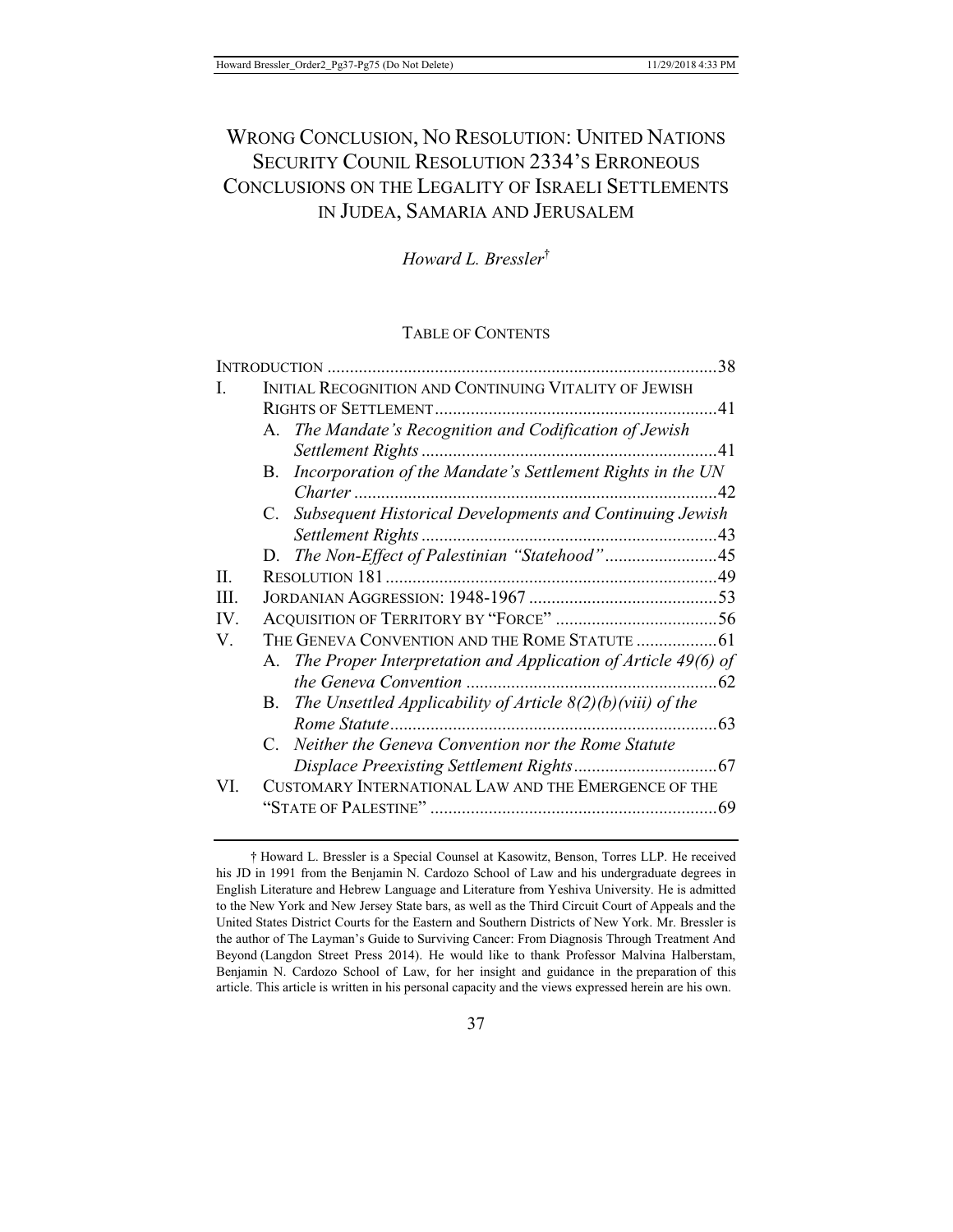# WRONG CONCLUSION, NO RESOLUTION: UNITED NATIONS SECURITY COUNIL RESOLUTION 2334'S ERRONEOUS CONCLUSIONS ON THE LEGALITY OF ISRAELI SETTLEMENTS IN JUDEA, SAMARIA AND JERUSALEM

*Howard L. Bressler*†

## TABLE OF CONTENTS

| <b>INTRODUCTION</b> . |                                                       |                                                                   | 38  |  |
|-----------------------|-------------------------------------------------------|-------------------------------------------------------------------|-----|--|
| I.                    | INITIAL RECOGNITION AND CONTINUING VITALITY OF JEWISH |                                                                   |     |  |
|                       |                                                       |                                                                   |     |  |
|                       |                                                       | A. The Mandate's Recognition and Codification of Jewish           |     |  |
|                       |                                                       |                                                                   | 41  |  |
|                       | B.                                                    | Incorporation of the Mandate's Settlement Rights in the UN        |     |  |
|                       |                                                       |                                                                   | 42  |  |
|                       |                                                       | C. Subsequent Historical Developments and Continuing Jewish       |     |  |
|                       |                                                       |                                                                   |     |  |
|                       | D.                                                    | The Non-Effect of Palestinian "Statehood"45                       |     |  |
| II.                   |                                                       |                                                                   |     |  |
| HI.                   |                                                       |                                                                   |     |  |
| $IV_{-}$              |                                                       |                                                                   |     |  |
| V.                    |                                                       |                                                                   |     |  |
|                       |                                                       | A. The Proper Interpretation and Application of Article 49(6) of  |     |  |
|                       |                                                       |                                                                   |     |  |
|                       |                                                       | B. The Unsettled Applicability of Article $8(2)(b)$ (viii) of the |     |  |
|                       |                                                       |                                                                   |     |  |
|                       | $\mathbf{C}$                                          | Neither the Geneva Convention nor the Rome Statute                |     |  |
|                       |                                                       |                                                                   |     |  |
| VI.                   |                                                       | CUSTOMARY INTERNATIONAL LAW AND THE EMERGENCE OF THE              |     |  |
|                       |                                                       |                                                                   | .69 |  |

† Howard L. Bressler is a Special Counsel at Kasowitz, Benson, Torres LLP. He received his JD in 1991 from the Benjamin N. Cardozo School of Law and his undergraduate degrees in English Literature and Hebrew Language and Literature from Yeshiva University. He is admitted to the New York and New Jersey State bars, as well as the Third Circuit Court of Appeals and the United States District Courts for the Eastern and Southern Districts of New York. Mr. Bressler is the author of The Layman's Guide to Surviving Cancer: From Diagnosis Through Treatment And Beyond (Langdon Street Press 2014). He would like to thank Professor Malvina Halberstam, Benjamin N. Cardozo School of Law, for her insight and guidance in the preparation of this article. This article is written in his personal capacity and the views expressed herein are his own.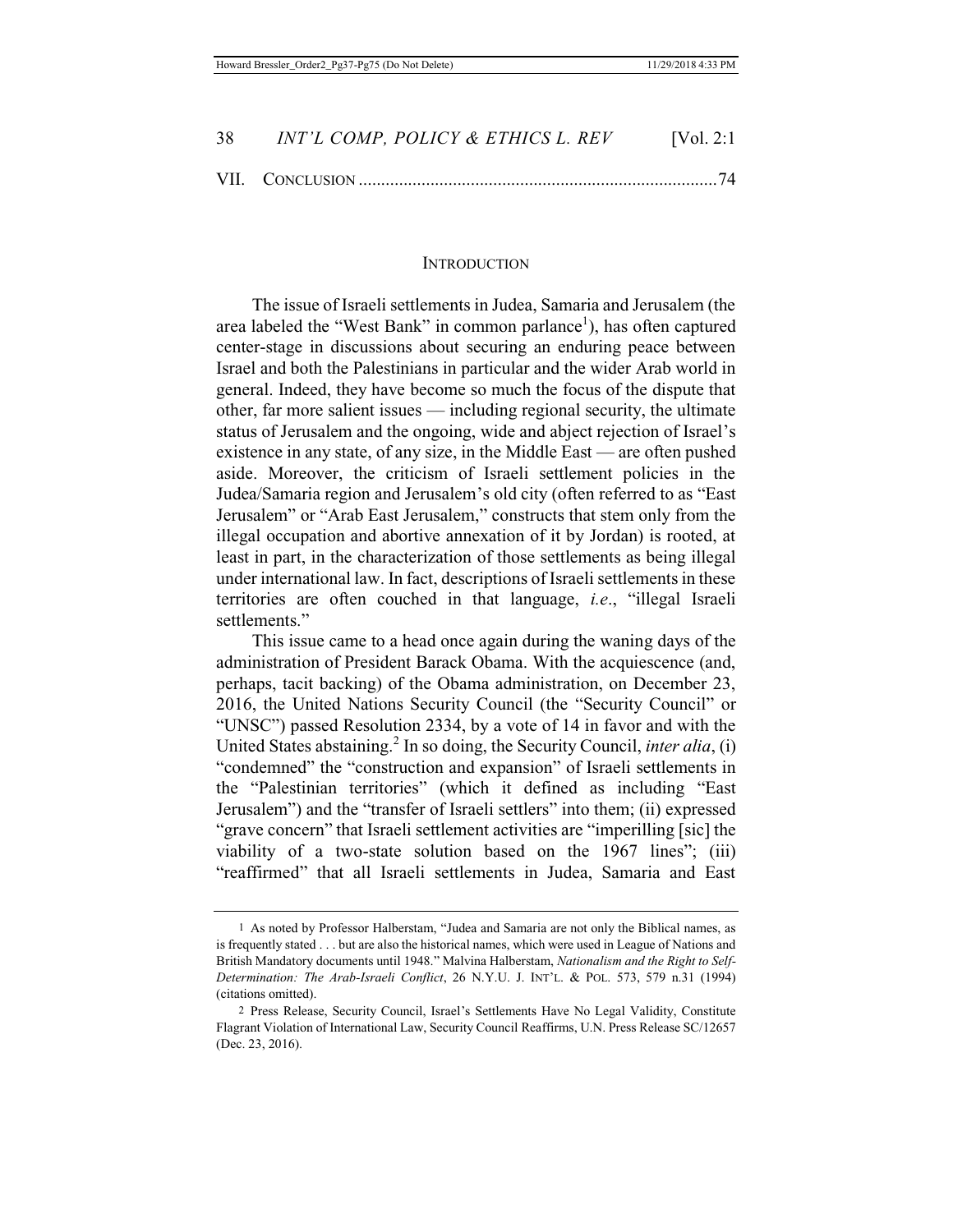#### **INTRODUCTION**

The issue of Israeli settlements in Judea, Samaria and Jerusalem (the area labeled the "West Bank" in common parlance<sup>1</sup>), has often captured center-stage in discussions about securing an enduring peace between Israel and both the Palestinians in particular and the wider Arab world in general. Indeed, they have become so much the focus of the dispute that other, far more salient issues — including regional security, the ultimate status of Jerusalem and the ongoing, wide and abject rejection of Israel's existence in any state, of any size, in the Middle East — are often pushed aside. Moreover, the criticism of Israeli settlement policies in the Judea/Samaria region and Jerusalem's old city (often referred to as "East Jerusalem" or "Arab East Jerusalem," constructs that stem only from the illegal occupation and abortive annexation of it by Jordan) is rooted, at least in part, in the characterization of those settlements as being illegal under international law. In fact, descriptions of Israeli settlements in these territories are often couched in that language, *i.e*., "illegal Israeli settlements."

This issue came to a head once again during the waning days of the administration of President Barack Obama. With the acquiescence (and, perhaps, tacit backing) of the Obama administration, on December 23, 2016, the United Nations Security Council (the "Security Council" or "UNSC") passed Resolution 2334, by a vote of 14 in favor and with the United States abstaining.<sup>2</sup> In so doing, the Security Council, *inter alia*, (i) "condemned" the "construction and expansion" of Israeli settlements in the "Palestinian territories" (which it defined as including "East Jerusalem") and the "transfer of Israeli settlers" into them; (ii) expressed "grave concern" that Israeli settlement activities are "imperilling [sic] the viability of a two-state solution based on the 1967 lines"; (iii) "reaffirmed" that all Israeli settlements in Judea, Samaria and East

<sup>1</sup> As noted by Professor Halberstam, "Judea and Samaria are not only the Biblical names, as is frequently stated . . . but are also the historical names, which were used in League of Nations and British Mandatory documents until 1948." Malvina Halberstam, *Nationalism and the Right to Self-Determination: The Arab-Israeli Conflict*, 26 N.Y.U. J. INT'L. & POL. 573, 579 n.31 (1994) (citations omitted).

<sup>2</sup> Press Release, Security Council, Israel's Settlements Have No Legal Validity, Constitute Flagrant Violation of International Law, Security Council Reaffirms, U.N. Press Release SC/12657 (Dec. 23, 2016).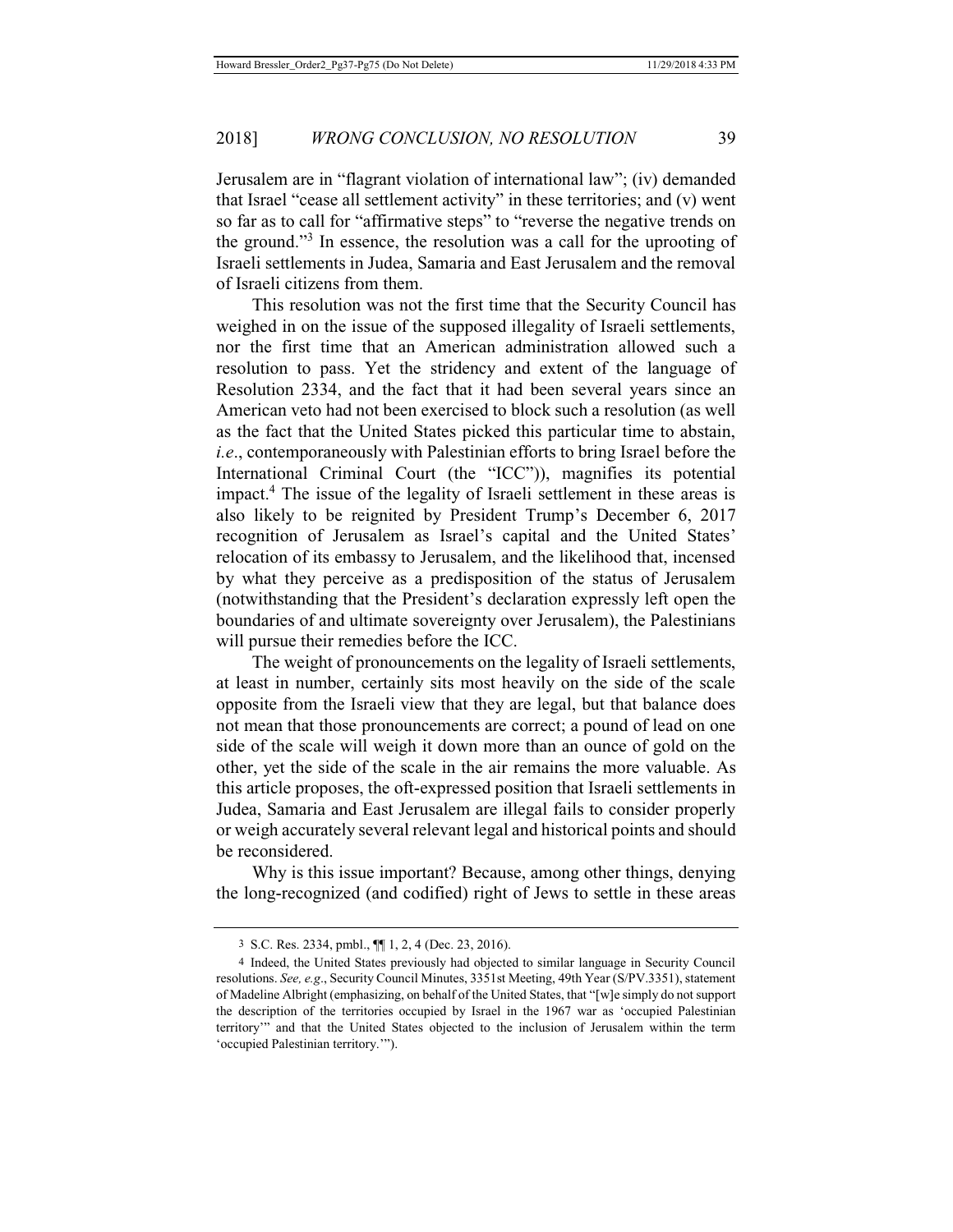Jerusalem are in "flagrant violation of international law"; (iv) demanded that Israel "cease all settlement activity" in these territories; and (v) went so far as to call for "affirmative steps" to "reverse the negative trends on the ground."<sup>3</sup> In essence, the resolution was a call for the uprooting of Israeli settlements in Judea, Samaria and East Jerusalem and the removal of Israeli citizens from them.

This resolution was not the first time that the Security Council has weighed in on the issue of the supposed illegality of Israeli settlements, nor the first time that an American administration allowed such a resolution to pass. Yet the stridency and extent of the language of Resolution 2334, and the fact that it had been several years since an American veto had not been exercised to block such a resolution (as well as the fact that the United States picked this particular time to abstain, *i.e*., contemporaneously with Palestinian efforts to bring Israel before the International Criminal Court (the "ICC")), magnifies its potential impact.4 The issue of the legality of Israeli settlement in these areas is also likely to be reignited by President Trump's December 6, 2017 recognition of Jerusalem as Israel's capital and the United States' relocation of its embassy to Jerusalem, and the likelihood that, incensed by what they perceive as a predisposition of the status of Jerusalem (notwithstanding that the President's declaration expressly left open the boundaries of and ultimate sovereignty over Jerusalem), the Palestinians will pursue their remedies before the ICC.

The weight of pronouncements on the legality of Israeli settlements, at least in number, certainly sits most heavily on the side of the scale opposite from the Israeli view that they are legal, but that balance does not mean that those pronouncements are correct; a pound of lead on one side of the scale will weigh it down more than an ounce of gold on the other, yet the side of the scale in the air remains the more valuable. As this article proposes, the oft-expressed position that Israeli settlements in Judea, Samaria and East Jerusalem are illegal fails to consider properly or weigh accurately several relevant legal and historical points and should be reconsidered.

Why is this issue important? Because, among other things, denying the long-recognized (and codified) right of Jews to settle in these areas

<sup>3</sup> S.C. Res. 2334, pmbl., ¶¶ 1, 2, 4 (Dec. 23, 2016).

<sup>4</sup> Indeed, the United States previously had objected to similar language in Security Council resolutions. *See, e.g*., Security Council Minutes, 3351st Meeting, 49th Year (S/PV.3351), statement of Madeline Albright (emphasizing, on behalf of the United States, that "[w]e simply do not support the description of the territories occupied by Israel in the 1967 war as 'occupied Palestinian territory'" and that the United States objected to the inclusion of Jerusalem within the term 'occupied Palestinian territory.'").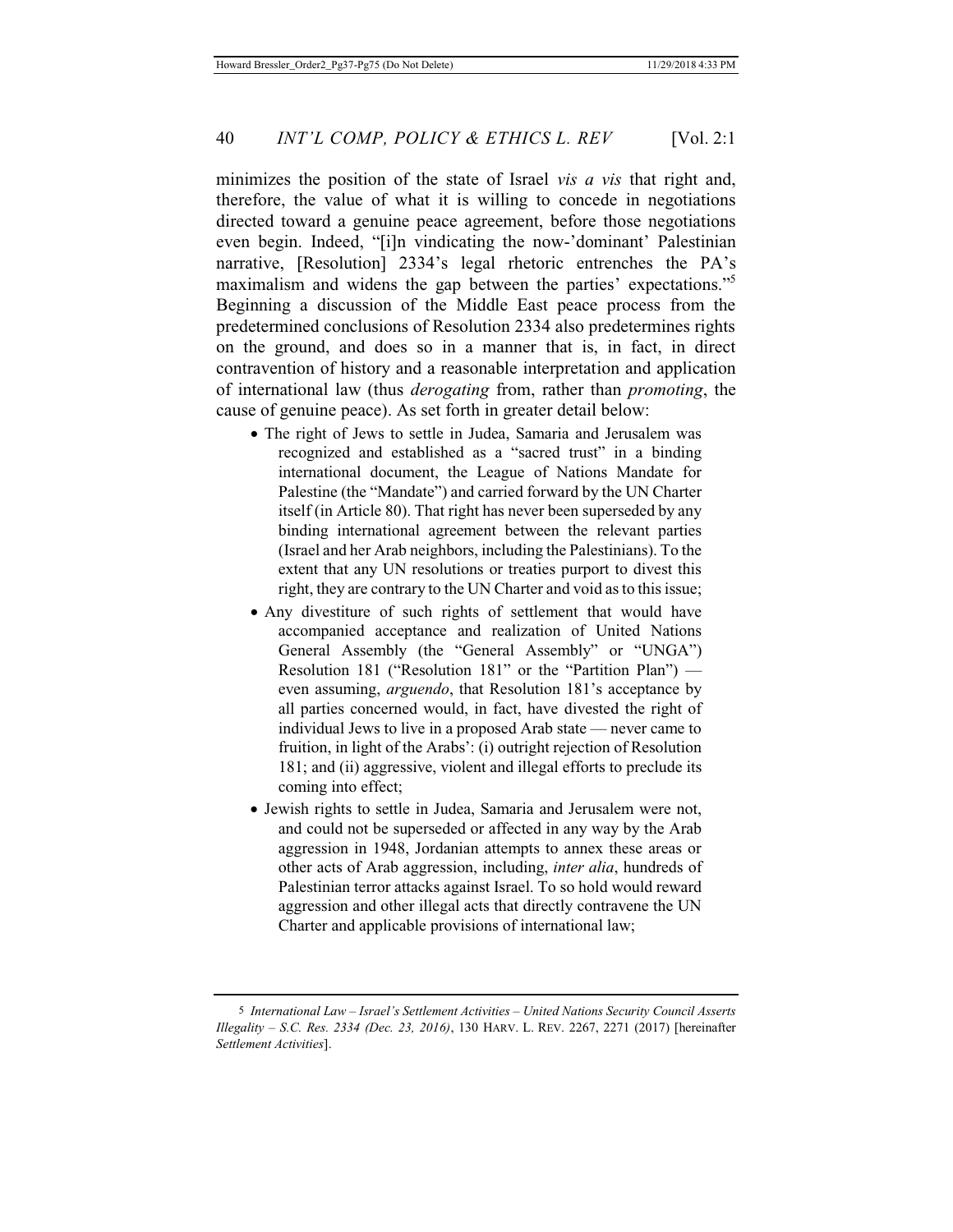minimizes the position of the state of Israel *vis a vis* that right and, therefore, the value of what it is willing to concede in negotiations directed toward a genuine peace agreement, before those negotiations even begin. Indeed, "[i]n vindicating the now-'dominant' Palestinian narrative, [Resolution] 2334's legal rhetoric entrenches the PA's maximalism and widens the gap between the parties' expectations."<sup>5</sup> Beginning a discussion of the Middle East peace process from the predetermined conclusions of Resolution 2334 also predetermines rights on the ground, and does so in a manner that is, in fact, in direct contravention of history and a reasonable interpretation and application of international law (thus *derogating* from, rather than *promoting*, the cause of genuine peace). As set forth in greater detail below:

- The right of Jews to settle in Judea, Samaria and Jerusalem was recognized and established as a "sacred trust" in a binding international document, the League of Nations Mandate for Palestine (the "Mandate") and carried forward by the UN Charter itself (in Article 80). That right has never been superseded by any binding international agreement between the relevant parties (Israel and her Arab neighbors, including the Palestinians). To the extent that any UN resolutions or treaties purport to divest this right, they are contrary to the UN Charter and void as to this issue;
- Any divestiture of such rights of settlement that would have accompanied acceptance and realization of United Nations General Assembly (the "General Assembly" or "UNGA") Resolution 181 ("Resolution 181" or the "Partition Plan") even assuming, *arguendo*, that Resolution 181's acceptance by all parties concerned would, in fact, have divested the right of individual Jews to live in a proposed Arab state — never came to fruition, in light of the Arabs': (i) outright rejection of Resolution 181; and (ii) aggressive, violent and illegal efforts to preclude its coming into effect;
- Jewish rights to settle in Judea, Samaria and Jerusalem were not, and could not be superseded or affected in any way by the Arab aggression in 1948, Jordanian attempts to annex these areas or other acts of Arab aggression, including, *inter alia*, hundreds of Palestinian terror attacks against Israel. To so hold would reward aggression and other illegal acts that directly contravene the UN Charter and applicable provisions of international law;

<sup>5</sup> *International Law – Israel's Settlement Activities – United Nations Security Council Asserts Illegality – S.C. Res. 2334 (Dec. 23, 2016)*, 130 HARV. L. REV. 2267, 2271 (2017) [hereinafter *Settlement Activities*].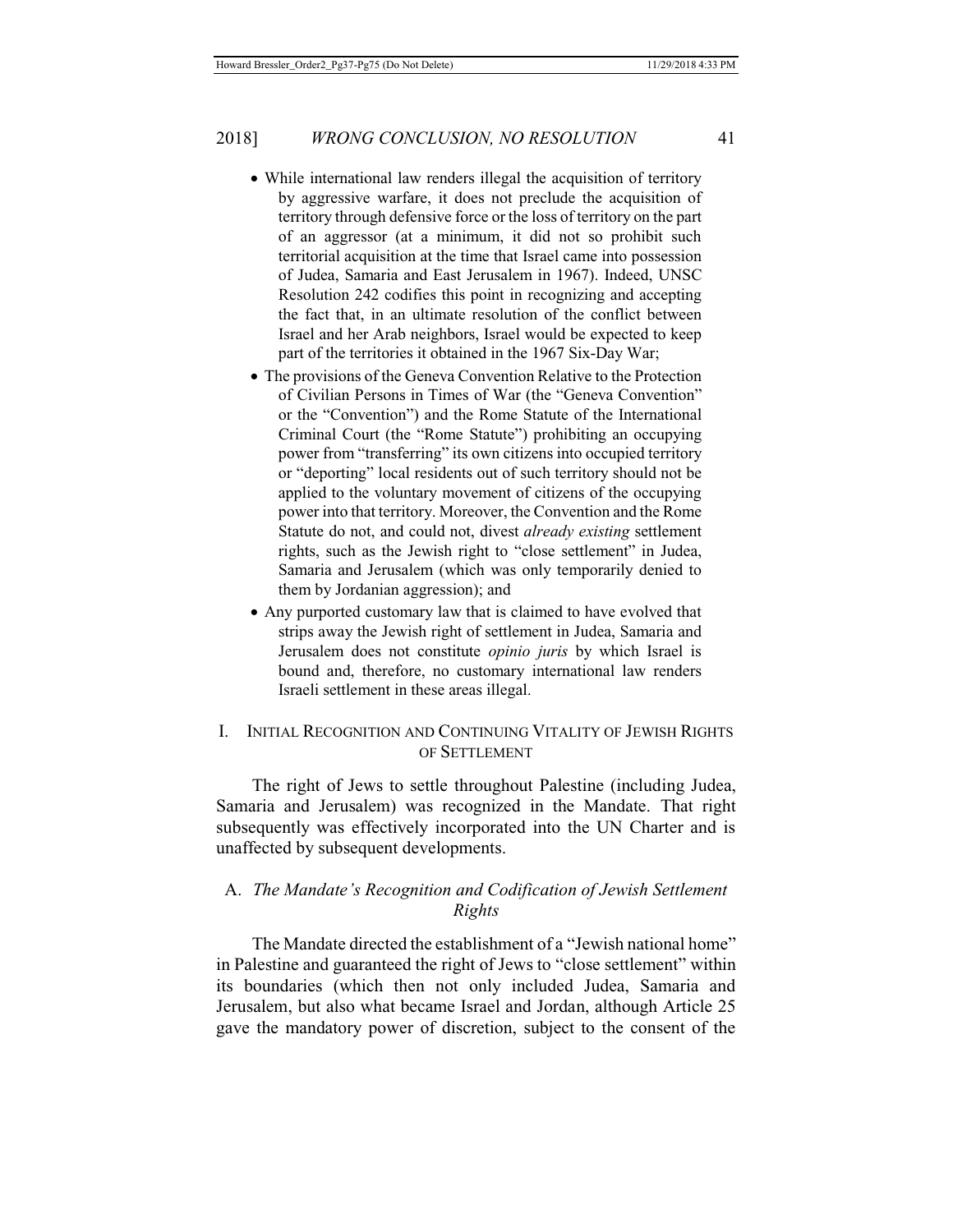#### 2018] *WRONG CONCLUSION, NO RESOLUTION* 41

- While international law renders illegal the acquisition of territory by aggressive warfare, it does not preclude the acquisition of territory through defensive force or the loss of territory on the part of an aggressor (at a minimum, it did not so prohibit such territorial acquisition at the time that Israel came into possession of Judea, Samaria and East Jerusalem in 1967). Indeed, UNSC Resolution 242 codifies this point in recognizing and accepting the fact that, in an ultimate resolution of the conflict between Israel and her Arab neighbors, Israel would be expected to keep part of the territories it obtained in the 1967 Six-Day War;
- The provisions of the Geneva Convention Relative to the Protection of Civilian Persons in Times of War (the "Geneva Convention" or the "Convention") and the Rome Statute of the International Criminal Court (the "Rome Statute") prohibiting an occupying power from "transferring" its own citizens into occupied territory or "deporting" local residents out of such territory should not be applied to the voluntary movement of citizens of the occupying power into that territory. Moreover, the Convention and the Rome Statute do not, and could not, divest *already existing* settlement rights, such as the Jewish right to "close settlement" in Judea, Samaria and Jerusalem (which was only temporarily denied to them by Jordanian aggression); and
- Any purported customary law that is claimed to have evolved that strips away the Jewish right of settlement in Judea, Samaria and Jerusalem does not constitute *opinio juris* by which Israel is bound and, therefore, no customary international law renders Israeli settlement in these areas illegal.

# I. INITIAL RECOGNITION AND CONTINUING VITALITY OF JEWISH RIGHTS OF SETTLEMENT

The right of Jews to settle throughout Palestine (including Judea, Samaria and Jerusalem) was recognized in the Mandate. That right subsequently was effectively incorporated into the UN Charter and is unaffected by subsequent developments.

# A. *The Mandate's Recognition and Codification of Jewish Settlement Rights*

The Mandate directed the establishment of a "Jewish national home" in Palestine and guaranteed the right of Jews to "close settlement" within its boundaries (which then not only included Judea, Samaria and Jerusalem, but also what became Israel and Jordan, although Article 25 gave the mandatory power of discretion, subject to the consent of the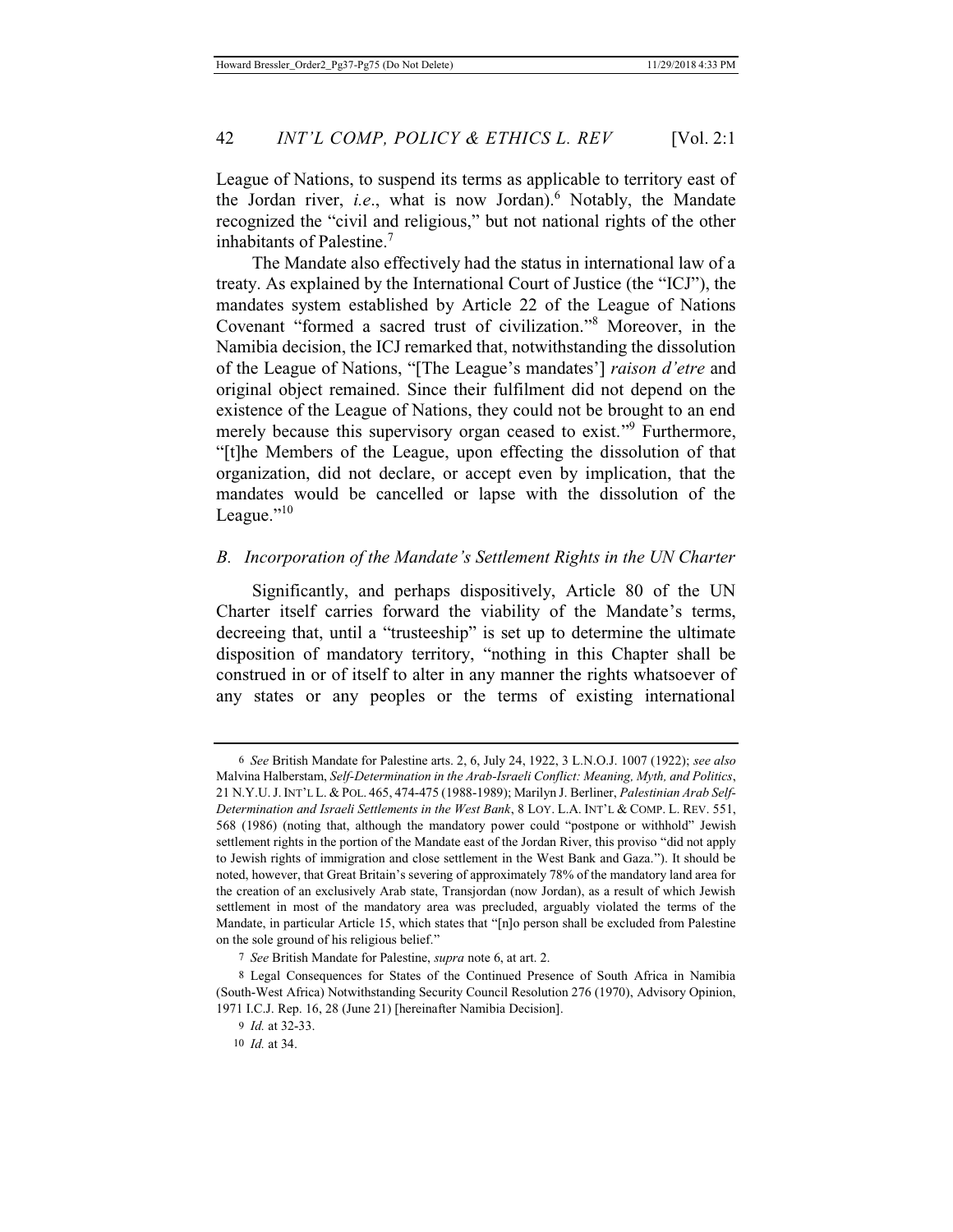League of Nations, to suspend its terms as applicable to territory east of the Jordan river, *i.e.*, what is now Jordan).<sup>6</sup> Notably, the Mandate recognized the "civil and religious," but not national rights of the other inhabitants of Palestine.<sup>7</sup>

The Mandate also effectively had the status in international law of a treaty. As explained by the International Court of Justice (the "ICJ"), the mandates system established by Article 22 of the League of Nations Covenant "formed a sacred trust of civilization."<sup>8</sup> Moreover, in the Namibia decision, the ICJ remarked that, notwithstanding the dissolution of the League of Nations, "[The League's mandates'] *raison d'etre* and original object remained. Since their fulfilment did not depend on the existence of the League of Nations, they could not be brought to an end merely because this supervisory organ ceased to exist."<sup>9</sup> Furthermore, "[t]he Members of the League, upon effecting the dissolution of that organization, did not declare, or accept even by implication, that the mandates would be cancelled or lapse with the dissolution of the League." $10$ 

# *B. Incorporation of the Mandate's Settlement Rights in the UN Charter*

Significantly, and perhaps dispositively, Article 80 of the UN Charter itself carries forward the viability of the Mandate's terms, decreeing that, until a "trusteeship" is set up to determine the ultimate disposition of mandatory territory, "nothing in this Chapter shall be construed in or of itself to alter in any manner the rights whatsoever of any states or any peoples or the terms of existing international

<sup>6</sup> *See* British Mandate for Palestine arts. 2, 6, July 24, 1922, 3 L.N.O.J. 1007 (1922); *see also* Malvina Halberstam, *Self-Determination in the Arab-Israeli Conflict: Meaning, Myth, and Politics*, 21 N.Y.U.J.INT'L L. & POL. 465, 474-475 (1988-1989); Marilyn J. Berliner, *Palestinian Arab Self-Determination and Israeli Settlements in the West Bank*, 8 LOY. L.A. INT'L & COMP. L. REV. 551, 568 (1986) (noting that, although the mandatory power could "postpone or withhold" Jewish settlement rights in the portion of the Mandate east of the Jordan River, this proviso "did not apply to Jewish rights of immigration and close settlement in the West Bank and Gaza."). It should be noted, however, that Great Britain's severing of approximately 78% of the mandatory land area for the creation of an exclusively Arab state, Transjordan (now Jordan), as a result of which Jewish settlement in most of the mandatory area was precluded, arguably violated the terms of the Mandate, in particular Article 15, which states that "[n]o person shall be excluded from Palestine on the sole ground of his religious belief."

<sup>7</sup> *See* British Mandate for Palestine, *supra* note 6, at art. 2.

<sup>8</sup> Legal Consequences for States of the Continued Presence of South Africa in Namibia (South-West Africa) Notwithstanding Security Council Resolution 276 (1970), Advisory Opinion, 1971 I.C.J. Rep. 16, 28 (June 21) [hereinafter Namibia Decision].

<sup>9</sup> *Id.* at 32-33.

<sup>10</sup> *Id.* at 34.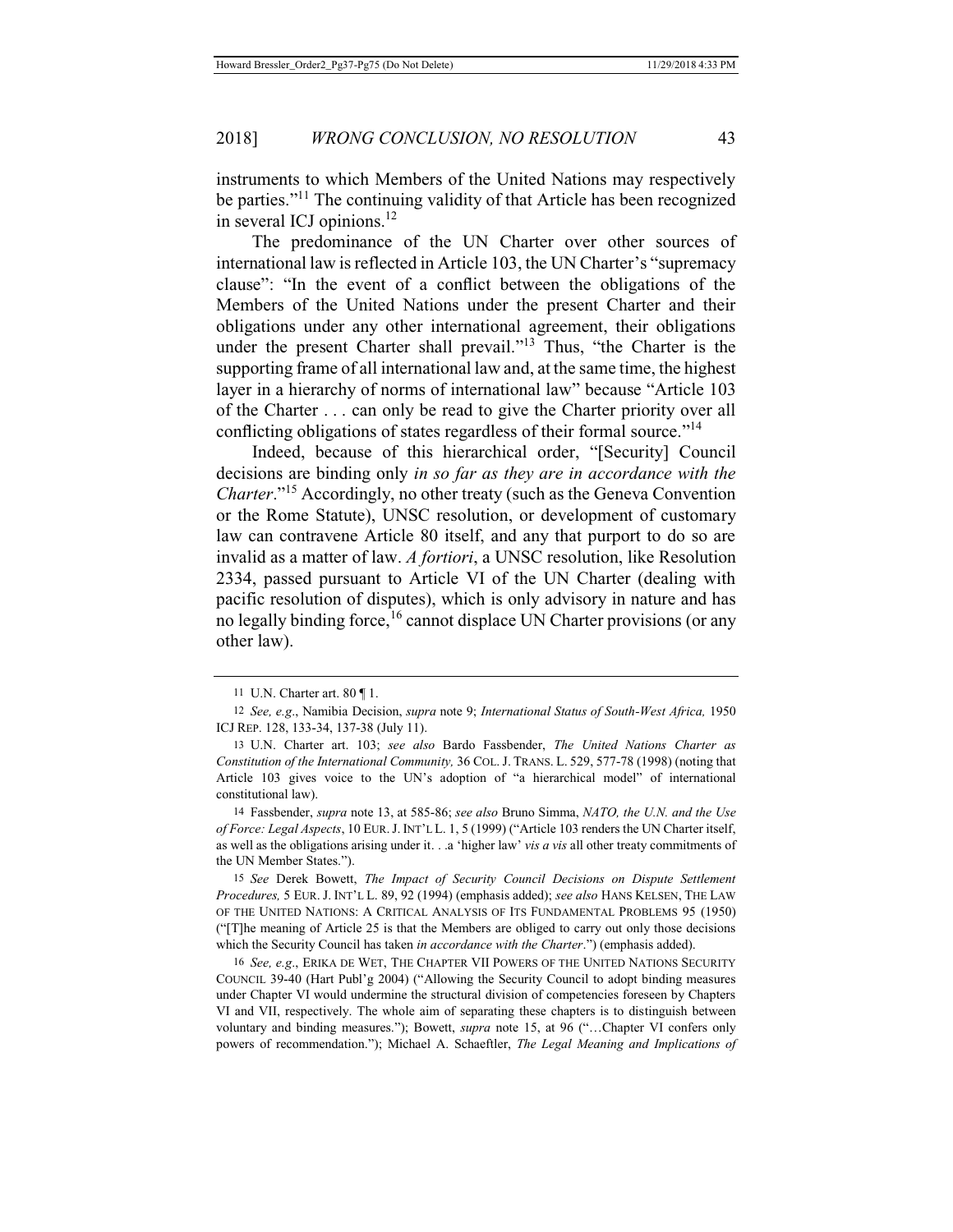instruments to which Members of the United Nations may respectively be parties."11 The continuing validity of that Article has been recognized in several ICJ opinions. $^{12}$ 

The predominance of the UN Charter over other sources of international law is reflected in Article 103, the UN Charter's "supremacy clause": "In the event of a conflict between the obligations of the Members of the United Nations under the present Charter and their obligations under any other international agreement, their obligations under the present Charter shall prevail."<sup>13</sup> Thus, "the Charter is the supporting frame of all international law and, at the same time, the highest layer in a hierarchy of norms of international law" because "Article 103 of the Charter . . . can only be read to give the Charter priority over all conflicting obligations of states regardless of their formal source."<sup>14</sup>

Indeed, because of this hierarchical order, "[Security] Council decisions are binding only *in so far as they are in accordance with the Charter*."<sup>15</sup> Accordingly, no other treaty (such as the Geneva Convention or the Rome Statute), UNSC resolution, or development of customary law can contravene Article 80 itself, and any that purport to do so are invalid as a matter of law. *A fortiori*, a UNSC resolution, like Resolution 2334, passed pursuant to Article VI of the UN Charter (dealing with pacific resolution of disputes), which is only advisory in nature and has no legally binding force,<sup>16</sup> cannot displace UN Charter provisions (or any other law).

14 Fassbender, *supra* note 13, at 585-86; *see also* Bruno Simma, *NATO, the U.N. and the Use of Force: Legal Aspects*, 10 EUR.J. INT'L L. 1, 5 (1999) ("Article 103 renders the UN Charter itself, as well as the obligations arising under it. . .a 'higher law' *vis a vis* all other treaty commitments of the UN Member States.").

15 *See* Derek Bowett, *The Impact of Security Council Decisions on Dispute Settlement Procedures,* 5 EUR. J. INT'L L. 89, 92 (1994) (emphasis added); *see also* HANS KELSEN, THE LAW OF THE UNITED NATIONS: A CRITICAL ANALYSIS OF ITS FUNDAMENTAL PROBLEMS 95 (1950) ("[T]he meaning of Article 25 is that the Members are obliged to carry out only those decisions which the Security Council has taken *in accordance with the Charter*.") (emphasis added).

16 *See, e.g*., ERIKA DE WET, THE CHAPTER VII POWERS OF THE UNITED NATIONS SECURITY COUNCIL 39-40 (Hart Publ'g 2004) ("Allowing the Security Council to adopt binding measures under Chapter VI would undermine the structural division of competencies foreseen by Chapters VI and VII, respectively. The whole aim of separating these chapters is to distinguish between voluntary and binding measures."); Bowett, *supra* note 15, at 96 ("…Chapter VI confers only powers of recommendation."); Michael A. Schaeftler, *The Legal Meaning and Implications of* 

<sup>11</sup> U.N. Charter art. 80 ¶ 1.

<sup>12</sup> *See, e.g*., Namibia Decision, *supra* note 9; *International Status of South-West Africa,* 1950 ICJ REP. 128, 133-34, 137-38 (July 11).

<sup>13</sup> U.N. Charter art. 103; *see also* Bardo Fassbender, *The United Nations Charter as Constitution of the International Community,* 36 COL. J. TRANS. L. 529, 577-78 (1998) (noting that Article 103 gives voice to the UN's adoption of "a hierarchical model" of international constitutional law).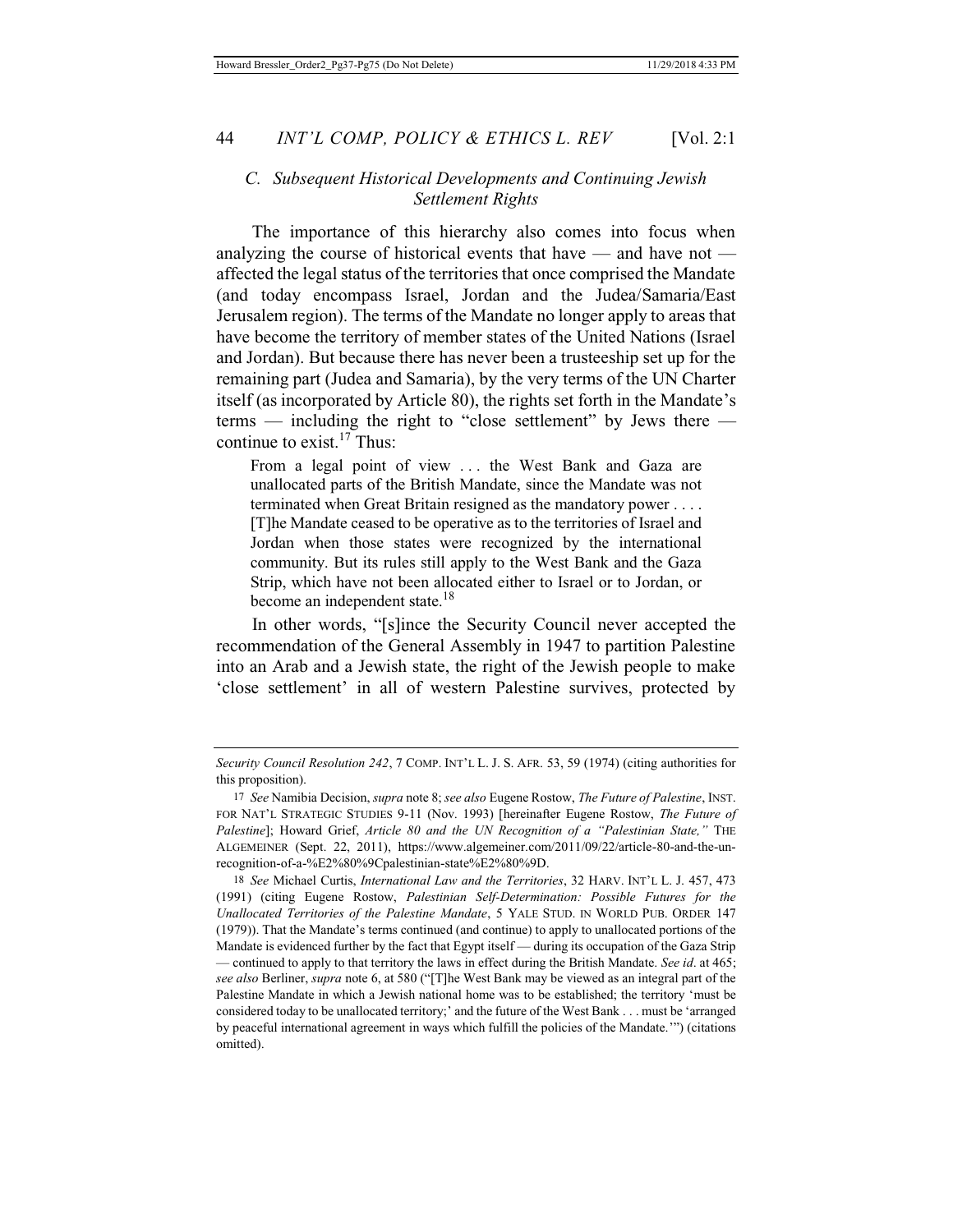## *C. Subsequent Historical Developments and Continuing Jewish Settlement Rights*

The importance of this hierarchy also comes into focus when analyzing the course of historical events that have  $-$  and have not  $$ affected the legal status of the territories that once comprised the Mandate (and today encompass Israel, Jordan and the Judea/Samaria/East Jerusalem region). The terms of the Mandate no longer apply to areas that have become the territory of member states of the United Nations (Israel and Jordan). But because there has never been a trusteeship set up for the remaining part (Judea and Samaria), by the very terms of the UN Charter itself (as incorporated by Article 80), the rights set forth in the Mandate's terms — including the right to "close settlement" by Jews there continue to exist.<sup>17</sup> Thus:

From a legal point of view . . . the West Bank and Gaza are unallocated parts of the British Mandate, since the Mandate was not terminated when Great Britain resigned as the mandatory power . . . . [T]he Mandate ceased to be operative as to the territories of Israel and Jordan when those states were recognized by the international community. But its rules still apply to the West Bank and the Gaza Strip, which have not been allocated either to Israel or to Jordan, or become an independent state.<sup>18</sup>

In other words, "[s]ince the Security Council never accepted the recommendation of the General Assembly in 1947 to partition Palestine into an Arab and a Jewish state, the right of the Jewish people to make 'close settlement' in all of western Palestine survives, protected by

*Security Council Resolution 242*, 7 COMP. INT'L L. J. S. AFR. 53, 59 (1974) (citing authorities for this proposition).

<sup>17</sup> *See* Namibia Decision, *supra* note 8; *see also* Eugene Rostow, *The Future of Palestine*, INST. FOR NAT'L STRATEGIC STUDIES 9-11 (Nov. 1993) [hereinafter Eugene Rostow, *The Future of Palestine*]; Howard Grief, *Article 80 and the UN Recognition of a "Palestinian State,"* THE ALGEMEINER (Sept. 22, 2011), https://www.algemeiner.com/2011/09/22/article-80-and-the-unrecognition-of-a-%E2%80%9Cpalestinian-state%E2%80%9D.

<sup>18</sup> *See* Michael Curtis, *International Law and the Territories*, 32 HARV. INT'L L. J. 457, 473 (1991) (citing Eugene Rostow, *Palestinian Self-Determination: Possible Futures for the Unallocated Territories of the Palestine Mandate*, 5 YALE STUD. IN WORLD PUB. ORDER 147 (1979)). That the Mandate's terms continued (and continue) to apply to unallocated portions of the Mandate is evidenced further by the fact that Egypt itself — during its occupation of the Gaza Strip — continued to apply to that territory the laws in effect during the British Mandate. *See id*. at 465; *see also* Berliner, *supra* note 6, at 580 ("[T]he West Bank may be viewed as an integral part of the Palestine Mandate in which a Jewish national home was to be established; the territory 'must be considered today to be unallocated territory;' and the future of the West Bank . . . must be 'arranged by peaceful international agreement in ways which fulfill the policies of the Mandate.'") (citations omitted).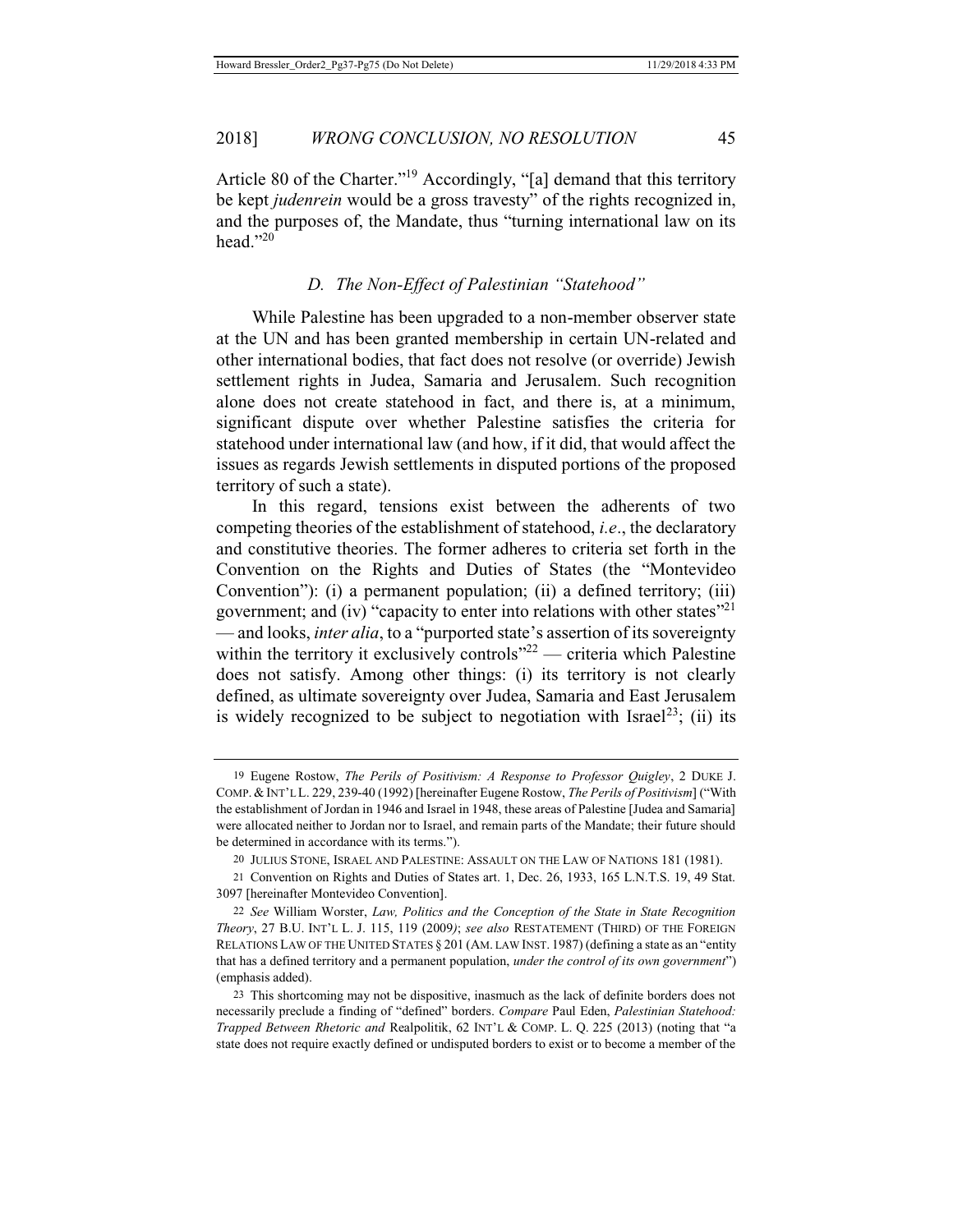Article 80 of the Charter."19 Accordingly, "[a] demand that this territory be kept *judenrein* would be a gross travesty" of the rights recognized in, and the purposes of, the Mandate, thus "turning international law on its head." $^{20}$ 

#### *D. The Non-Effect of Palestinian "Statehood"*

While Palestine has been upgraded to a non-member observer state at the UN and has been granted membership in certain UN-related and other international bodies, that fact does not resolve (or override) Jewish settlement rights in Judea, Samaria and Jerusalem. Such recognition alone does not create statehood in fact, and there is, at a minimum, significant dispute over whether Palestine satisfies the criteria for statehood under international law (and how, if it did, that would affect the issues as regards Jewish settlements in disputed portions of the proposed territory of such a state).

In this regard, tensions exist between the adherents of two competing theories of the establishment of statehood, *i.e*., the declaratory and constitutive theories. The former adheres to criteria set forth in the Convention on the Rights and Duties of States (the "Montevideo Convention"): (i) a permanent population; (ii) a defined territory; (iii) government; and (iv) "capacity to enter into relations with other states"<sup>21</sup> — and looks, *inter alia*, to a "purported state's assertion of its sovereignty within the territory it exclusively controls" $2^2$  — criteria which Palestine does not satisfy. Among other things: (i) its territory is not clearly defined, as ultimate sovereignty over Judea, Samaria and East Jerusalem is widely recognized to be subject to negotiation with Israel<sup>23</sup>; (ii) its

<sup>19</sup> Eugene Rostow, *The Perils of Positivism: A Response to Professor Quigley*, 2 DUKE J. COMP. &INT'L L. 229, 239-40 (1992) [hereinafter Eugene Rostow, *The Perils of Positivism*] ("With the establishment of Jordan in 1946 and Israel in 1948, these areas of Palestine [Judea and Samaria] were allocated neither to Jordan nor to Israel, and remain parts of the Mandate; their future should be determined in accordance with its terms.").

<sup>20</sup> JULIUS STONE, ISRAEL AND PALESTINE: ASSAULT ON THE LAW OF NATIONS 181 (1981).

<sup>21</sup> Convention on Rights and Duties of States art. 1, Dec. 26, 1933, 165 L.N.T.S. 19, 49 Stat. 3097 [hereinafter Montevideo Convention].

<sup>22</sup> *See* William Worster, *Law, Politics and the Conception of the State in State Recognition Theory*, 27 B.U. INT'L L. J. 115, 119 (2009*)*; *see also* RESTATEMENT (THIRD) OF THE FOREIGN RELATIONS LAW OF THE UNITED STATES § 201 (AM. LAW INST. 1987) (defining a state as an "entity that has a defined territory and a permanent population, *under the control of its own government*") (emphasis added).

<sup>23</sup> This shortcoming may not be dispositive, inasmuch as the lack of definite borders does not necessarily preclude a finding of "defined" borders. *Compare* Paul Eden, *Palestinian Statehood: Trapped Between Rhetoric and* Realpolitik, 62 INT'L & COMP. L. Q. 225 (2013) (noting that "a state does not require exactly defined or undisputed borders to exist or to become a member of the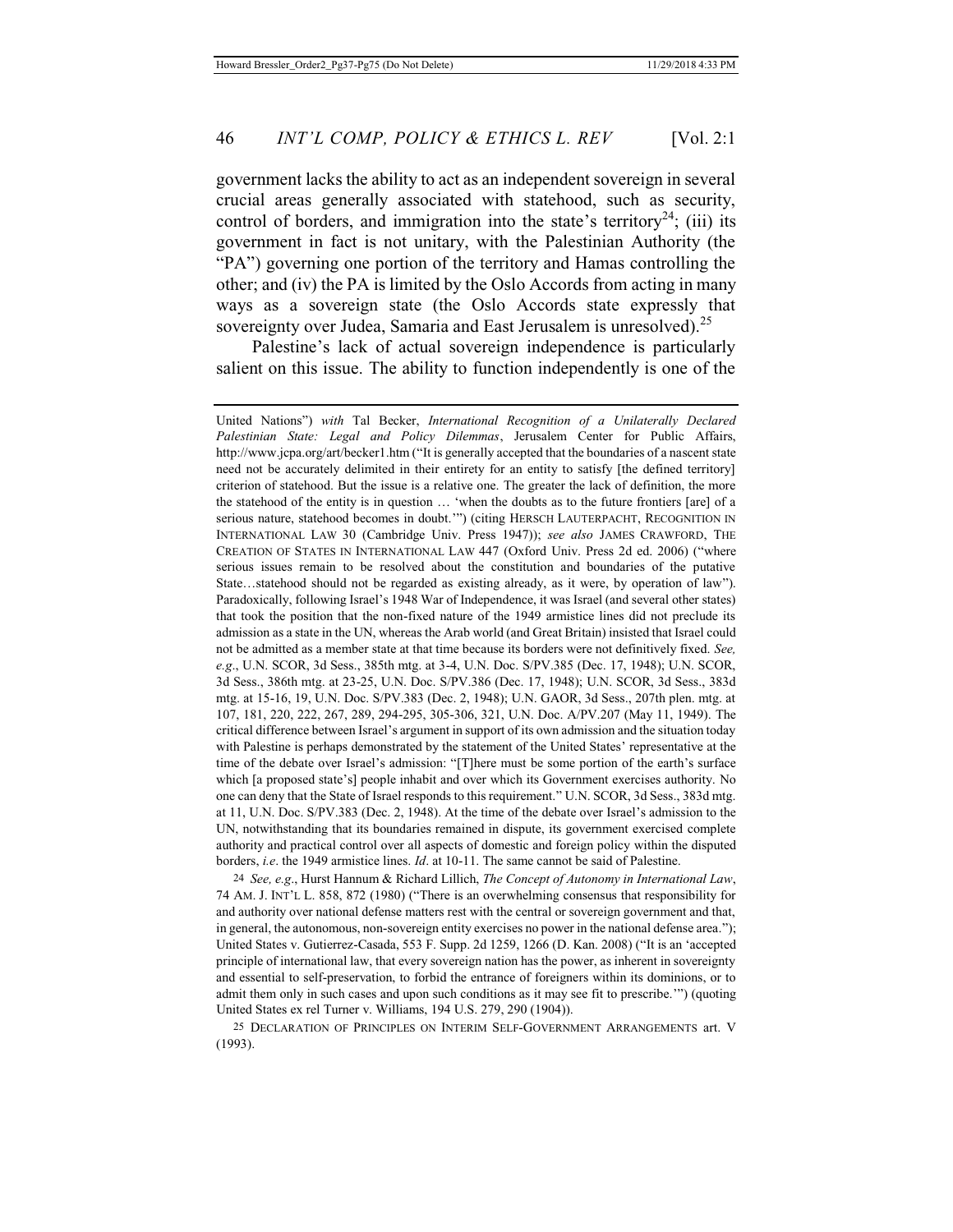government lacks the ability to act as an independent sovereign in several crucial areas generally associated with statehood, such as security, control of borders, and immigration into the state's territory<sup>24</sup>; (iii) its government in fact is not unitary, with the Palestinian Authority (the "PA") governing one portion of the territory and Hamas controlling the other; and (iv) the PA is limited by the Oslo Accords from acting in many ways as a sovereign state (the Oslo Accords state expressly that sovereignty over Judea, Samaria and East Jerusalem is unresolved).<sup>25</sup>

Palestine's lack of actual sovereign independence is particularly salient on this issue. The ability to function independently is one of the

24 *See, e.g*., Hurst Hannum & Richard Lillich, *The Concept of Autonomy in International Law*, 74 AM. J. INT'L L. 858, 872 (1980) ("There is an overwhelming consensus that responsibility for and authority over national defense matters rest with the central or sovereign government and that, in general, the autonomous, non-sovereign entity exercises no power in the national defense area."); United States v. Gutierrez-Casada, 553 F. Supp. 2d 1259, 1266 (D. Kan. 2008) ("It is an 'accepted principle of international law, that every sovereign nation has the power, as inherent in sovereignty and essential to self-preservation, to forbid the entrance of foreigners within its dominions, or to admit them only in such cases and upon such conditions as it may see fit to prescribe.'") (quoting United States ex rel Turner v. Williams, 194 U.S. 279, 290 (1904)).

25 DECLARATION OF PRINCIPLES ON INTERIM SELF-GOVERNMENT ARRANGEMENTS art. V (1993).

United Nations") *with* Tal Becker, *International Recognition of a Unilaterally Declared Palestinian State: Legal and Policy Dilemmas*, Jerusalem Center for Public Affairs, http://www.jcpa.org/art/becker1.htm ("It is generally accepted that the boundaries of a nascent state need not be accurately delimited in their entirety for an entity to satisfy [the defined territory] criterion of statehood. But the issue is a relative one. The greater the lack of definition, the more the statehood of the entity is in question … 'when the doubts as to the future frontiers [are] of a serious nature, statehood becomes in doubt."") (citing HERSCH LAUTERPACHT, RECOGNITION IN INTERNATIONAL LAW 30 (Cambridge Univ. Press 1947)); *see also* JAMES CRAWFORD, THE CREATION OF STATES IN INTERNATIONAL LAW 447 (Oxford Univ. Press 2d ed. 2006) ("where serious issues remain to be resolved about the constitution and boundaries of the putative State…statehood should not be regarded as existing already, as it were, by operation of law"). Paradoxically, following Israel's 1948 War of Independence, it was Israel (and several other states) that took the position that the non-fixed nature of the 1949 armistice lines did not preclude its admission as a state in the UN, whereas the Arab world (and Great Britain) insisted that Israel could not be admitted as a member state at that time because its borders were not definitively fixed. *See, e.g*., U.N. SCOR, 3d Sess., 385th mtg. at 3-4, U.N. Doc. S/PV.385 (Dec. 17, 1948); U.N. SCOR, 3d Sess., 386th mtg. at 23-25, U.N. Doc. S/PV.386 (Dec. 17, 1948); U.N. SCOR, 3d Sess., 383d mtg. at 15-16, 19, U.N. Doc. S/PV.383 (Dec. 2, 1948); U.N. GAOR, 3d Sess., 207th plen. mtg. at 107, 181, 220, 222, 267, 289, 294-295, 305-306, 321, U.N. Doc. A/PV.207 (May 11, 1949). The critical difference between Israel's argument in support of its own admission and the situation today with Palestine is perhaps demonstrated by the statement of the United States' representative at the time of the debate over Israel's admission: "[T]here must be some portion of the earth's surface which [a proposed state's] people inhabit and over which its Government exercises authority. No one can deny that the State of Israel responds to this requirement." U.N. SCOR, 3d Sess., 383d mtg. at 11, U.N. Doc. S/PV.383 (Dec. 2, 1948). At the time of the debate over Israel's admission to the UN, notwithstanding that its boundaries remained in dispute, its government exercised complete authority and practical control over all aspects of domestic and foreign policy within the disputed borders, *i.e*. the 1949 armistice lines. *Id*. at 10-11. The same cannot be said of Palestine.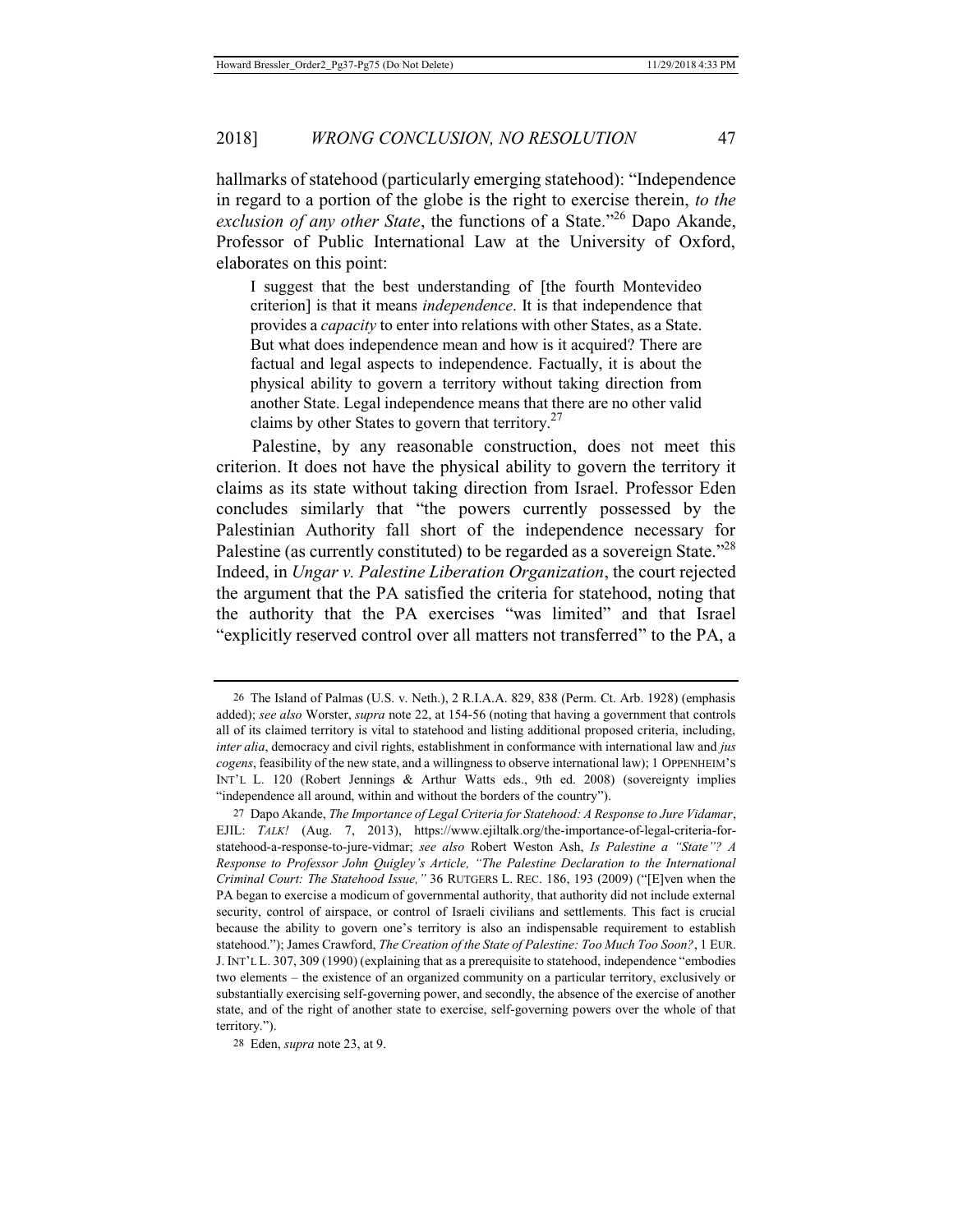hallmarks of statehood (particularly emerging statehood): "Independence in regard to a portion of the globe is the right to exercise therein, *to the exclusion of any other State*, the functions of a State."26 Dapo Akande, Professor of Public International Law at the University of Oxford, elaborates on this point:

I suggest that the best understanding of [the fourth Montevideo criterion] is that it means *independence*. It is that independence that provides a *capacity* to enter into relations with other States, as a State. But what does independence mean and how is it acquired? There are factual and legal aspects to independence. Factually, it is about the physical ability to govern a territory without taking direction from another State. Legal independence means that there are no other valid claims by other States to govern that territory. $27$ 

Palestine, by any reasonable construction, does not meet this criterion. It does not have the physical ability to govern the territory it claims as its state without taking direction from Israel. Professor Eden concludes similarly that "the powers currently possessed by the Palestinian Authority fall short of the independence necessary for Palestine (as currently constituted) to be regarded as a sovereign State.<sup>228</sup> Indeed, in *Ungar v. Palestine Liberation Organization*, the court rejected the argument that the PA satisfied the criteria for statehood, noting that the authority that the PA exercises "was limited" and that Israel "explicitly reserved control over all matters not transferred" to the PA, a

<sup>26</sup> The Island of Palmas (U.S. v. Neth.), 2 R.I.A.A. 829, 838 (Perm. Ct. Arb. 1928) (emphasis added); *see also* Worster, *supra* note 22, at 154-56 (noting that having a government that controls all of its claimed territory is vital to statehood and listing additional proposed criteria, including, *inter alia*, democracy and civil rights, establishment in conformance with international law and *jus cogens*, feasibility of the new state, and a willingness to observe international law); 1 OPPENHEIM'S INT'L L. 120 (Robert Jennings & Arthur Watts eds., 9th ed. 2008) (sovereignty implies "independence all around, within and without the borders of the country").

<sup>27</sup> Dapo Akande, *The Importance of Legal Criteria for Statehood: A Response to Jure Vidamar*, EJIL: *TALK!* (Aug. 7, 2013), https://www.ejiltalk.org/the-importance-of-legal-criteria-forstatehood-a-response-to-jure-vidmar; *see also* Robert Weston Ash, *Is Palestine a "State"? A Response to Professor John Quigley's Article, "The Palestine Declaration to the International Criminal Court: The Statehood Issue,"* 36 RUTGERS L. REC. 186, 193 (2009) ("[E]ven when the PA began to exercise a modicum of governmental authority, that authority did not include external security, control of airspace, or control of Israeli civilians and settlements. This fact is crucial because the ability to govern one's territory is also an indispensable requirement to establish statehood."); James Crawford, *The Creation of the State of Palestine: Too Much Too Soon?*, 1 EUR. J. INT'L L. 307, 309 (1990) (explaining that as a prerequisite to statehood, independence "embodies two elements – the existence of an organized community on a particular territory, exclusively or substantially exercising self-governing power, and secondly, the absence of the exercise of another state, and of the right of another state to exercise, self-governing powers over the whole of that territory.").

<sup>28</sup> Eden, *supra* note 23, at 9.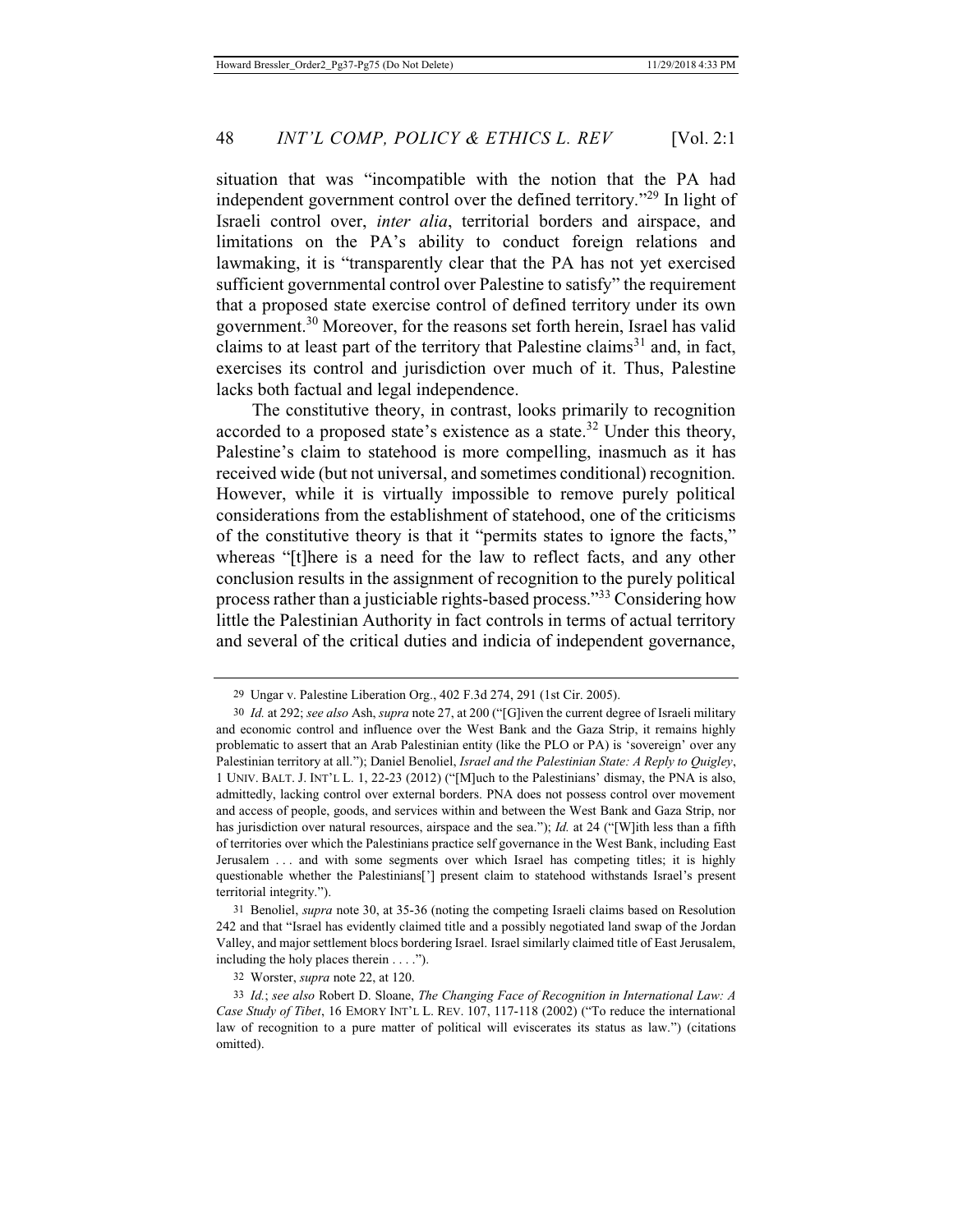situation that was "incompatible with the notion that the PA had independent government control over the defined territory."29 In light of Israeli control over, *inter alia*, territorial borders and airspace, and limitations on the PA's ability to conduct foreign relations and lawmaking, it is "transparently clear that the PA has not yet exercised sufficient governmental control over Palestine to satisfy" the requirement that a proposed state exercise control of defined territory under its own government.30 Moreover, for the reasons set forth herein, Israel has valid claims to at least part of the territory that Palestine claims<sup>31</sup> and, in fact, exercises its control and jurisdiction over much of it. Thus, Palestine lacks both factual and legal independence.

The constitutive theory, in contrast, looks primarily to recognition accorded to a proposed state's existence as a state. $32$  Under this theory, Palestine's claim to statehood is more compelling, inasmuch as it has received wide (but not universal, and sometimes conditional) recognition. However, while it is virtually impossible to remove purely political considerations from the establishment of statehood, one of the criticisms of the constitutive theory is that it "permits states to ignore the facts," whereas "[t]here is a need for the law to reflect facts, and any other conclusion results in the assignment of recognition to the purely political process rather than a justiciable rights-based process."33 Considering how little the Palestinian Authority in fact controls in terms of actual territory and several of the critical duties and indicia of independent governance,

32 Worster, *supra* note 22, at 120.

<sup>29</sup> Ungar v. Palestine Liberation Org., 402 F.3d 274, 291 (1st Cir. 2005).

<sup>30</sup> *Id.* at 292; *see also* Ash, *supra* note 27, at 200 ("[G]iven the current degree of Israeli military and economic control and influence over the West Bank and the Gaza Strip, it remains highly problematic to assert that an Arab Palestinian entity (like the PLO or PA) is 'sovereign' over any Palestinian territory at all."); Daniel Benoliel, *Israel and the Palestinian State: A Reply to Quigley*, 1 UNIV. BALT. J. INT'L L. 1, 22-23 (2012) ("[M]uch to the Palestinians' dismay, the PNA is also, admittedly, lacking control over external borders. PNA does not possess control over movement and access of people, goods, and services within and between the West Bank and Gaza Strip, nor has jurisdiction over natural resources, airspace and the sea."); *Id.* at 24 ("[W]ith less than a fifth of territories over which the Palestinians practice self governance in the West Bank, including East Jerusalem . . . and with some segments over which Israel has competing titles; it is highly questionable whether the Palestinians['] present claim to statehood withstands Israel's present territorial integrity.").

<sup>31</sup> Benoliel, *supra* note 30, at 35-36 (noting the competing Israeli claims based on Resolution 242 and that "Israel has evidently claimed title and a possibly negotiated land swap of the Jordan Valley, and major settlement blocs bordering Israel. Israel similarly claimed title of East Jerusalem, including the holy places therein . . . .").

<sup>33</sup> *Id.*; *see also* Robert D. Sloane, *The Changing Face of Recognition in International Law: A Case Study of Tibet*, 16 EMORY INT'L L. REV. 107, 117-118 (2002) ("To reduce the international law of recognition to a pure matter of political will eviscerates its status as law.") (citations omitted).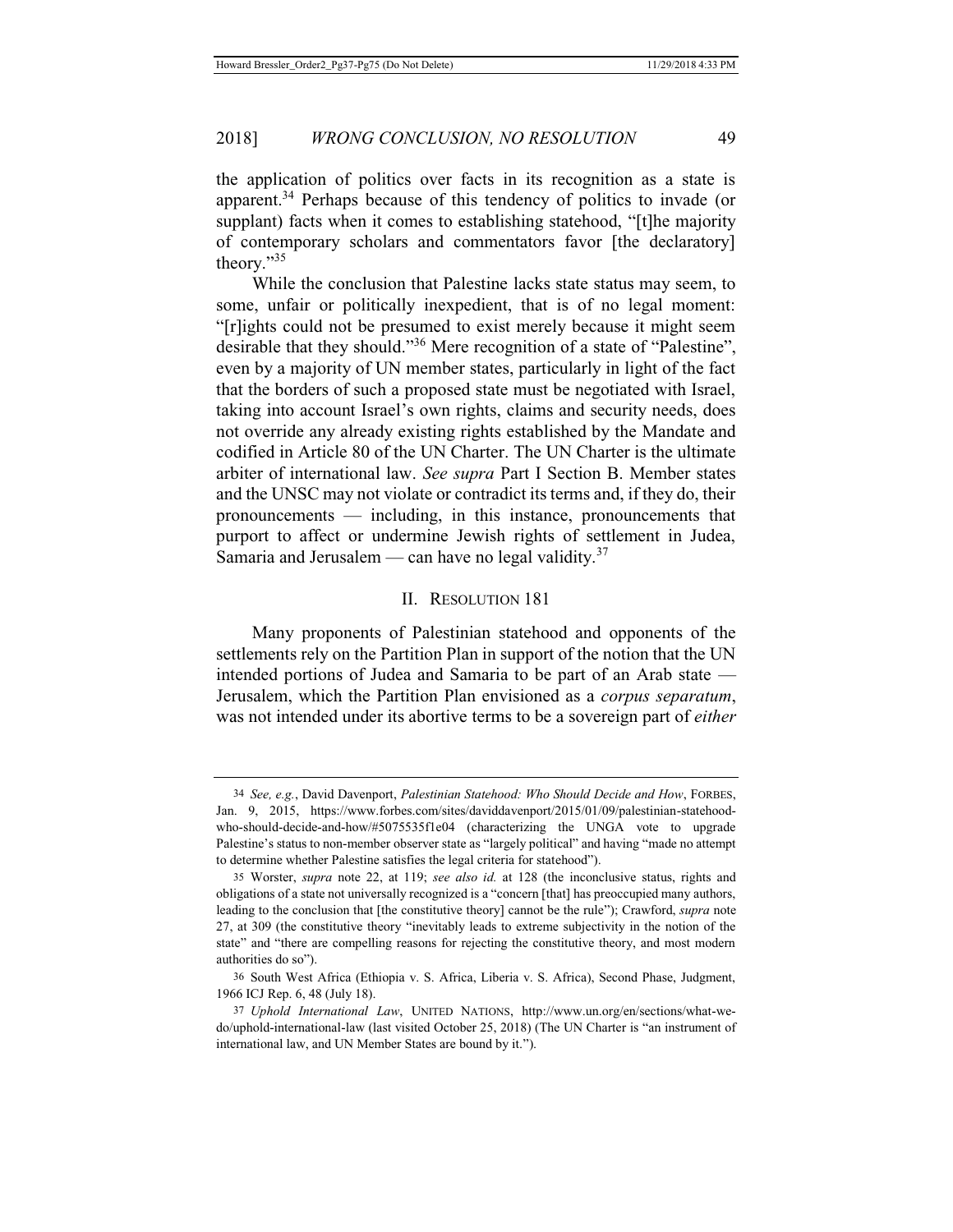the application of politics over facts in its recognition as a state is apparent.<sup>34</sup> Perhaps because of this tendency of politics to invade (or supplant) facts when it comes to establishing statehood, "[t]he majority of contemporary scholars and commentators favor [the declaratory] theory."35

While the conclusion that Palestine lacks state status may seem, to some, unfair or politically inexpedient, that is of no legal moment: "[r]ights could not be presumed to exist merely because it might seem desirable that they should."<sup>36</sup> Mere recognition of a state of "Palestine", even by a majority of UN member states, particularly in light of the fact that the borders of such a proposed state must be negotiated with Israel, taking into account Israel's own rights, claims and security needs, does not override any already existing rights established by the Mandate and codified in Article 80 of the UN Charter. The UN Charter is the ultimate arbiter of international law. *See supra* Part I Section B. Member states and the UNSC may not violate or contradict its terms and, if they do, their pronouncements — including, in this instance, pronouncements that purport to affect or undermine Jewish rights of settlement in Judea, Samaria and Jerusalem — can have no legal validity. $37$ 

#### II. RESOLUTION 181

Many proponents of Palestinian statehood and opponents of the settlements rely on the Partition Plan in support of the notion that the UN intended portions of Judea and Samaria to be part of an Arab state — Jerusalem, which the Partition Plan envisioned as a *corpus separatum*, was not intended under its abortive terms to be a sovereign part of *either*

<sup>34</sup> *See, e.g.*, David Davenport, *Palestinian Statehood: Who Should Decide and How*, FORBES, Jan. 9, 2015, https://www.forbes.com/sites/daviddavenport/2015/01/09/palestinian-statehoodwho-should-decide-and-how/#5075535f1e04 (characterizing the UNGA vote to upgrade Palestine's status to non-member observer state as "largely political" and having "made no attempt to determine whether Palestine satisfies the legal criteria for statehood").

<sup>35</sup> Worster, *supra* note 22, at 119; *see also id.* at 128 (the inconclusive status, rights and obligations of a state not universally recognized is a "concern [that] has preoccupied many authors, leading to the conclusion that [the constitutive theory] cannot be the rule"); Crawford, *supra* note 27, at 309 (the constitutive theory "inevitably leads to extreme subjectivity in the notion of the state" and "there are compelling reasons for rejecting the constitutive theory, and most modern authorities do so").

<sup>36</sup> South West Africa (Ethiopia v. S. Africa, Liberia v. S. Africa), Second Phase, Judgment, 1966 ICJ Rep. 6, 48 (July 18).

<sup>37</sup> *Uphold International Law*, UNITED NATIONS, http://www.un.org/en/sections/what-wedo/uphold-international-law (last visited October 25, 2018) (The UN Charter is "an instrument of international law, and UN Member States are bound by it.").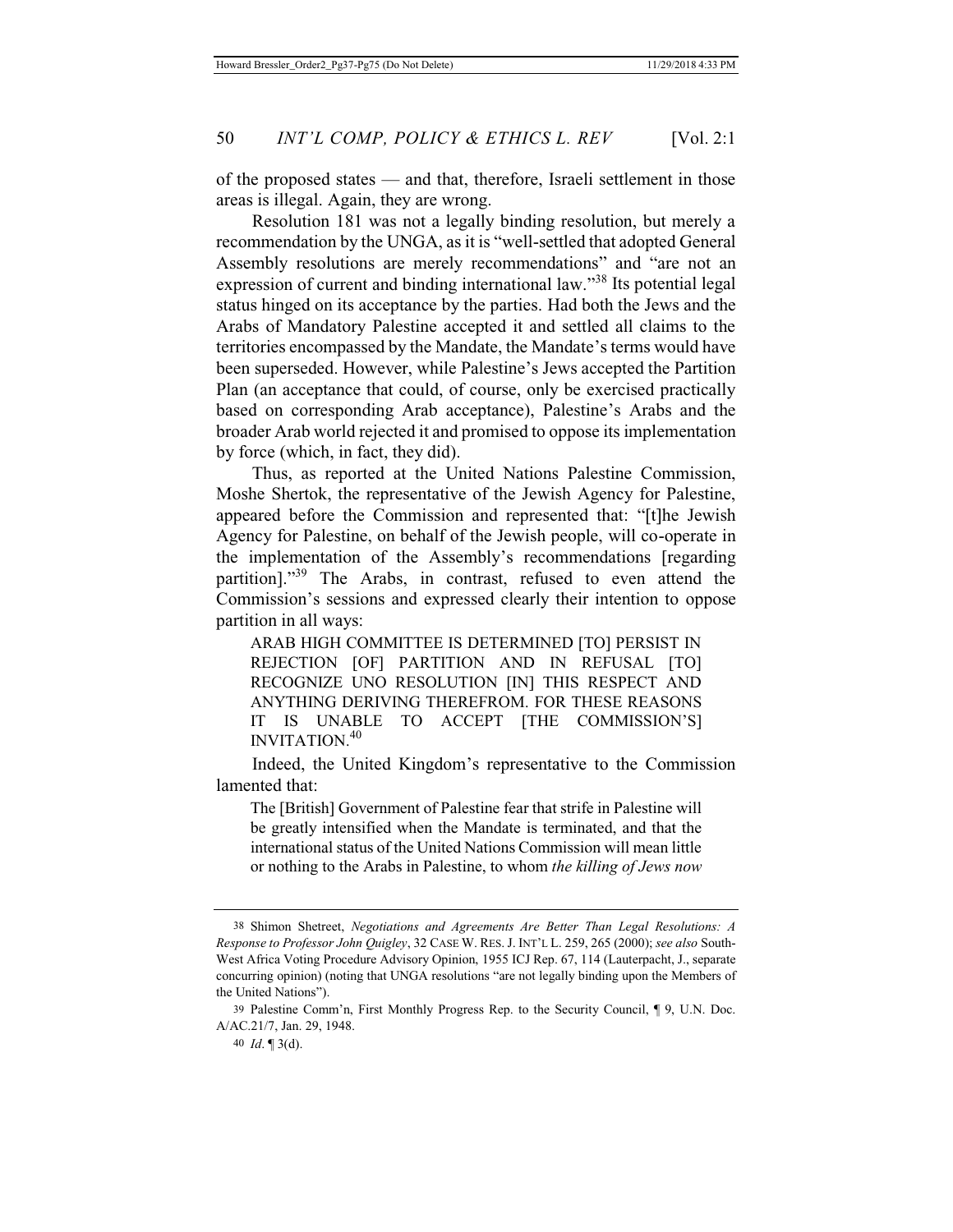of the proposed states — and that, therefore, Israeli settlement in those areas is illegal. Again, they are wrong.

Resolution 181 was not a legally binding resolution, but merely a recommendation by the UNGA, as it is "well-settled that adopted General Assembly resolutions are merely recommendations" and "are not an expression of current and binding international law."<sup>38</sup> Its potential legal status hinged on its acceptance by the parties. Had both the Jews and the Arabs of Mandatory Palestine accepted it and settled all claims to the territories encompassed by the Mandate, the Mandate's terms would have been superseded. However, while Palestine's Jews accepted the Partition Plan (an acceptance that could, of course, only be exercised practically based on corresponding Arab acceptance), Palestine's Arabs and the broader Arab world rejected it and promised to oppose its implementation by force (which, in fact, they did).

Thus, as reported at the United Nations Palestine Commission, Moshe Shertok, the representative of the Jewish Agency for Palestine, appeared before the Commission and represented that: "[t]he Jewish Agency for Palestine, on behalf of the Jewish people, will co-operate in the implementation of the Assembly's recommendations [regarding partition]."39 The Arabs, in contrast, refused to even attend the Commission's sessions and expressed clearly their intention to oppose partition in all ways:

ARAB HIGH COMMITTEE IS DETERMINED [TO] PERSIST IN REJECTION [OF] PARTITION AND IN REFUSAL [TO] RECOGNIZE UNO RESOLUTION [IN] THIS RESPECT AND ANYTHING DERIVING THEREFROM. FOR THESE REASONS IT IS UNABLE TO ACCEPT [THE COMMISSION'S] INVITATION.<sup>40</sup>

Indeed, the United Kingdom's representative to the Commission lamented that:

The [British] Government of Palestine fear that strife in Palestine will be greatly intensified when the Mandate is terminated, and that the international status of the United Nations Commission will mean little or nothing to the Arabs in Palestine, to whom *the killing of Jews now* 

<sup>38</sup> Shimon Shetreet, *Negotiations and Agreements Are Better Than Legal Resolutions: A Response to Professor John Quigley*, 32 CASE W. RES. J. INT'L L. 259, 265 (2000); *see also* South-West Africa Voting Procedure Advisory Opinion, 1955 ICJ Rep. 67, 114 (Lauterpacht, J., separate concurring opinion) (noting that UNGA resolutions "are not legally binding upon the Members of the United Nations").

<sup>39</sup> Palestine Comm'n, First Monthly Progress Rep. to the Security Council, ¶ 9, U.N. Doc. A/AC.21/7, Jan. 29, 1948.

<sup>40</sup> *Id*. ¶ 3(d).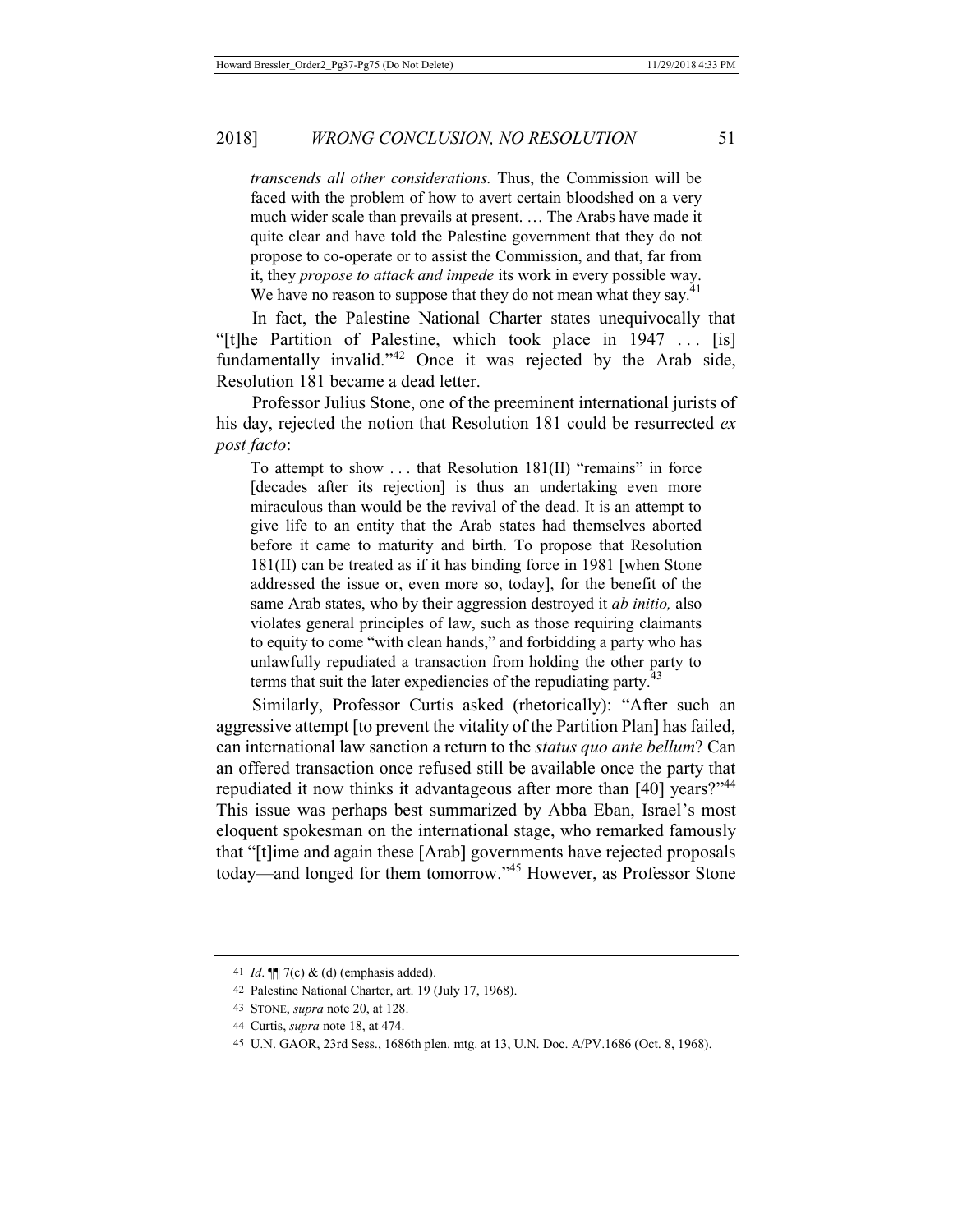*transcends all other considerations.* Thus, the Commission will be faced with the problem of how to avert certain bloodshed on a very much wider scale than prevails at present. … The Arabs have made it quite clear and have told the Palestine government that they do not propose to co-operate or to assist the Commission, and that, far from it, they *propose to attack and impede* its work in every possible way. We have no reason to suppose that they do not mean what they say.<sup>41</sup>

In fact, the Palestine National Charter states unequivocally that "[t]he Partition of Palestine, which took place in 1947 . . . [is] fundamentally invalid. $142$  Once it was rejected by the Arab side, Resolution 181 became a dead letter.

Professor Julius Stone, one of the preeminent international jurists of his day, rejected the notion that Resolution 181 could be resurrected *ex post facto*:

To attempt to show . . . that Resolution 181(II) "remains" in force [decades after its rejection] is thus an undertaking even more miraculous than would be the revival of the dead. It is an attempt to give life to an entity that the Arab states had themselves aborted before it came to maturity and birth. To propose that Resolution 181(II) can be treated as if it has binding force in 1981 [when Stone addressed the issue or, even more so, today], for the benefit of the same Arab states, who by their aggression destroyed it *ab initio,* also violates general principles of law, such as those requiring claimants to equity to come "with clean hands," and forbidding a party who has unlawfully repudiated a transaction from holding the other party to terms that suit the later expediencies of the repudiating party. $43$ 

Similarly, Professor Curtis asked (rhetorically): "After such an aggressive attempt [to prevent the vitality of the Partition Plan] has failed, can international law sanction a return to the *status quo ante bellum*? Can an offered transaction once refused still be available once the party that repudiated it now thinks it advantageous after more than [40] years?"<sup>44</sup> This issue was perhaps best summarized by Abba Eban, Israel's most eloquent spokesman on the international stage, who remarked famously that "[t]ime and again these [Arab] governments have rejected proposals today—and longed for them tomorrow."45 However, as Professor Stone

<sup>41</sup> *Id*. ¶¶ 7(c) & (d) (emphasis added).

<sup>42</sup> Palestine National Charter, art. 19 (July 17, 1968).

<sup>43</sup> STONE, *supra* note 20, at 128.

<sup>44</sup> Curtis, *supra* note 18, at 474.

<sup>45</sup> U.N. GAOR, 23rd Sess., 1686th plen. mtg. at 13, U.N. Doc. A/PV.1686 (Oct. 8, 1968).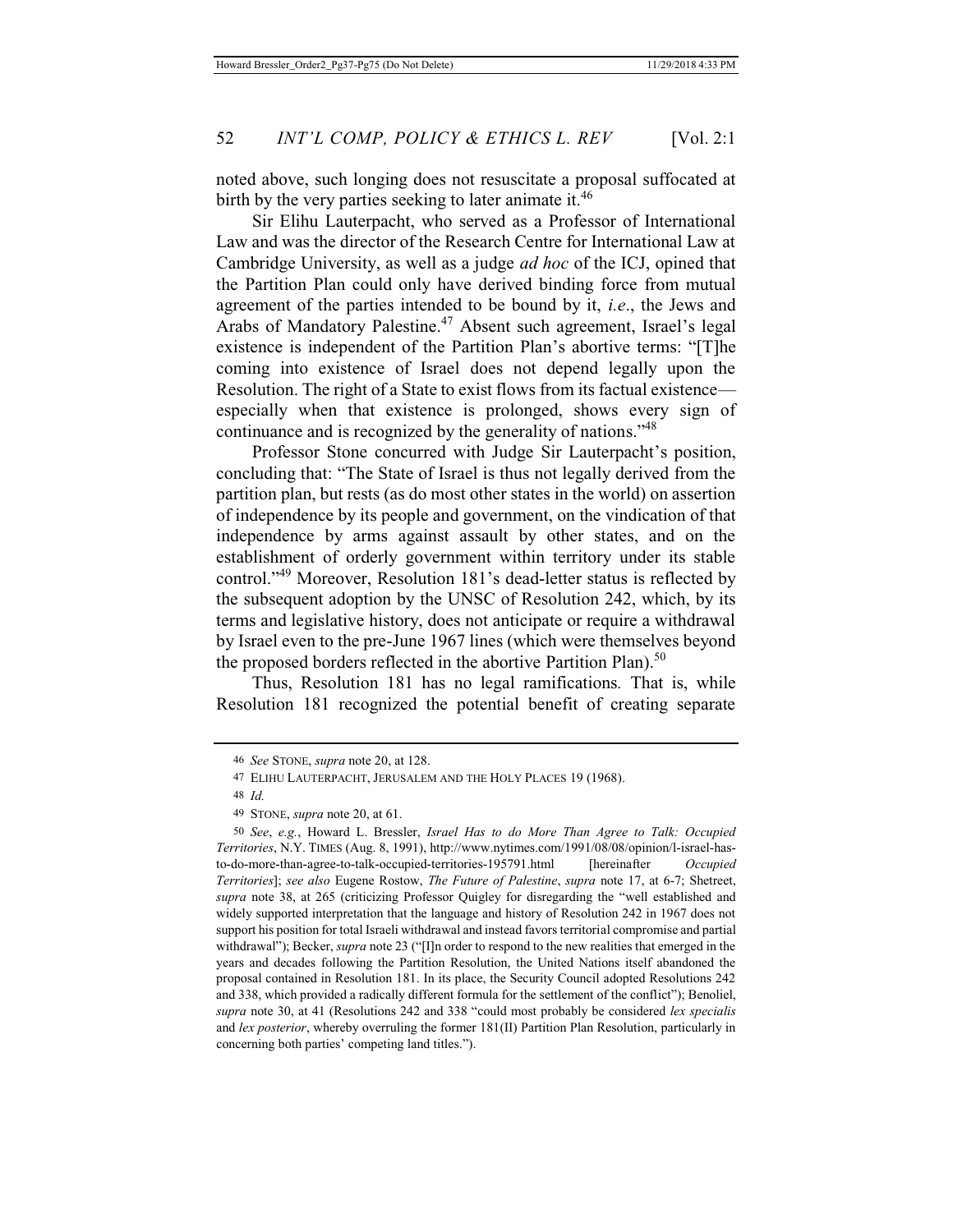noted above, such longing does not resuscitate a proposal suffocated at birth by the very parties seeking to later animate it.<sup>46</sup>

Sir Elihu Lauterpacht, who served as a Professor of International Law and was the director of the Research Centre for International Law at Cambridge University, as well as a judge *ad hoc* of the ICJ, opined that the Partition Plan could only have derived binding force from mutual agreement of the parties intended to be bound by it, *i.e*., the Jews and Arabs of Mandatory Palestine.<sup>47</sup> Absent such agreement, Israel's legal existence is independent of the Partition Plan's abortive terms: "[T]he coming into existence of Israel does not depend legally upon the Resolution. The right of a State to exist flows from its factual existence especially when that existence is prolonged, shows every sign of continuance and is recognized by the generality of nations."48

Professor Stone concurred with Judge Sir Lauterpacht's position, concluding that: "The State of Israel is thus not legally derived from the partition plan, but rests (as do most other states in the world) on assertion of independence by its people and government, on the vindication of that independence by arms against assault by other states, and on the establishment of orderly government within territory under its stable control."49 Moreover, Resolution 181's dead-letter status is reflected by the subsequent adoption by the UNSC of Resolution 242, which, by its terms and legislative history, does not anticipate or require a withdrawal by Israel even to the pre-June 1967 lines (which were themselves beyond the proposed borders reflected in the abortive Partition Plan).<sup>50</sup>

Thus, Resolution 181 has no legal ramifications*.* That is, while Resolution 181 recognized the potential benefit of creating separate

<sup>46</sup> *See* STONE, *supra* note 20, at 128.

<sup>47</sup> ELIHU LAUTERPACHT, JERUSALEM AND THE HOLY PLACES 19 (1968).

<sup>48</sup> *Id.*

<sup>49</sup> STONE, *supra* note 20, at 61.

<sup>50</sup> *See*, *e.g.*, Howard L. Bressler, *Israel Has to do More Than Agree to Talk: Occupied Territories*, N.Y. TIMES (Aug. 8, 1991), http://www.nytimes.com/1991/08/08/opinion/l-israel-hasto-do-more-than-agree-to-talk-occupied-territories-195791.html [hereinafter *Occupied Territories*]; *see also* Eugene Rostow, *The Future of Palestine*, *supra* note 17, at 6-7; Shetreet, *supra* note 38, at 265 (criticizing Professor Quigley for disregarding the "well established and widely supported interpretation that the language and history of Resolution 242 in 1967 does not support his position for total Israeli withdrawal and instead favors territorial compromise and partial withdrawal"); Becker, *supra* note 23 ("[I]n order to respond to the new realities that emerged in the years and decades following the Partition Resolution, the United Nations itself abandoned the proposal contained in Resolution 181. In its place, the Security Council adopted Resolutions 242 and 338, which provided a radically different formula for the settlement of the conflict"); Benoliel, *supra* note 30, at 41 (Resolutions 242 and 338 "could most probably be considered *lex specialis* and *lex posterior*, whereby overruling the former 181(II) Partition Plan Resolution, particularly in concerning both parties' competing land titles.").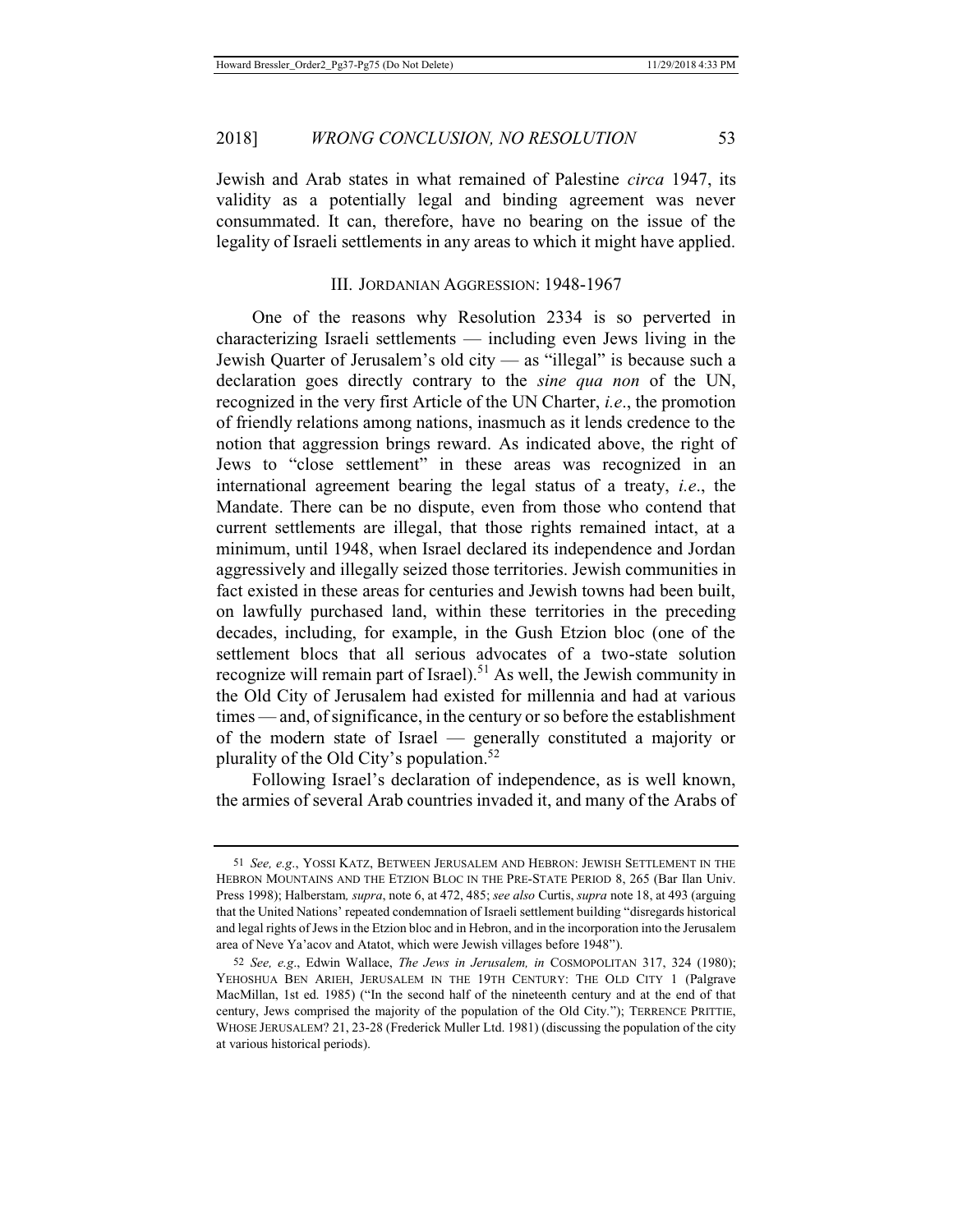Jewish and Arab states in what remained of Palestine *circa* 1947, its validity as a potentially legal and binding agreement was never consummated. It can, therefore, have no bearing on the issue of the legality of Israeli settlements in any areas to which it might have applied.

## III. JORDANIAN AGGRESSION: 1948-1967

One of the reasons why Resolution 2334 is so perverted in characterizing Israeli settlements — including even Jews living in the Jewish Quarter of Jerusalem's old city — as "illegal" is because such a declaration goes directly contrary to the *sine qua non* of the UN, recognized in the very first Article of the UN Charter, *i.e*., the promotion of friendly relations among nations, inasmuch as it lends credence to the notion that aggression brings reward. As indicated above, the right of Jews to "close settlement" in these areas was recognized in an international agreement bearing the legal status of a treaty, *i.e*., the Mandate. There can be no dispute, even from those who contend that current settlements are illegal, that those rights remained intact, at a minimum, until 1948, when Israel declared its independence and Jordan aggressively and illegally seized those territories. Jewish communities in fact existed in these areas for centuries and Jewish towns had been built, on lawfully purchased land, within these territories in the preceding decades, including, for example, in the Gush Etzion bloc (one of the settlement blocs that all serious advocates of a two-state solution recognize will remain part of Israel).<sup>51</sup> As well, the Jewish community in the Old City of Jerusalem had existed for millennia and had at various times — and, of significance, in the century or so before the establishment of the modern state of Israel — generally constituted a majority or plurality of the Old City's population.<sup>52</sup>

Following Israel's declaration of independence, as is well known, the armies of several Arab countries invaded it, and many of the Arabs of

<sup>51</sup> *See, e.g*., YOSSI KATZ, BETWEEN JERUSALEM AND HEBRON: JEWISH SETTLEMENT IN THE HEBRON MOUNTAINS AND THE ETZION BLOC IN THE PRE-STATE PERIOD 8, 265 (Bar Ilan Univ. Press 1998); Halberstam*, supra*, note 6, at 472, 485; *see also* Curtis, *supra* note 18, at 493 (arguing that the United Nations' repeated condemnation of Israeli settlement building "disregards historical and legal rights of Jews in the Etzion bloc and in Hebron, and in the incorporation into the Jerusalem area of Neve Ya'acov and Atatot, which were Jewish villages before 1948").

<sup>52</sup> *See, e.g*., Edwin Wallace, *The Jews in Jerusalem, in* COSMOPOLITAN 317, 324 (1980); YEHOSHUA BEN ARIEH, JERUSALEM IN THE 19TH CENTURY: THE OLD CITY 1 (Palgrave MacMillan, 1st ed. 1985) ("In the second half of the nineteenth century and at the end of that century, Jews comprised the majority of the population of the Old City."); TERRENCE PRITTIE, WHOSE JERUSALEM? 21, 23-28 (Frederick Muller Ltd. 1981) (discussing the population of the city at various historical periods).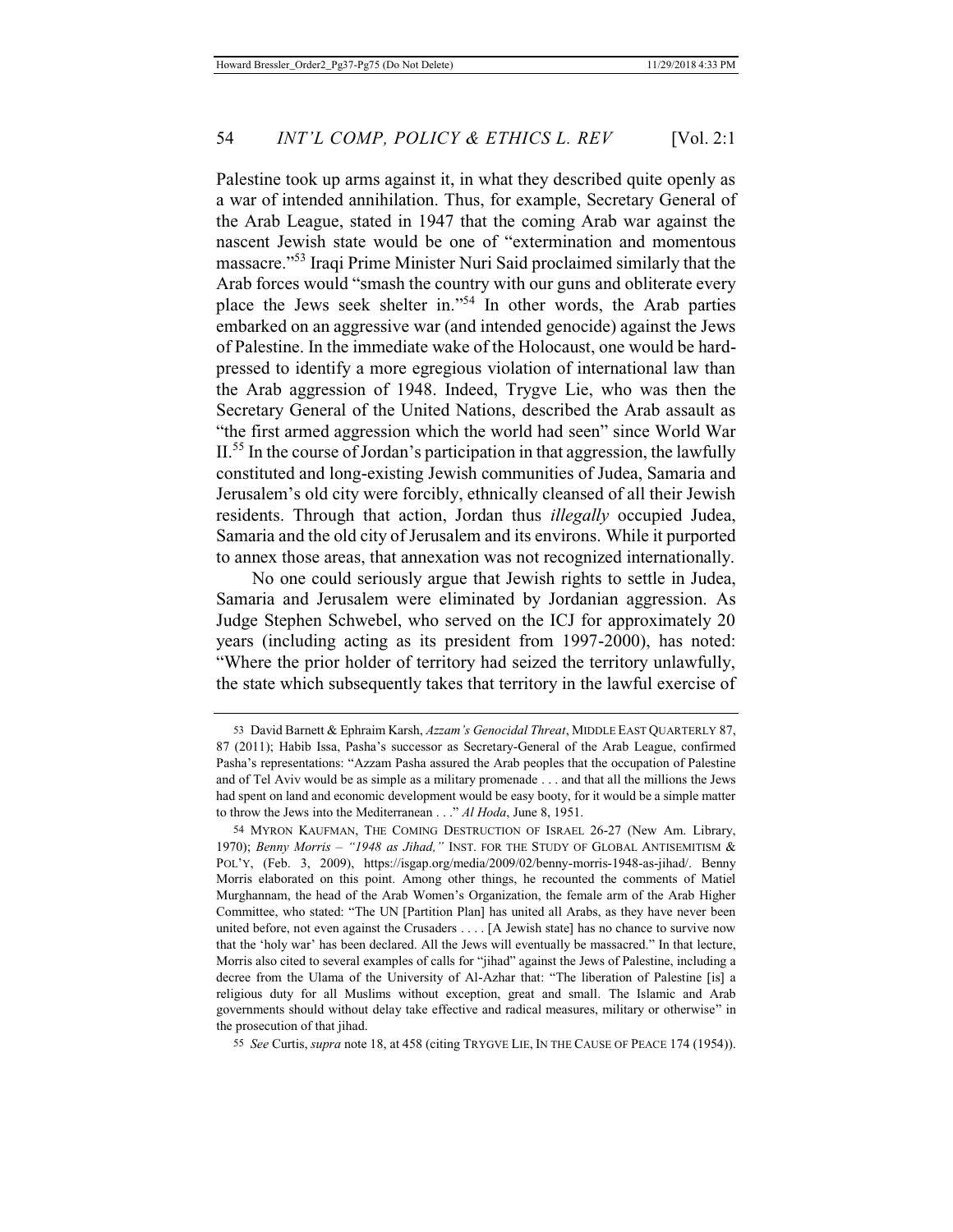Palestine took up arms against it, in what they described quite openly as a war of intended annihilation. Thus, for example, Secretary General of the Arab League, stated in 1947 that the coming Arab war against the nascent Jewish state would be one of "extermination and momentous massacre."53 Iraqi Prime Minister Nuri Said proclaimed similarly that the Arab forces would "smash the country with our guns and obliterate every place the Jews seek shelter in."54 In other words, the Arab parties embarked on an aggressive war (and intended genocide) against the Jews of Palestine. In the immediate wake of the Holocaust, one would be hardpressed to identify a more egregious violation of international law than the Arab aggression of 1948. Indeed, Trygve Lie, who was then the Secretary General of the United Nations, described the Arab assault as "the first armed aggression which the world had seen" since World War  $II<sup>55</sup>$  In the course of Jordan's participation in that aggression, the lawfully constituted and long-existing Jewish communities of Judea, Samaria and Jerusalem's old city were forcibly, ethnically cleansed of all their Jewish residents. Through that action, Jordan thus *illegally* occupied Judea, Samaria and the old city of Jerusalem and its environs. While it purported to annex those areas, that annexation was not recognized internationally.

No one could seriously argue that Jewish rights to settle in Judea, Samaria and Jerusalem were eliminated by Jordanian aggression. As Judge Stephen Schwebel, who served on the ICJ for approximately 20 years (including acting as its president from 1997-2000), has noted: "Where the prior holder of territory had seized the territory unlawfully, the state which subsequently takes that territory in the lawful exercise of

<sup>53</sup> David Barnett & Ephraim Karsh, *Azzam's Genocidal Threat*, MIDDLE EAST QUARTERLY 87, 87 (2011); Habib Issa, Pasha's successor as Secretary-General of the Arab League, confirmed Pasha's representations: "Azzam Pasha assured the Arab peoples that the occupation of Palestine and of Tel Aviv would be as simple as a military promenade . . . and that all the millions the Jews had spent on land and economic development would be easy booty, for it would be a simple matter to throw the Jews into the Mediterranean . . ." *Al Hoda*, June 8, 1951.

<sup>54</sup> MYRON KAUFMAN, THE COMING DESTRUCTION OF ISRAEL 26-27 (New Am. Library, 1970); *Benny Morris – "1948 as Jihad,"* INST. FOR THE STUDY OF GLOBAL ANTISEMITISM & POL'Y, (Feb. 3, 2009), https://isgap.org/media/2009/02/benny-morris-1948-as-jihad/. Benny Morris elaborated on this point. Among other things, he recounted the comments of Matiel Murghannam, the head of the Arab Women's Organization, the female arm of the Arab Higher Committee, who stated: "The UN [Partition Plan] has united all Arabs, as they have never been united before, not even against the Crusaders . . . . [A Jewish state] has no chance to survive now that the 'holy war' has been declared. All the Jews will eventually be massacred." In that lecture, Morris also cited to several examples of calls for "jihad" against the Jews of Palestine, including a decree from the Ulama of the University of Al-Azhar that: "The liberation of Palestine [is] a religious duty for all Muslims without exception, great and small. The Islamic and Arab governments should without delay take effective and radical measures, military or otherwise" in the prosecution of that jihad.

<sup>55</sup> *See* Curtis, *supra* note 18, at 458 (citing TRYGVE LIE, IN THE CAUSE OF PEACE 174 (1954)).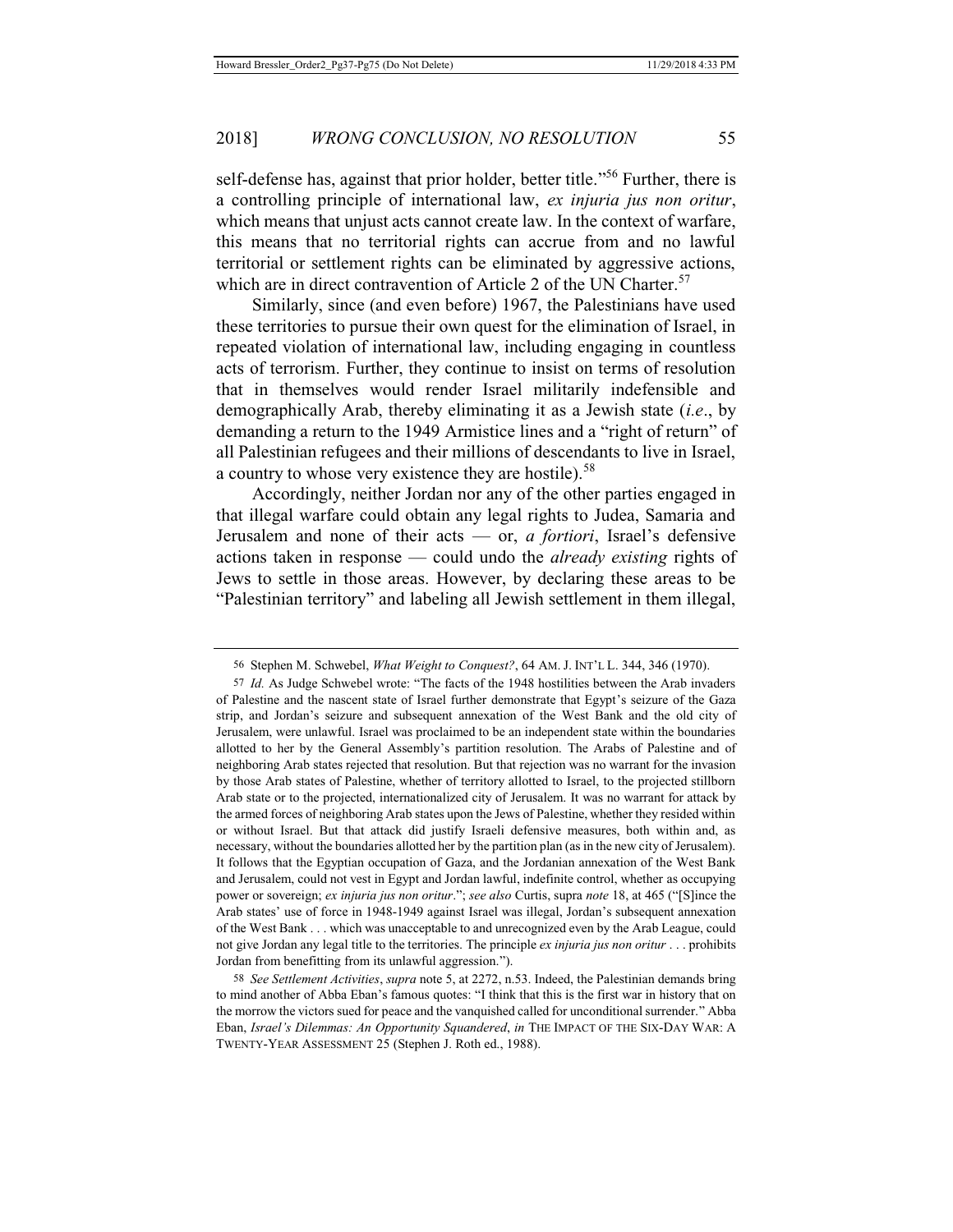self-defense has, against that prior holder, better title."<sup>56</sup> Further, there is a controlling principle of international law, *ex injuria jus non oritur*, which means that unjust acts cannot create law. In the context of warfare, this means that no territorial rights can accrue from and no lawful territorial or settlement rights can be eliminated by aggressive actions, which are in direct contravention of Article 2 of the UN Charter.<sup>57</sup>

Similarly, since (and even before) 1967, the Palestinians have used these territories to pursue their own quest for the elimination of Israel, in repeated violation of international law, including engaging in countless acts of terrorism. Further, they continue to insist on terms of resolution that in themselves would render Israel militarily indefensible and demographically Arab, thereby eliminating it as a Jewish state (*i.e*., by demanding a return to the 1949 Armistice lines and a "right of return" of all Palestinian refugees and their millions of descendants to live in Israel, a country to whose very existence they are hostile).<sup>58</sup>

Accordingly, neither Jordan nor any of the other parties engaged in that illegal warfare could obtain any legal rights to Judea, Samaria and Jerusalem and none of their acts — or, *a fortiori*, Israel's defensive actions taken in response — could undo the *already existing* rights of Jews to settle in those areas. However, by declaring these areas to be "Palestinian territory" and labeling all Jewish settlement in them illegal,

58 *See Settlement Activities*, *supra* note 5, at 2272, n.53. Indeed, the Palestinian demands bring to mind another of Abba Eban's famous quotes: "I think that this is the first war in history that on the morrow the victors sued for peace and the vanquished called for unconditional surrender." Abba Eban, *Israel's Dilemmas: An Opportunity Squandered*, *in* THE IMPACT OF THE SIX-DAY WAR: A TWENTY-YEAR ASSESSMENT 25 (Stephen J. Roth ed., 1988).

<sup>56</sup> Stephen M. Schwebel, *What Weight to Conquest?*, 64 AM. J. INT'L L. 344, 346 (1970).

<sup>57</sup> *Id.* As Judge Schwebel wrote: "The facts of the 1948 hostilities between the Arab invaders of Palestine and the nascent state of Israel further demonstrate that Egypt's seizure of the Gaza strip, and Jordan's seizure and subsequent annexation of the West Bank and the old city of Jerusalem, were unlawful. Israel was proclaimed to be an independent state within the boundaries allotted to her by the General Assembly's partition resolution. The Arabs of Palestine and of neighboring Arab states rejected that resolution. But that rejection was no warrant for the invasion by those Arab states of Palestine, whether of territory allotted to Israel, to the projected stillborn Arab state or to the projected, internationalized city of Jerusalem. It was no warrant for attack by the armed forces of neighboring Arab states upon the Jews of Palestine, whether they resided within or without Israel. But that attack did justify Israeli defensive measures, both within and, as necessary, without the boundaries allotted her by the partition plan (as in the new city of Jerusalem). It follows that the Egyptian occupation of Gaza, and the Jordanian annexation of the West Bank and Jerusalem, could not vest in Egypt and Jordan lawful, indefinite control, whether as occupying power or sovereign; *ex injuria jus non oritur*."; *see also* Curtis, supra *note* 18, at 465 ("[S]ince the Arab states' use of force in 1948-1949 against Israel was illegal, Jordan's subsequent annexation of the West Bank . . . which was unacceptable to and unrecognized even by the Arab League, could not give Jordan any legal title to the territories. The principle *ex injuria jus non oritur* . . . prohibits Jordan from benefitting from its unlawful aggression.").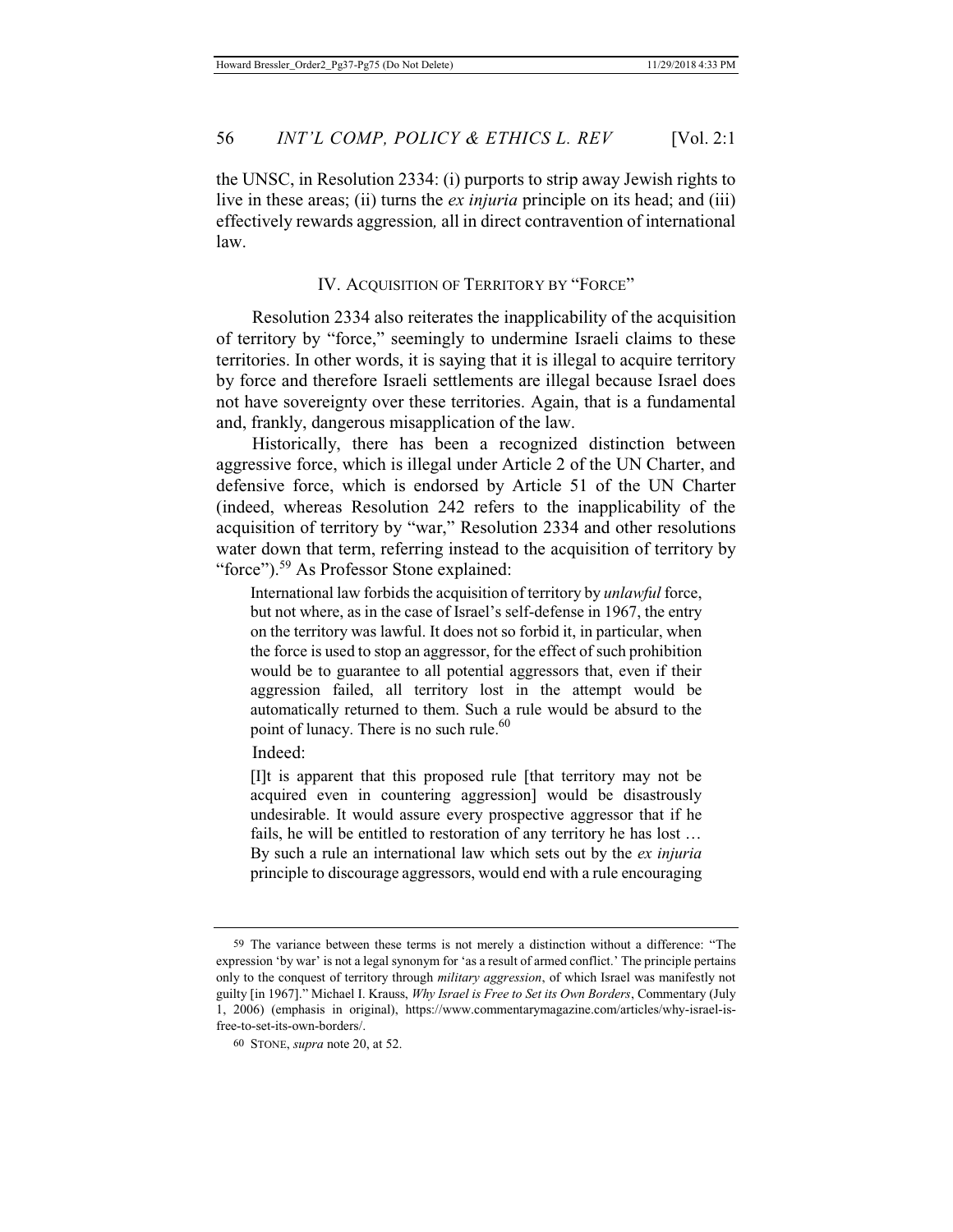the UNSC, in Resolution 2334: (i) purports to strip away Jewish rights to live in these areas; (ii) turns the *ex injuria* principle on its head; and (iii) effectively rewards aggression*,* all in direct contravention of international law.

## IV. ACQUISITION OF TERRITORY BY "FORCE"

Resolution 2334 also reiterates the inapplicability of the acquisition of territory by "force," seemingly to undermine Israeli claims to these territories. In other words, it is saying that it is illegal to acquire territory by force and therefore Israeli settlements are illegal because Israel does not have sovereignty over these territories. Again, that is a fundamental and, frankly, dangerous misapplication of the law.

Historically, there has been a recognized distinction between aggressive force, which is illegal under Article 2 of the UN Charter, and defensive force, which is endorsed by Article 51 of the UN Charter (indeed, whereas Resolution 242 refers to the inapplicability of the acquisition of territory by "war," Resolution 2334 and other resolutions water down that term, referring instead to the acquisition of territory by "force").<sup>59</sup> As Professor Stone explained:

International law forbids the acquisition of territory by *unlawful* force, but not where, as in the case of Israel's self-defense in 1967, the entry on the territory was lawful. It does not so forbid it, in particular, when the force is used to stop an aggressor, for the effect of such prohibition would be to guarantee to all potential aggressors that, even if their aggression failed, all territory lost in the attempt would be automatically returned to them. Such a rule would be absurd to the point of lunacy. There is no such rule. $60$ 

Indeed:

[I]t is apparent that this proposed rule [that territory may not be acquired even in countering aggression] would be disastrously undesirable. It would assure every prospective aggressor that if he fails, he will be entitled to restoration of any territory he has lost … By such a rule an international law which sets out by the *ex injuria* principle to discourage aggressors, would end with a rule encouraging

<sup>59</sup> The variance between these terms is not merely a distinction without a difference: "The expression 'by war' is not a legal synonym for 'as a result of armed conflict.' The principle pertains only to the conquest of territory through *military aggression*, of which Israel was manifestly not guilty [in 1967]." Michael I. Krauss, *Why Israel is Free to Set its Own Borders*, Commentary (July 1, 2006) (emphasis in original), https://www.commentarymagazine.com/articles/why-israel-isfree-to-set-its-own-borders/.

<sup>60</sup> STONE, *supra* note 20, at 52.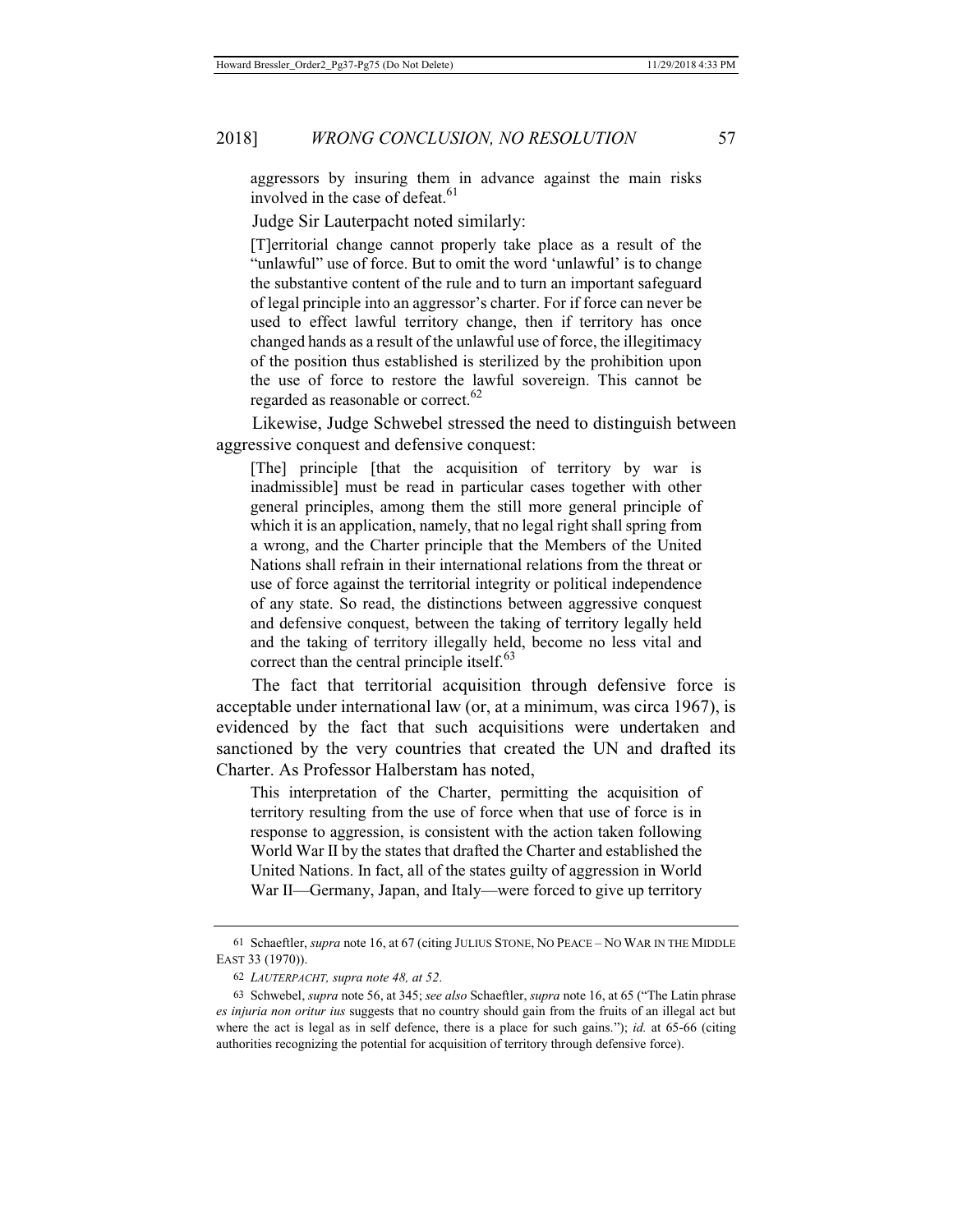aggressors by insuring them in advance against the main risks involved in the case of defeat.<sup>61</sup>

Judge Sir Lauterpacht noted similarly:

[T]erritorial change cannot properly take place as a result of the "unlawful" use of force. But to omit the word 'unlawful' is to change the substantive content of the rule and to turn an important safeguard of legal principle into an aggressor's charter. For if force can never be used to effect lawful territory change, then if territory has once changed hands as a result of the unlawful use of force, the illegitimacy of the position thus established is sterilized by the prohibition upon the use of force to restore the lawful sovereign. This cannot be regarded as reasonable or correct.<sup>62</sup>

Likewise, Judge Schwebel stressed the need to distinguish between aggressive conquest and defensive conquest:

[The] principle [that the acquisition of territory by war is inadmissible] must be read in particular cases together with other general principles, among them the still more general principle of which it is an application, namely, that no legal right shall spring from a wrong, and the Charter principle that the Members of the United Nations shall refrain in their international relations from the threat or use of force against the territorial integrity or political independence of any state. So read, the distinctions between aggressive conquest and defensive conquest, between the taking of territory legally held and the taking of territory illegally held, become no less vital and correct than the central principle itself. $63$ 

The fact that territorial acquisition through defensive force is acceptable under international law (or, at a minimum, was circa 1967), is evidenced by the fact that such acquisitions were undertaken and sanctioned by the very countries that created the UN and drafted its Charter. As Professor Halberstam has noted,

This interpretation of the Charter, permitting the acquisition of territory resulting from the use of force when that use of force is in response to aggression, is consistent with the action taken following World War II by the states that drafted the Charter and established the United Nations. In fact, all of the states guilty of aggression in World War II—Germany, Japan, and Italy—were forced to give up territory

<sup>61</sup> Schaeftler, *supra* note 16, at 67 (citing JULIUS STONE, NO PEACE – NO WAR IN THE MIDDLE EAST 33 (1970)).

<sup>62</sup> *LAUTERPACHT, supra note 48, at 52*.

<sup>63</sup> Schwebel, *supra* note 56, at 345; *see also* Schaeftler, *supra* note 16, at 65 ("The Latin phrase *es injuria non oritur ius* suggests that no country should gain from the fruits of an illegal act but where the act is legal as in self defence, there is a place for such gains."); *id.* at 65-66 (citing authorities recognizing the potential for acquisition of territory through defensive force).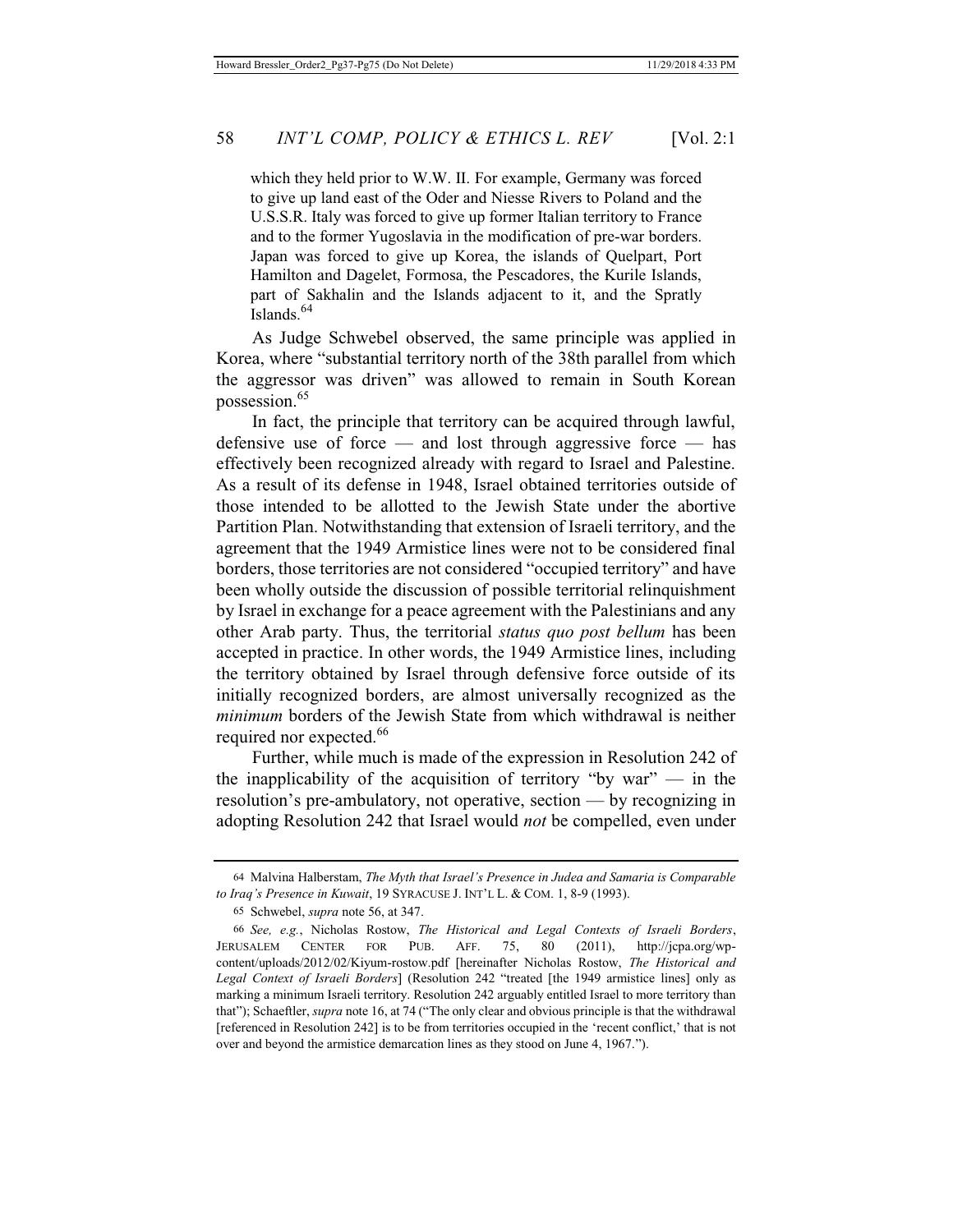which they held prior to W.W. II. For example, Germany was forced to give up land east of the Oder and Niesse Rivers to Poland and the U.S.S.R. Italy was forced to give up former Italian territory to France and to the former Yugoslavia in the modification of pre-war borders. Japan was forced to give up Korea, the islands of Quelpart, Port Hamilton and Dagelet, Formosa, the Pescadores, the Kurile Islands, part of Sakhalin and the Islands adjacent to it, and the Spratly Islands<sup>64</sup>

As Judge Schwebel observed, the same principle was applied in Korea, where "substantial territory north of the 38th parallel from which the aggressor was driven" was allowed to remain in South Korean possession.<sup>65</sup>

In fact, the principle that territory can be acquired through lawful, defensive use of force — and lost through aggressive force — has effectively been recognized already with regard to Israel and Palestine. As a result of its defense in 1948, Israel obtained territories outside of those intended to be allotted to the Jewish State under the abortive Partition Plan. Notwithstanding that extension of Israeli territory, and the agreement that the 1949 Armistice lines were not to be considered final borders, those territories are not considered "occupied territory" and have been wholly outside the discussion of possible territorial relinquishment by Israel in exchange for a peace agreement with the Palestinians and any other Arab party. Thus, the territorial *status quo post bellum* has been accepted in practice. In other words, the 1949 Armistice lines, including the territory obtained by Israel through defensive force outside of its initially recognized borders, are almost universally recognized as the *minimum* borders of the Jewish State from which withdrawal is neither required nor expected.<sup>66</sup>

Further, while much is made of the expression in Resolution 242 of the inapplicability of the acquisition of territory "by war"  $-$  in the resolution's pre-ambulatory, not operative, section — by recognizing in adopting Resolution 242 that Israel would *not* be compelled, even under

<sup>64</sup> Malvina Halberstam, *The Myth that Israel's Presence in Judea and Samaria is Comparable to Iraq's Presence in Kuwait*, 19 SYRACUSE J. INT'L L. & COM. 1, 8-9 (1993).

<sup>65</sup> Schwebel, *supra* note 56, at 347.

<sup>66</sup> *See, e.g.*, Nicholas Rostow, *The Historical and Legal Contexts of Israeli Borders*, JERUSALEM CENTER FOR PUB. AFF. 75, 80 (2011), http://jcpa.org/wpcontent/uploads/2012/02/Kiyum-rostow.pdf [hereinafter Nicholas Rostow, *The Historical and Legal Context of Israeli Borders*] (Resolution 242 "treated [the 1949 armistice lines] only as marking a minimum Israeli territory. Resolution 242 arguably entitled Israel to more territory than that"); Schaeftler, *supra* note 16, at 74 ("The only clear and obvious principle is that the withdrawal [referenced in Resolution 242] is to be from territories occupied in the 'recent conflict,' that is not over and beyond the armistice demarcation lines as they stood on June 4, 1967.").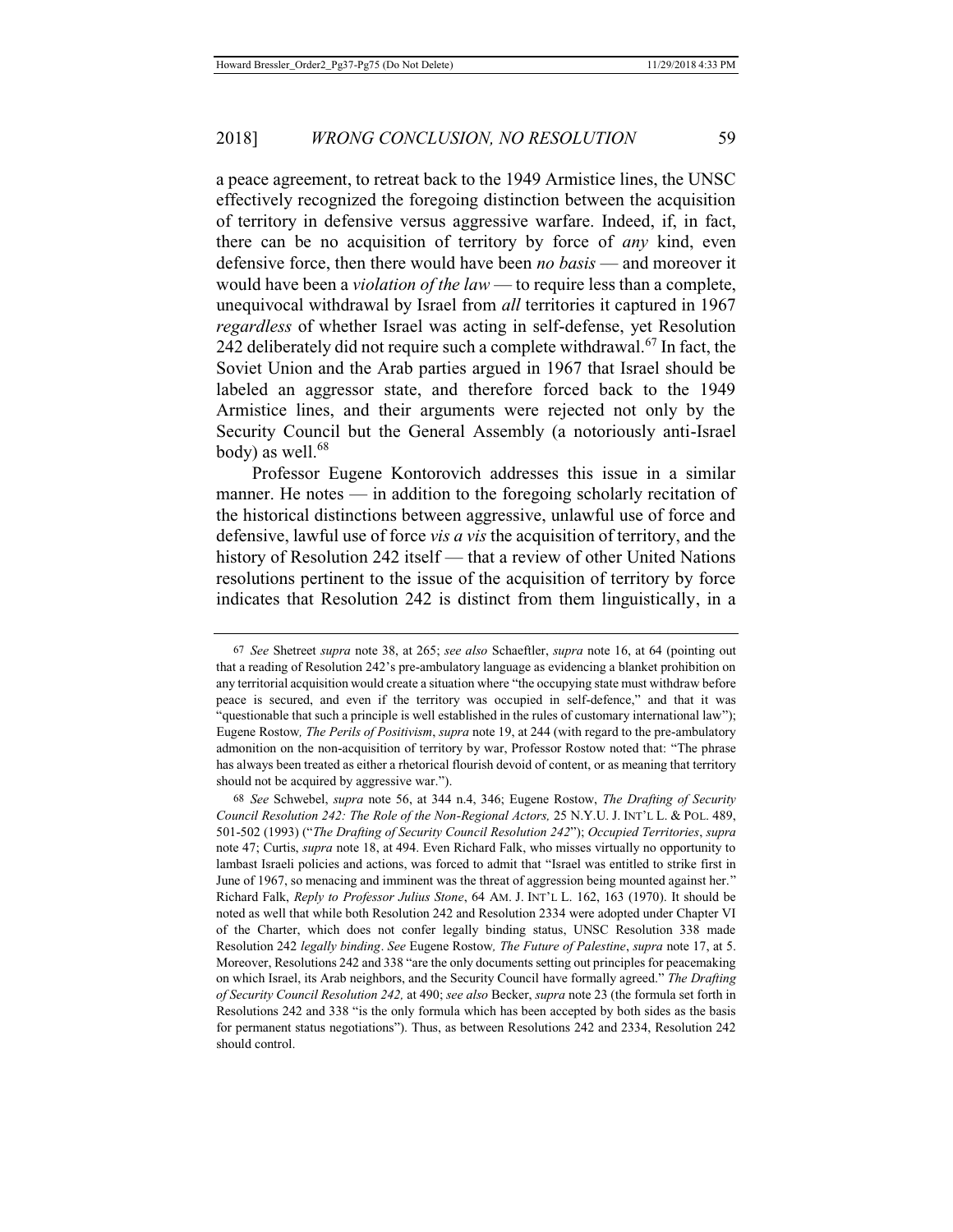a peace agreement, to retreat back to the 1949 Armistice lines, the UNSC effectively recognized the foregoing distinction between the acquisition of territory in defensive versus aggressive warfare. Indeed, if, in fact, there can be no acquisition of territory by force of *any* kind, even defensive force, then there would have been *no basis* — and moreover it would have been a *violation of the law* — to require less than a complete, unequivocal withdrawal by Israel from *all* territories it captured in 1967 *regardless* of whether Israel was acting in self-defense, yet Resolution 242 deliberately did not require such a complete withdrawal.<sup>67</sup> In fact, the Soviet Union and the Arab parties argued in 1967 that Israel should be labeled an aggressor state, and therefore forced back to the 1949 Armistice lines, and their arguments were rejected not only by the Security Council but the General Assembly (a notoriously anti-Israel body) as well. $68$ 

Professor Eugene Kontorovich addresses this issue in a similar manner. He notes — in addition to the foregoing scholarly recitation of the historical distinctions between aggressive, unlawful use of force and defensive, lawful use of force *vis a vis* the acquisition of territory, and the history of Resolution 242 itself — that a review of other United Nations resolutions pertinent to the issue of the acquisition of territory by force indicates that Resolution 242 is distinct from them linguistically, in a

<sup>67</sup> *See* Shetreet *supra* note 38, at 265; *see also* Schaeftler, *supra* note 16, at 64 (pointing out that a reading of Resolution 242's pre-ambulatory language as evidencing a blanket prohibition on any territorial acquisition would create a situation where "the occupying state must withdraw before peace is secured, and even if the territory was occupied in self-defence," and that it was "questionable that such a principle is well established in the rules of customary international law"); Eugene Rostow*, The Perils of Positivism*, *supra* note 19, at 244 (with regard to the pre-ambulatory admonition on the non-acquisition of territory by war, Professor Rostow noted that: "The phrase has always been treated as either a rhetorical flourish devoid of content, or as meaning that territory should not be acquired by aggressive war.").

<sup>68</sup> *See* Schwebel, *supra* note 56, at 344 n.4, 346; Eugene Rostow, *The Drafting of Security Council Resolution 242: The Role of the Non-Regional Actors,* 25 N.Y.U. J. INT'L L. & POL. 489, 501-502 (1993) ("*The Drafting of Security Council Resolution 242*"); *Occupied Territories*, *supra* note 47; Curtis, *supra* note 18, at 494. Even Richard Falk, who misses virtually no opportunity to lambast Israeli policies and actions, was forced to admit that "Israel was entitled to strike first in June of 1967, so menacing and imminent was the threat of aggression being mounted against her." Richard Falk, *Reply to Professor Julius Stone*, 64 AM. J. INT'L L. 162, 163 (1970). It should be noted as well that while both Resolution 242 and Resolution 2334 were adopted under Chapter VI of the Charter, which does not confer legally binding status, UNSC Resolution 338 made Resolution 242 *legally binding*. *See* Eugene Rostow*, The Future of Palestine*, *supra* note 17, at 5. Moreover, Resolutions 242 and 338 "are the only documents setting out principles for peacemaking on which Israel, its Arab neighbors, and the Security Council have formally agreed." *The Drafting of Security Council Resolution 242,* at 490; *see also* Becker, *supra* note 23 (the formula set forth in Resolutions 242 and 338 "is the only formula which has been accepted by both sides as the basis for permanent status negotiations"). Thus, as between Resolutions 242 and 2334, Resolution 242 should control.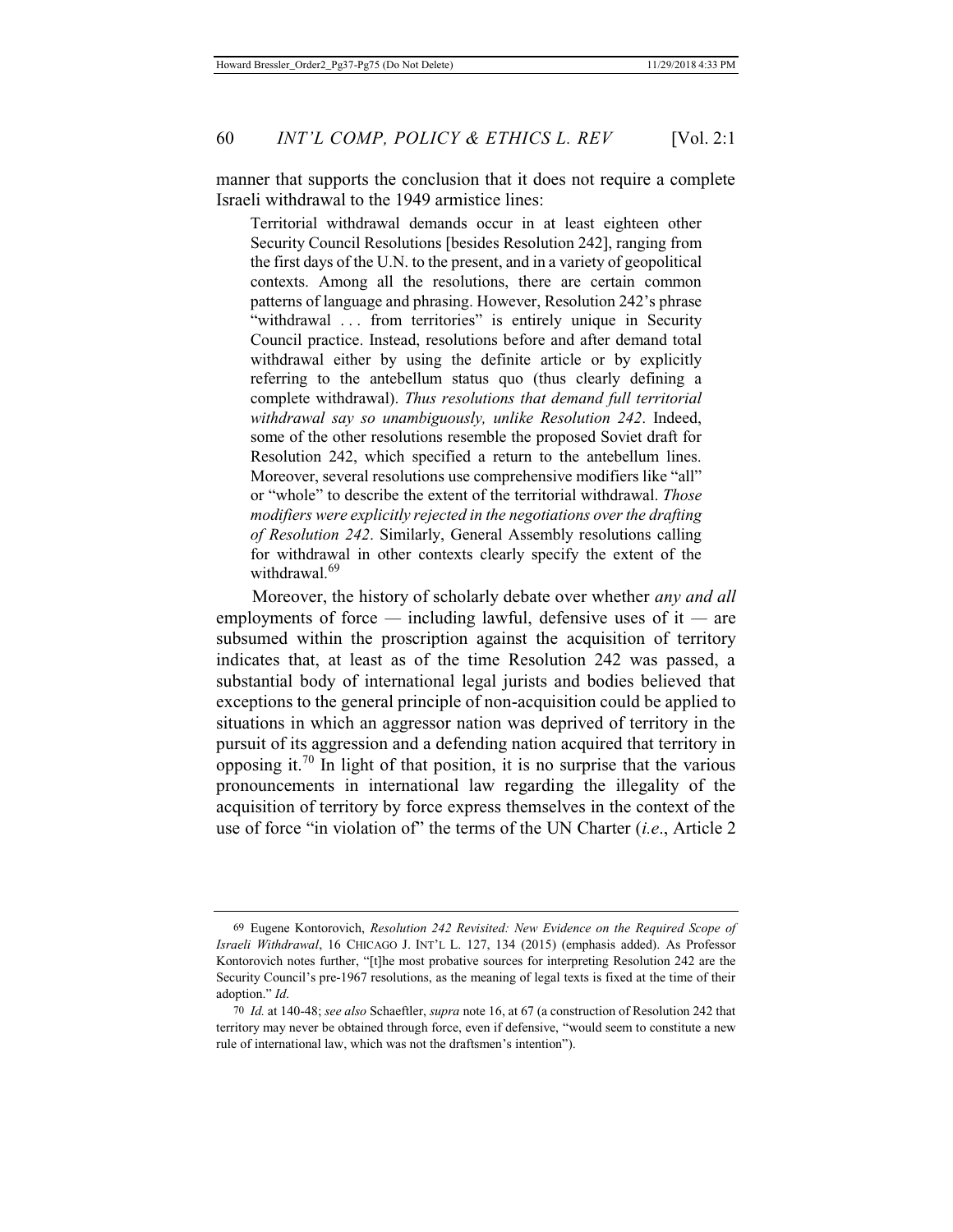manner that supports the conclusion that it does not require a complete Israeli withdrawal to the 1949 armistice lines:

Territorial withdrawal demands occur in at least eighteen other Security Council Resolutions [besides Resolution 242], ranging from the first days of the U.N. to the present, and in a variety of geopolitical contexts. Among all the resolutions, there are certain common patterns of language and phrasing. However, Resolution 242's phrase "withdrawal ... from territories" is entirely unique in Security Council practice. Instead, resolutions before and after demand total withdrawal either by using the definite article or by explicitly referring to the antebellum status quo (thus clearly defining a complete withdrawal). *Thus resolutions that demand full territorial withdrawal say so unambiguously, unlike Resolution 242*. Indeed, some of the other resolutions resemble the proposed Soviet draft for Resolution 242, which specified a return to the antebellum lines. Moreover, several resolutions use comprehensive modifiers like "all" or "whole" to describe the extent of the territorial withdrawal. *Those modifiers were explicitly rejected in the negotiations over the drafting of Resolution 242*. Similarly, General Assembly resolutions calling for withdrawal in other contexts clearly specify the extent of the withdrawal.<sup>69</sup>

Moreover, the history of scholarly debate over whether *any and all* employments of force *—* including lawful, defensive uses of it *—* are subsumed within the proscription against the acquisition of territory indicates that, at least as of the time Resolution 242 was passed, a substantial body of international legal jurists and bodies believed that exceptions to the general principle of non-acquisition could be applied to situations in which an aggressor nation was deprived of territory in the pursuit of its aggression and a defending nation acquired that territory in opposing it.<sup>70</sup> In light of that position, it is no surprise that the various pronouncements in international law regarding the illegality of the acquisition of territory by force express themselves in the context of the use of force "in violation of" the terms of the UN Charter (*i.e*., Article 2

<sup>69</sup> Eugene Kontorovich, *Resolution 242 Revisited: New Evidence on the Required Scope of Israeli Withdrawal*, 16 CHICAGO J. INT'L L. 127, 134 (2015) (emphasis added). As Professor Kontorovich notes further, "[t]he most probative sources for interpreting Resolution 242 are the Security Council's pre-1967 resolutions, as the meaning of legal texts is fixed at the time of their adoption." *Id*.

<sup>70</sup> *Id.* at 140-48; *see also* Schaeftler, *supra* note 16, at 67 (a construction of Resolution 242 that territory may never be obtained through force, even if defensive, "would seem to constitute a new rule of international law, which was not the draftsmen's intention").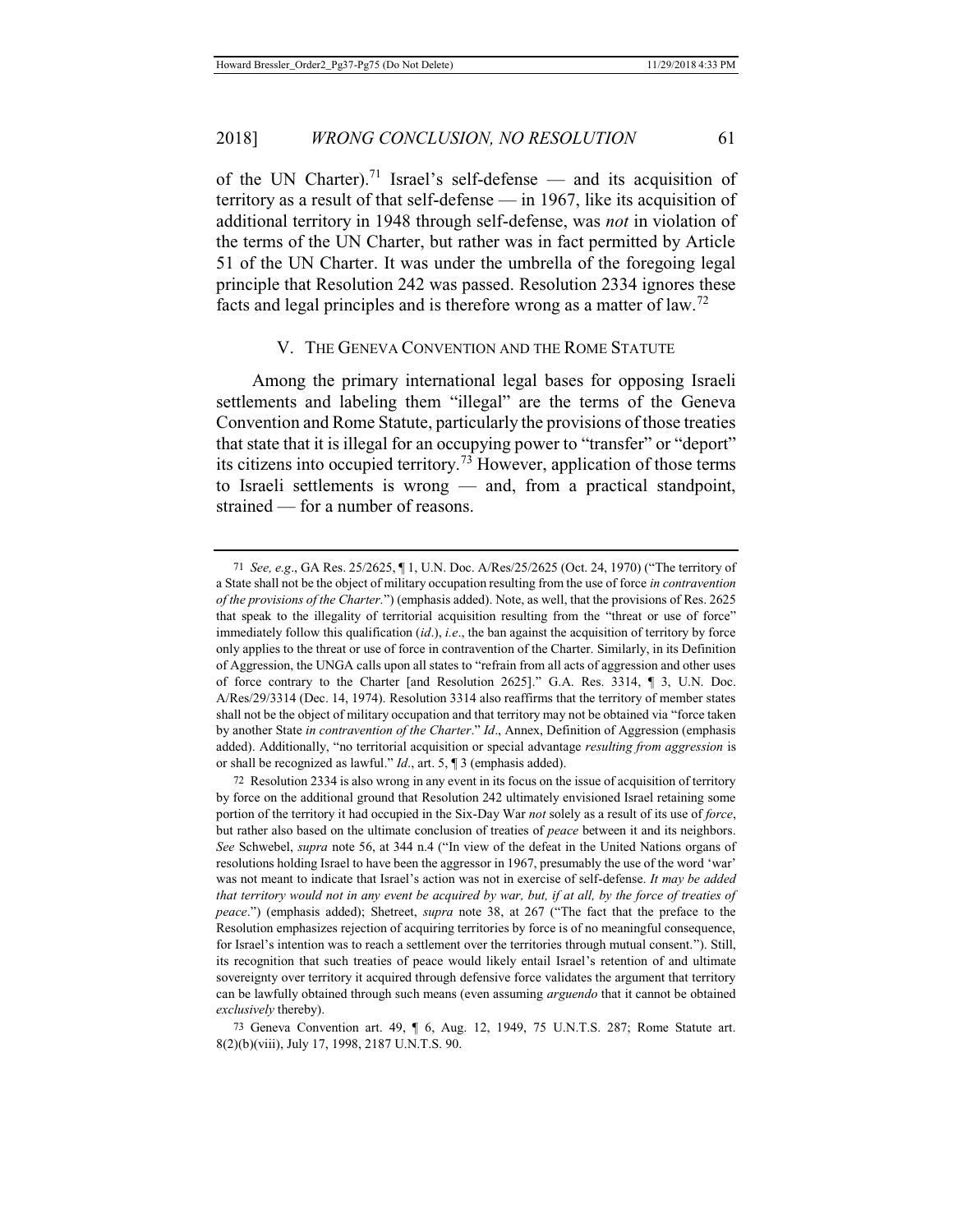of the UN Charter).<sup>71</sup> Israel's self-defense — and its acquisition of territory as a result of that self-defense — in 1967, like its acquisition of additional territory in 1948 through self-defense, was *not* in violation of the terms of the UN Charter, but rather was in fact permitted by Article 51 of the UN Charter. It was under the umbrella of the foregoing legal principle that Resolution 242 was passed. Resolution 2334 ignores these facts and legal principles and is therefore wrong as a matter of law.<sup>72</sup>

#### V. THE GENEVA CONVENTION AND THE ROME STATUTE

Among the primary international legal bases for opposing Israeli settlements and labeling them "illegal" are the terms of the Geneva Convention and Rome Statute, particularly the provisions of those treaties that state that it is illegal for an occupying power to "transfer" or "deport" its citizens into occupied territory.<sup>73</sup> However, application of those terms to Israeli settlements is wrong — and, from a practical standpoint, strained — for a number of reasons.

<sup>71</sup> *See, e.g*., GA Res. 25/2625, ¶ 1, U.N. Doc. A/Res/25/2625 (Oct. 24, 1970) ("The territory of a State shall not be the object of military occupation resulting from the use of force *in contravention of the provisions of the Charter.*") (emphasis added). Note, as well, that the provisions of Res. 2625 that speak to the illegality of territorial acquisition resulting from the "threat or use of force" immediately follow this qualification (*id*.), *i.e*., the ban against the acquisition of territory by force only applies to the threat or use of force in contravention of the Charter. Similarly, in its Definition of Aggression, the UNGA calls upon all states to "refrain from all acts of aggression and other uses of force contrary to the Charter [and Resolution 2625]." G.A. Res. 3314, ¶ 3, U.N. Doc. A/Res/29/3314 (Dec. 14, 1974). Resolution 3314 also reaffirms that the territory of member states shall not be the object of military occupation and that territory may not be obtained via "force taken by another State *in contravention of the Charter*." *Id*., Annex, Definition of Aggression (emphasis added). Additionally, "no territorial acquisition or special advantage *resulting from aggression* is or shall be recognized as lawful." *Id*., art. 5, ¶ 3 (emphasis added).

<sup>72</sup> Resolution 2334 is also wrong in any event in its focus on the issue of acquisition of territory by force on the additional ground that Resolution 242 ultimately envisioned Israel retaining some portion of the territory it had occupied in the Six-Day War *not* solely as a result of its use of *force*, but rather also based on the ultimate conclusion of treaties of *peace* between it and its neighbors. *See* Schwebel, *supra* note 56, at 344 n.4 ("In view of the defeat in the United Nations organs of resolutions holding Israel to have been the aggressor in 1967, presumably the use of the word 'war' was not meant to indicate that Israel's action was not in exercise of self-defense. *It may be added that territory would not in any event be acquired by war, but, if at all, by the force of treaties of peace*.") (emphasis added); Shetreet, *supra* note 38, at 267 ("The fact that the preface to the Resolution emphasizes rejection of acquiring territories by force is of no meaningful consequence, for Israel's intention was to reach a settlement over the territories through mutual consent."). Still, its recognition that such treaties of peace would likely entail Israel's retention of and ultimate sovereignty over territory it acquired through defensive force validates the argument that territory can be lawfully obtained through such means (even assuming *arguendo* that it cannot be obtained *exclusively* thereby).

<sup>73</sup> Geneva Convention art. 49, ¶ 6, Aug. 12, 1949, 75 U.N.T.S. 287; Rome Statute art. 8(2)(b)(viii), July 17, 1998, 2187 U.N.T.S. 90.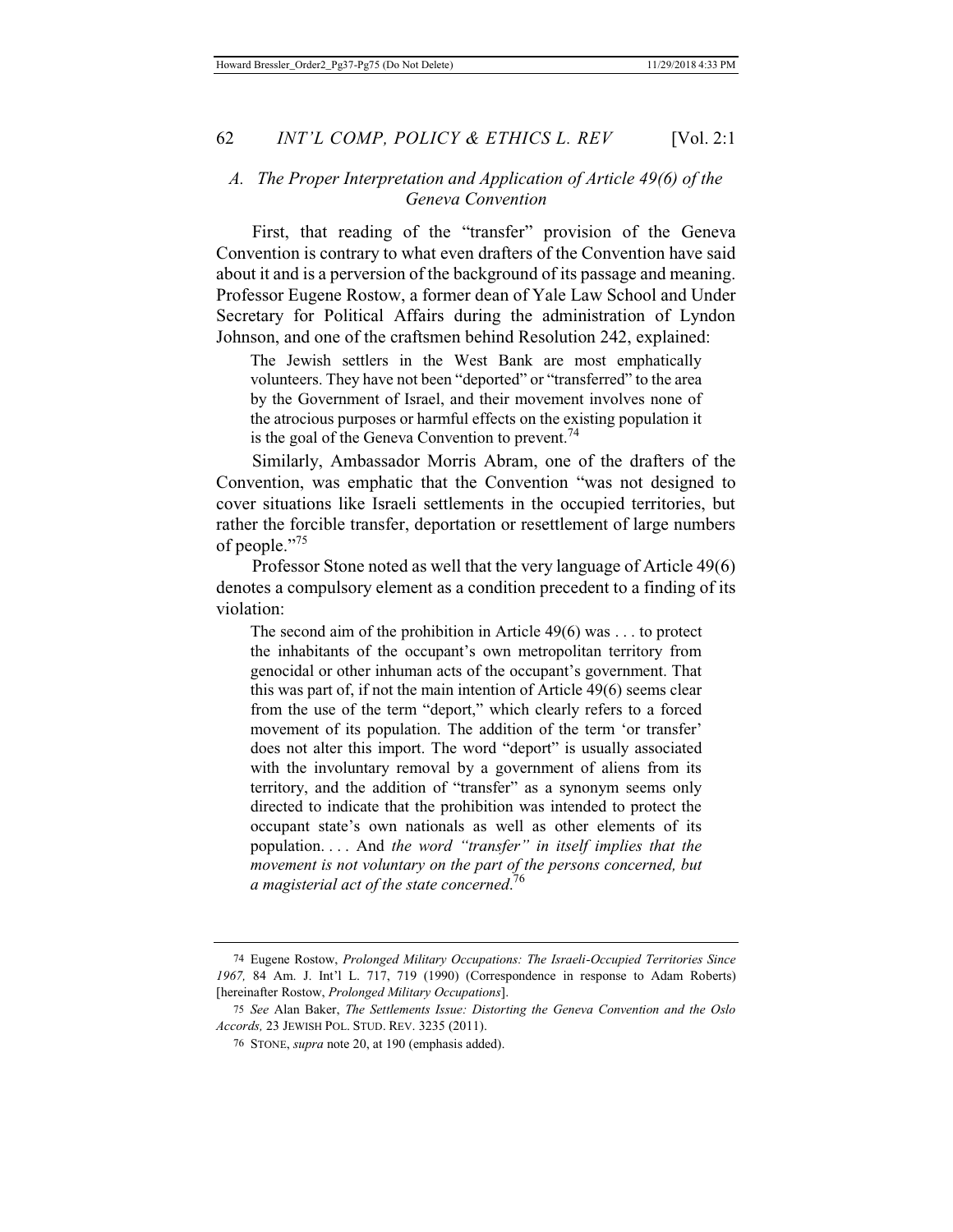# *A. The Proper Interpretation and Application of Article 49(6) of the Geneva Convention*

First, that reading of the "transfer" provision of the Geneva Convention is contrary to what even drafters of the Convention have said about it and is a perversion of the background of its passage and meaning. Professor Eugene Rostow, a former dean of Yale Law School and Under Secretary for Political Affairs during the administration of Lyndon Johnson, and one of the craftsmen behind Resolution 242, explained:

The Jewish settlers in the West Bank are most emphatically volunteers. They have not been "deported" or "transferred" to the area by the Government of Israel, and their movement involves none of the atrocious purposes or harmful effects on the existing population it is the goal of the Geneva Convention to prevent.<sup>74</sup>

Similarly, Ambassador Morris Abram, one of the drafters of the Convention, was emphatic that the Convention "was not designed to cover situations like Israeli settlements in the occupied territories, but rather the forcible transfer, deportation or resettlement of large numbers of people."75

Professor Stone noted as well that the very language of Article 49(6) denotes a compulsory element as a condition precedent to a finding of its violation:

The second aim of the prohibition in Article 49(6) was . . . to protect the inhabitants of the occupant's own metropolitan territory from genocidal or other inhuman acts of the occupant's government. That this was part of, if not the main intention of Article 49(6) seems clear from the use of the term "deport," which clearly refers to a forced movement of its population. The addition of the term 'or transfer' does not alter this import. The word "deport" is usually associated with the involuntary removal by a government of aliens from its territory, and the addition of "transfer" as a synonym seems only directed to indicate that the prohibition was intended to protect the occupant state's own nationals as well as other elements of its population. . . . And *the word "transfer" in itself implies that the movement is not voluntary on the part of the persons concerned, but a magisterial act of the state concerned*. 76

<sup>74</sup> Eugene Rostow, *Prolonged Military Occupations: The Israeli-Occupied Territories Since 1967,* 84 Am. J. Int'l L. 717, 719 (1990) (Correspondence in response to Adam Roberts) [hereinafter Rostow, *Prolonged Military Occupations*].

<sup>75</sup> *See* Alan Baker, *The Settlements Issue: Distorting the Geneva Convention and the Oslo Accords,* 23 JEWISH POL. STUD. REV. 3235 (2011).

<sup>76</sup> STONE, *supra* note 20, at 190 (emphasis added).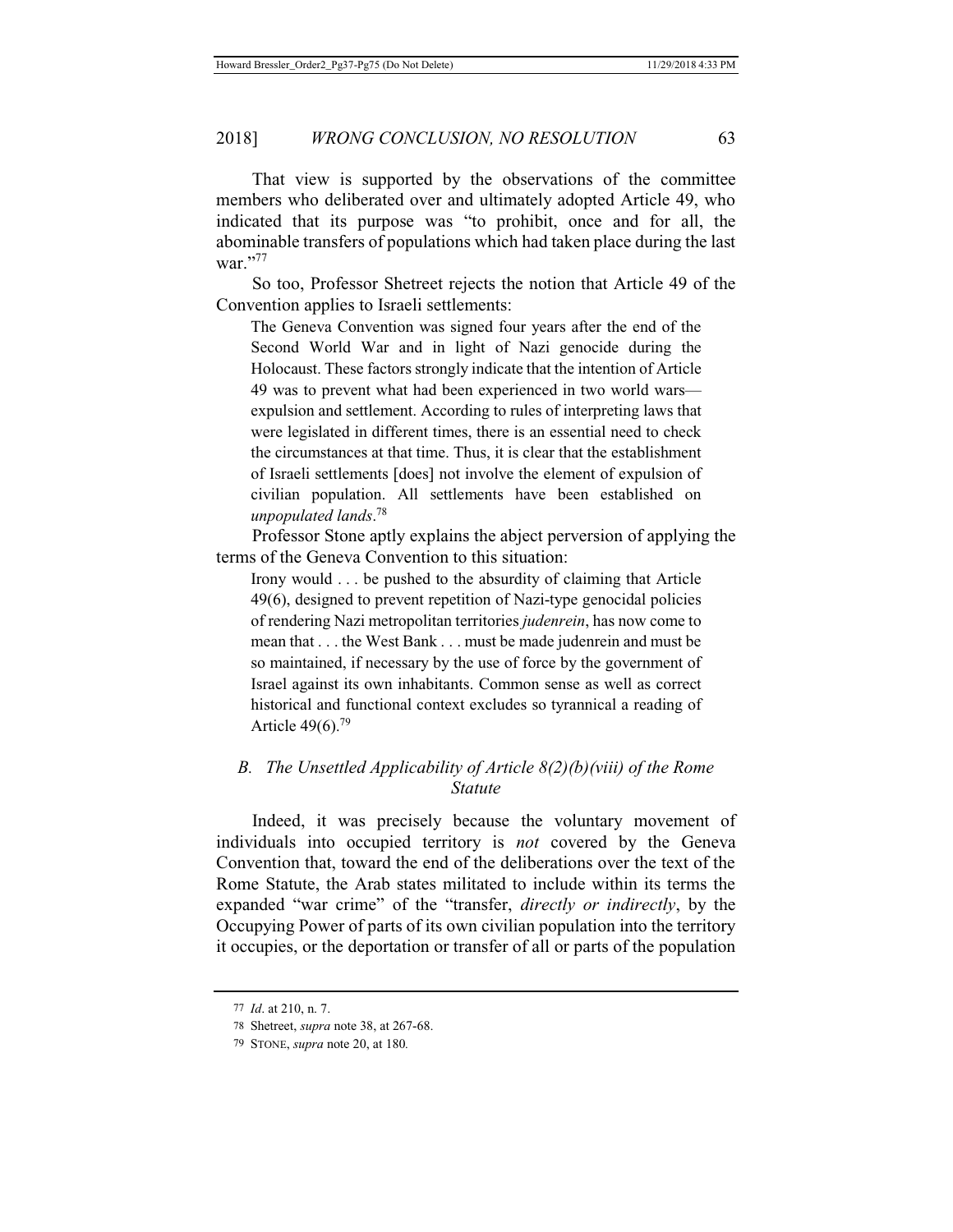That view is supported by the observations of the committee members who deliberated over and ultimately adopted Article 49, who indicated that its purpose was "to prohibit, once and for all, the abominable transfers of populations which had taken place during the last war."77

So too, Professor Shetreet rejects the notion that Article 49 of the Convention applies to Israeli settlements:

The Geneva Convention was signed four years after the end of the Second World War and in light of Nazi genocide during the Holocaust. These factors strongly indicate that the intention of Article 49 was to prevent what had been experienced in two world wars expulsion and settlement. According to rules of interpreting laws that were legislated in different times, there is an essential need to check the circumstances at that time. Thus, it is clear that the establishment of Israeli settlements [does] not involve the element of expulsion of civilian population. All settlements have been established on *unpopulated lands*. 78

Professor Stone aptly explains the abject perversion of applying the terms of the Geneva Convention to this situation:

Irony would . . . be pushed to the absurdity of claiming that Article 49(6), designed to prevent repetition of Nazi-type genocidal policies of rendering Nazi metropolitan territories *judenrein*, has now come to mean that . . . the West Bank . . . must be made judenrein and must be so maintained, if necessary by the use of force by the government of Israel against its own inhabitants. Common sense as well as correct historical and functional context excludes so tyrannical a reading of Article 49(6).79

# *B. The Unsettled Applicability of Article 8(2)(b)(viii) of the Rome Statute*

Indeed, it was precisely because the voluntary movement of individuals into occupied territory is *not* covered by the Geneva Convention that, toward the end of the deliberations over the text of the Rome Statute, the Arab states militated to include within its terms the expanded "war crime" of the "transfer, *directly or indirectly*, by the Occupying Power of parts of its own civilian population into the territory it occupies, or the deportation or transfer of all or parts of the population

<sup>77</sup> *Id*. at 210, n. 7.

<sup>78</sup> Shetreet, *supra* note 38, at 267-68.

<sup>79</sup> STONE, *supra* note 20, at 180*.*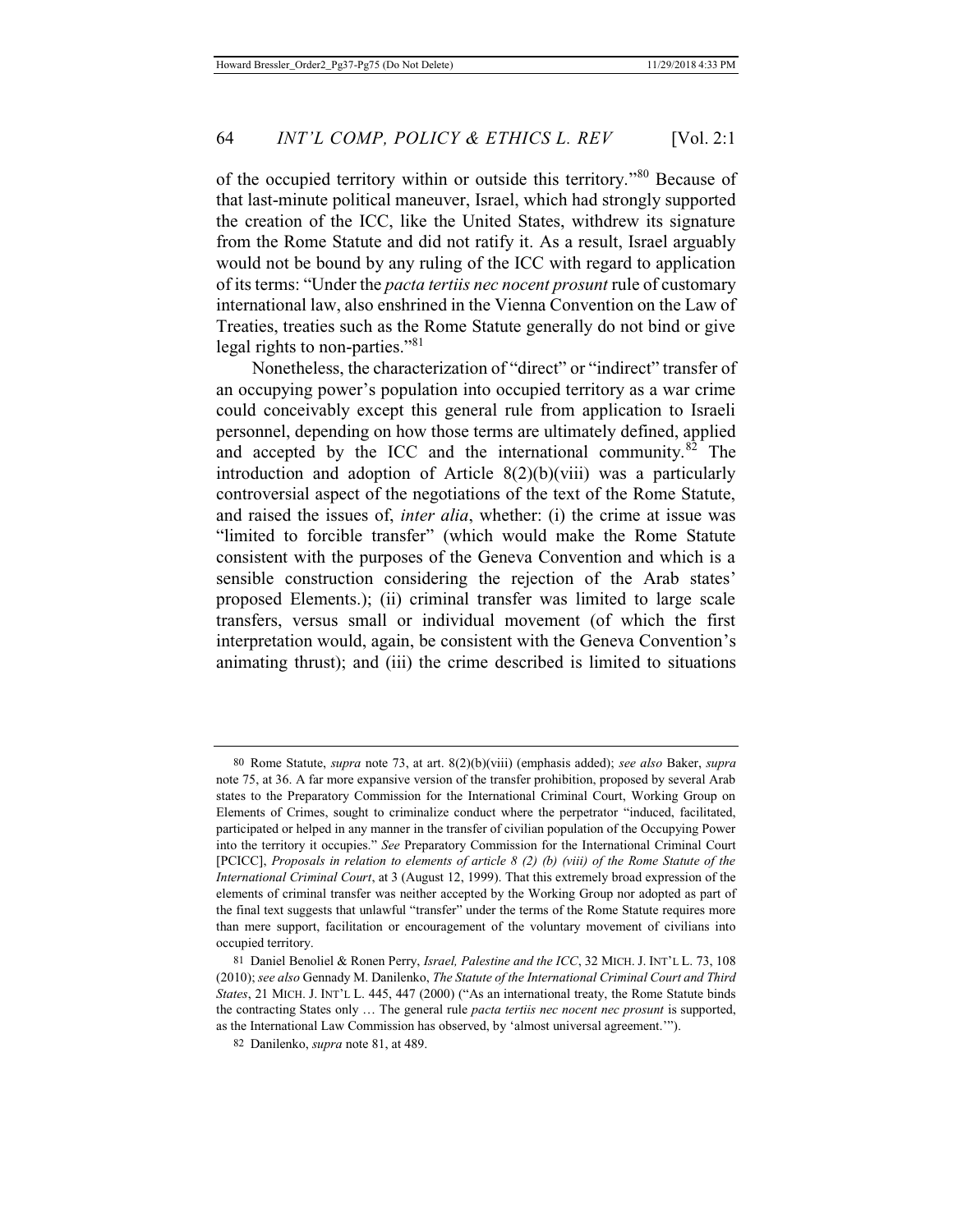of the occupied territory within or outside this territory."80 Because of that last-minute political maneuver, Israel, which had strongly supported the creation of the ICC, like the United States, withdrew its signature from the Rome Statute and did not ratify it. As a result, Israel arguably would not be bound by any ruling of the ICC with regard to application of its terms: "Under the *pacta tertiis nec nocent prosunt* rule of customary international law, also enshrined in the Vienna Convention on the Law of Treaties, treaties such as the Rome Statute generally do not bind or give legal rights to non-parties."81

Nonetheless, the characterization of "direct" or "indirect" transfer of an occupying power's population into occupied territory as a war crime could conceivably except this general rule from application to Israeli personnel, depending on how those terms are ultimately defined, applied and accepted by the ICC and the international community. $82$  The introduction and adoption of Article 8(2)(b)(viii) was a particularly controversial aspect of the negotiations of the text of the Rome Statute, and raised the issues of, *inter alia*, whether: (i) the crime at issue was "limited to forcible transfer" (which would make the Rome Statute consistent with the purposes of the Geneva Convention and which is a sensible construction considering the rejection of the Arab states' proposed Elements.); (ii) criminal transfer was limited to large scale transfers, versus small or individual movement (of which the first interpretation would, again, be consistent with the Geneva Convention's animating thrust); and (iii) the crime described is limited to situations

<sup>80</sup> Rome Statute, *supra* note 73, at art. 8(2)(b)(viii) (emphasis added); *see also* Baker, *supra* note 75, at 36. A far more expansive version of the transfer prohibition, proposed by several Arab states to the Preparatory Commission for the International Criminal Court, Working Group on Elements of Crimes, sought to criminalize conduct where the perpetrator "induced, facilitated, participated or helped in any manner in the transfer of civilian population of the Occupying Power into the territory it occupies." *See* Preparatory Commission for the International Criminal Court [PCICC], *Proposals in relation to elements of article 8 (2) (b) (viii) of the Rome Statute of the International Criminal Court*, at 3 (August 12, 1999). That this extremely broad expression of the elements of criminal transfer was neither accepted by the Working Group nor adopted as part of the final text suggests that unlawful "transfer" under the terms of the Rome Statute requires more than mere support, facilitation or encouragement of the voluntary movement of civilians into occupied territory.

<sup>81</sup> Daniel Benoliel & Ronen Perry, *Israel, Palestine and the ICC*, 32 MICH. J. INT'L L. 73, 108 (2010); *see also* Gennady M. Danilenko, *The Statute of the International Criminal Court and Third States*, 21 MICH. J. INT'L L. 445, 447 (2000) ("As an international treaty, the Rome Statute binds the contracting States only … The general rule *pacta tertiis nec nocent nec prosunt* is supported, as the International Law Commission has observed, by 'almost universal agreement.'").

<sup>82</sup> Danilenko, *supra* note 81, at 489.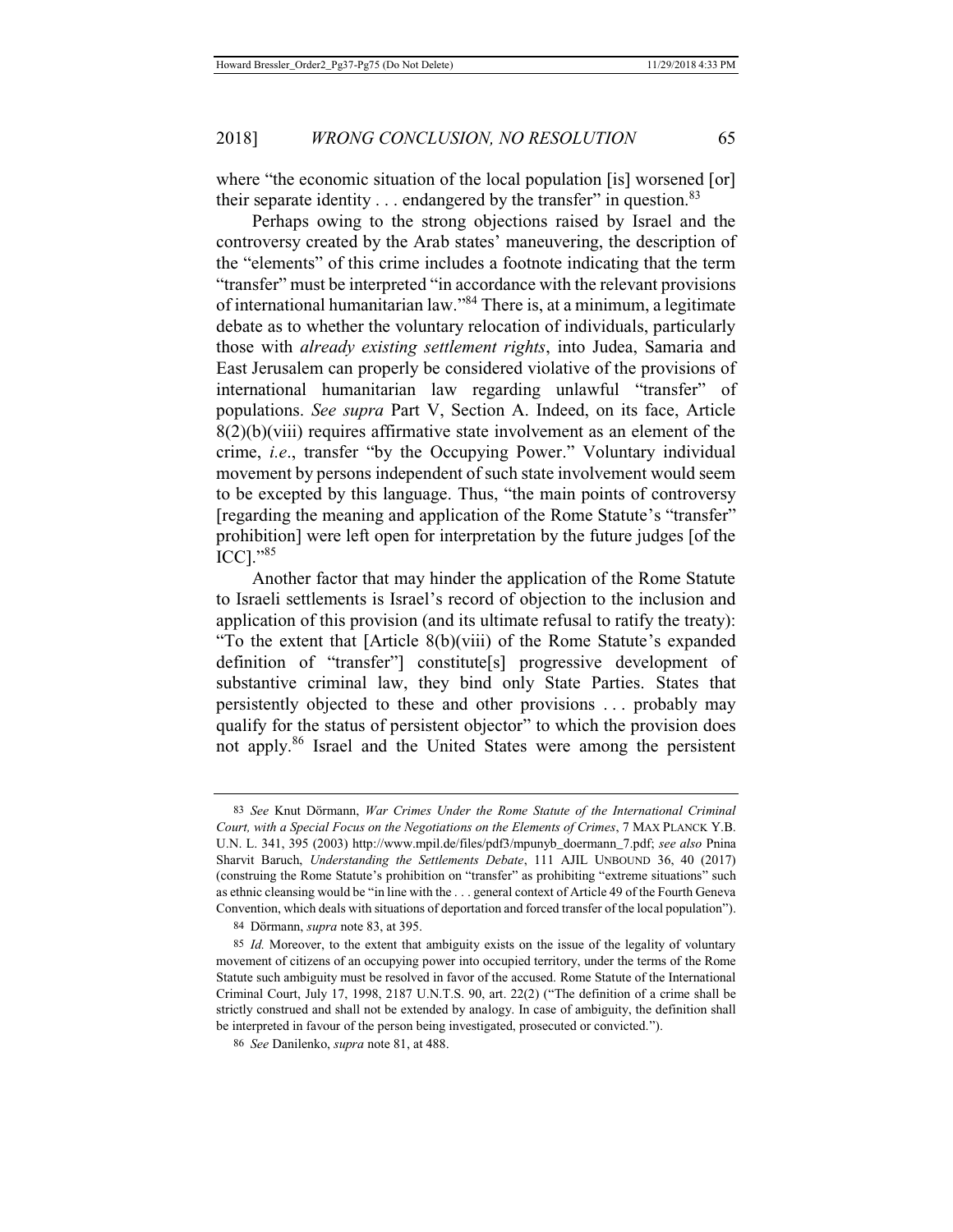where "the economic situation of the local population [is] worsened [or] their separate identity  $\ldots$  endangered by the transfer" in question.<sup>83</sup>

Perhaps owing to the strong objections raised by Israel and the controversy created by the Arab states' maneuvering, the description of the "elements" of this crime includes a footnote indicating that the term "transfer" must be interpreted "in accordance with the relevant provisions of international humanitarian law."84 There is, at a minimum, a legitimate debate as to whether the voluntary relocation of individuals, particularly those with *already existing settlement rights*, into Judea, Samaria and East Jerusalem can properly be considered violative of the provisions of international humanitarian law regarding unlawful "transfer" of populations. *See supra* Part V, Section A. Indeed, on its face, Article  $8(2)(b)(viii)$  requires affirmative state involvement as an element of the crime, *i.e*., transfer "by the Occupying Power." Voluntary individual movement by persons independent of such state involvement would seem to be excepted by this language. Thus, "the main points of controversy [regarding the meaning and application of the Rome Statute's "transfer" prohibition] were left open for interpretation by the future judges [of the ICC]."<sup>85</sup>

Another factor that may hinder the application of the Rome Statute to Israeli settlements is Israel's record of objection to the inclusion and application of this provision (and its ultimate refusal to ratify the treaty): "To the extent that [Article 8(b)(viii) of the Rome Statute's expanded definition of "transfer"] constitute[s] progressive development of substantive criminal law, they bind only State Parties. States that persistently objected to these and other provisions . . . probably may qualify for the status of persistent objector" to which the provision does not apply.86 Israel and the United States were among the persistent

<sup>83</sup> *See* Knut Dörmann, *War Crimes Under the Rome Statute of the International Criminal Court, with a Special Focus on the Negotiations on the Elements of Crimes*, 7 MAX PLANCK Y.B. U.N. L. 341, 395 (2003) http://www.mpil.de/files/pdf3/mpunyb\_doermann\_7.pdf; *see also* Pnina Sharvit Baruch, *Understanding the Settlements Debate*, 111 AJIL UNBOUND 36, 40 (2017) (construing the Rome Statute's prohibition on "transfer" as prohibiting "extreme situations" such as ethnic cleansing would be "in line with the . . . general context of Article 49 of the Fourth Geneva Convention, which deals with situations of deportation and forced transfer of the local population").

<sup>84</sup> Dörmann, *supra* note 83, at 395.

<sup>85</sup> *Id.* Moreover, to the extent that ambiguity exists on the issue of the legality of voluntary movement of citizens of an occupying power into occupied territory, under the terms of the Rome Statute such ambiguity must be resolved in favor of the accused. Rome Statute of the International Criminal Court, July 17, 1998, 2187 U.N.T.S. 90, art. 22(2) ("The definition of a crime shall be strictly construed and shall not be extended by analogy. In case of ambiguity, the definition shall be interpreted in favour of the person being investigated, prosecuted or convicted.").

<sup>86</sup> *See* Danilenko, *supra* note 81, at 488.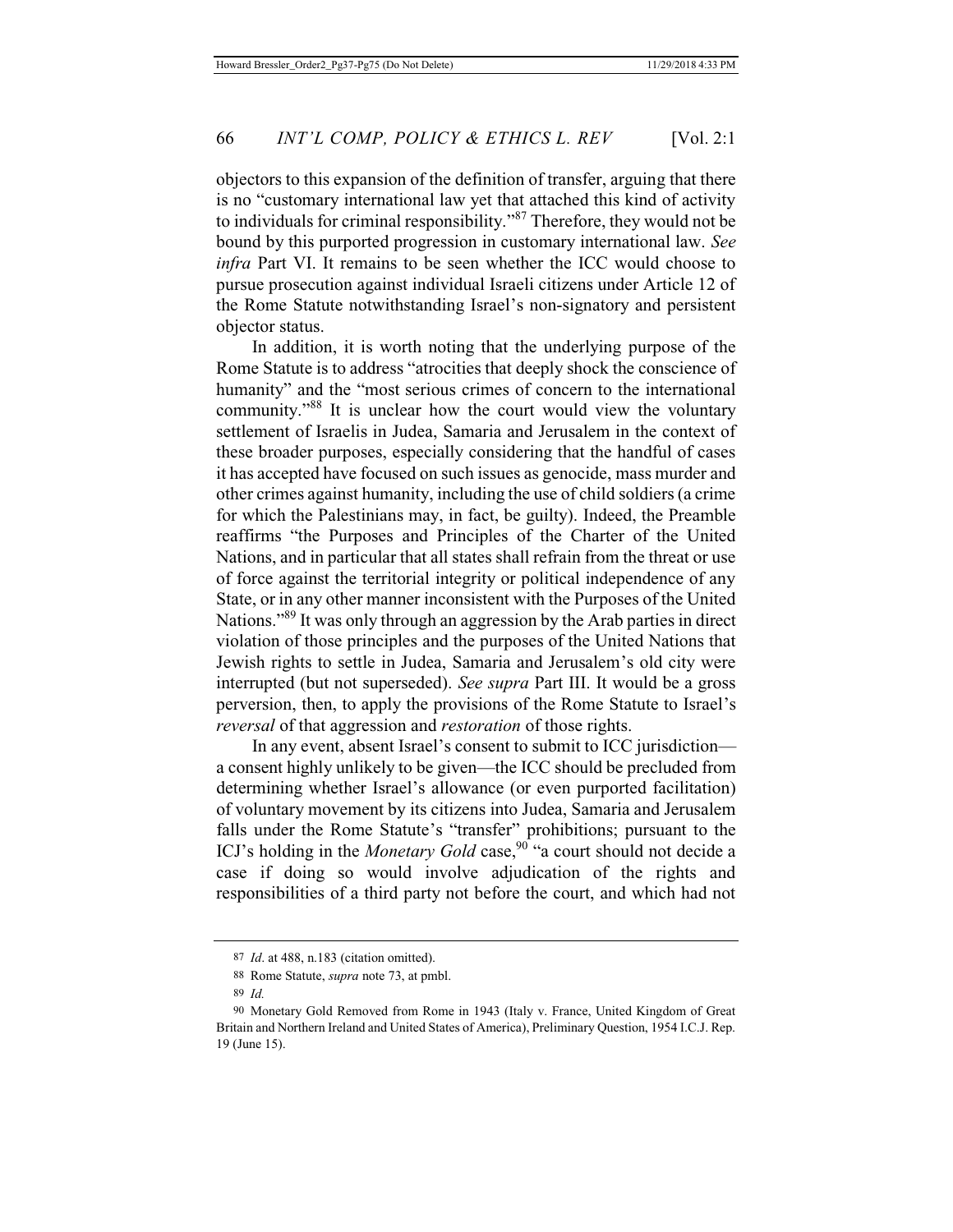objectors to this expansion of the definition of transfer, arguing that there is no "customary international law yet that attached this kind of activity to individuals for criminal responsibility."87 Therefore, they would not be bound by this purported progression in customary international law. *See infra* Part VI. It remains to be seen whether the ICC would choose to pursue prosecution against individual Israeli citizens under Article 12 of the Rome Statute notwithstanding Israel's non-signatory and persistent objector status.

In addition, it is worth noting that the underlying purpose of the Rome Statute is to address "atrocities that deeply shock the conscience of humanity" and the "most serious crimes of concern to the international community."88 It is unclear how the court would view the voluntary settlement of Israelis in Judea, Samaria and Jerusalem in the context of these broader purposes, especially considering that the handful of cases it has accepted have focused on such issues as genocide, mass murder and other crimes against humanity, including the use of child soldiers (a crime for which the Palestinians may, in fact, be guilty). Indeed, the Preamble reaffirms "the Purposes and Principles of the Charter of the United Nations, and in particular that all states shall refrain from the threat or use of force against the territorial integrity or political independence of any State, or in any other manner inconsistent with the Purposes of the United Nations."89 It was only through an aggression by the Arab parties in direct violation of those principles and the purposes of the United Nations that Jewish rights to settle in Judea, Samaria and Jerusalem's old city were interrupted (but not superseded). *See supra* Part III. It would be a gross perversion, then, to apply the provisions of the Rome Statute to Israel's *reversal* of that aggression and *restoration* of those rights.

In any event, absent Israel's consent to submit to ICC jurisdiction a consent highly unlikely to be given—the ICC should be precluded from determining whether Israel's allowance (or even purported facilitation) of voluntary movement by its citizens into Judea, Samaria and Jerusalem falls under the Rome Statute's "transfer" prohibitions; pursuant to the ICJ's holding in the *Monetary Gold* case,<sup>90</sup> "a court should not decide a case if doing so would involve adjudication of the rights and responsibilities of a third party not before the court, and which had not

<sup>87</sup> *Id*. at 488, n.183 (citation omitted).

<sup>88</sup> Rome Statute, *supra* note 73, at pmbl.

<sup>89</sup> *Id.*

<sup>90</sup> Monetary Gold Removed from Rome in 1943 (Italy v. France, United Kingdom of Great Britain and Northern Ireland and United States of America), Preliminary Question, 1954 I.C.J. Rep. 19 (June 15).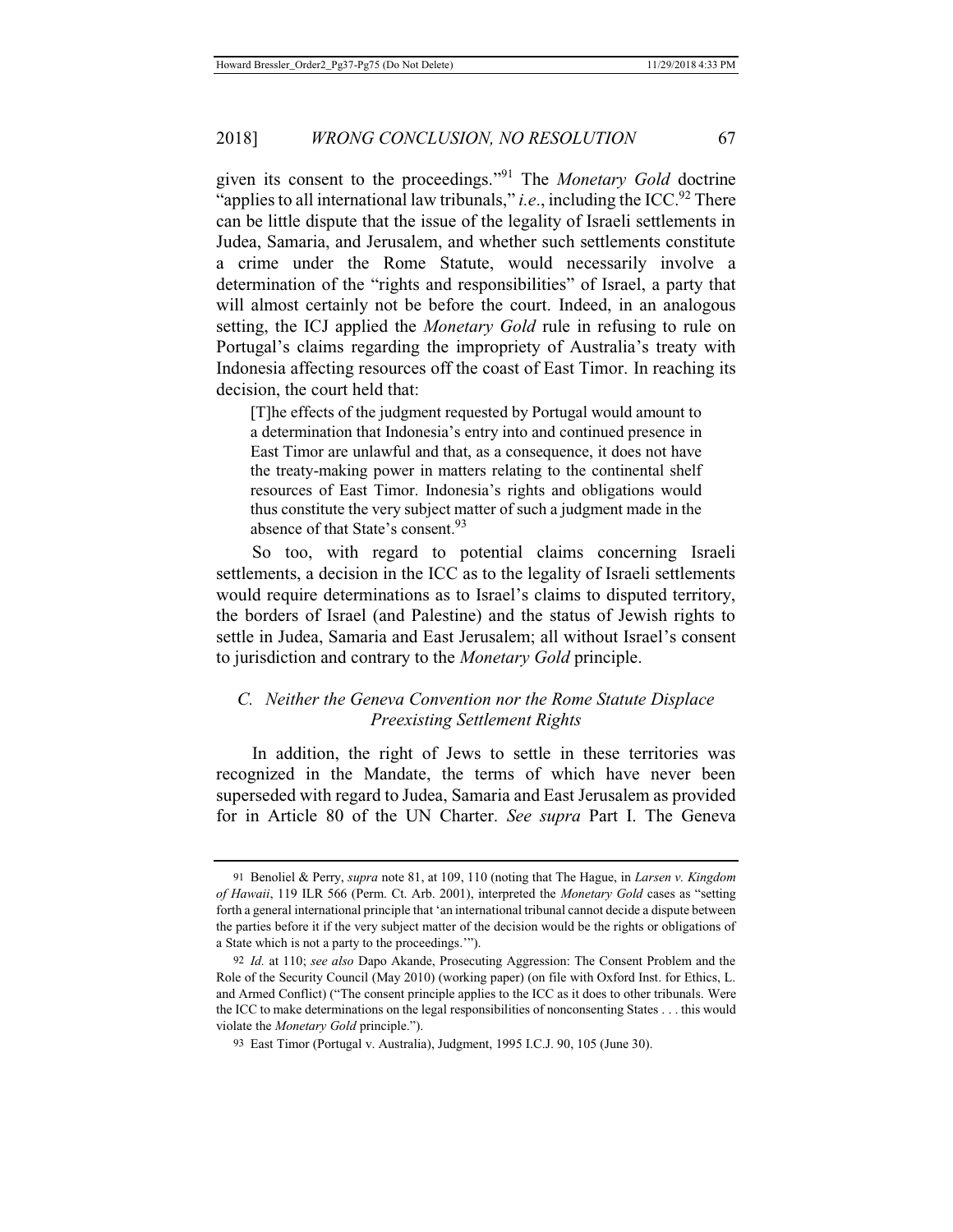given its consent to the proceedings."91 The *Monetary Gold* doctrine "applies to all international law tribunals," *i.e.*, including the ICC.<sup>92</sup> There can be little dispute that the issue of the legality of Israeli settlements in Judea, Samaria, and Jerusalem, and whether such settlements constitute a crime under the Rome Statute, would necessarily involve a determination of the "rights and responsibilities" of Israel, a party that will almost certainly not be before the court. Indeed, in an analogous setting, the ICJ applied the *Monetary Gold* rule in refusing to rule on Portugal's claims regarding the impropriety of Australia's treaty with Indonesia affecting resources off the coast of East Timor. In reaching its decision, the court held that:

[T]he effects of the judgment requested by Portugal would amount to a determination that Indonesia's entry into and continued presence in East Timor are unlawful and that, as a consequence, it does not have the treaty-making power in matters relating to the continental shelf resources of East Timor. Indonesia's rights and obligations would thus constitute the very subject matter of such a judgment made in the absence of that State's consent.<sup>93</sup>

So too, with regard to potential claims concerning Israeli settlements, a decision in the ICC as to the legality of Israeli settlements would require determinations as to Israel's claims to disputed territory, the borders of Israel (and Palestine) and the status of Jewish rights to settle in Judea, Samaria and East Jerusalem; all without Israel's consent to jurisdiction and contrary to the *Monetary Gold* principle.

# *C. Neither the Geneva Convention nor the Rome Statute Displace Preexisting Settlement Rights*

In addition, the right of Jews to settle in these territories was recognized in the Mandate, the terms of which have never been superseded with regard to Judea, Samaria and East Jerusalem as provided for in Article 80 of the UN Charter. *See supra* Part I. The Geneva

<sup>91</sup> Benoliel & Perry, *supra* note 81, at 109, 110 (noting that The Hague, in *Larsen v. Kingdom of Hawaii*, 119 ILR 566 (Perm. Ct. Arb. 2001), interpreted the *Monetary Gold* cases as "setting forth a general international principle that 'an international tribunal cannot decide a dispute between the parties before it if the very subject matter of the decision would be the rights or obligations of a State which is not a party to the proceedings.'").

<sup>92</sup> *Id.* at 110; *see also* Dapo Akande, Prosecuting Aggression: The Consent Problem and the Role of the Security Council (May 2010) (working paper) (on file with Oxford Inst. for Ethics, L. and Armed Conflict) ("The consent principle applies to the ICC as it does to other tribunals. Were the ICC to make determinations on the legal responsibilities of nonconsenting States . . . this would violate the *Monetary Gold* principle.").

<sup>93</sup> East Timor (Portugal v. Australia), Judgment, 1995 I.C.J. 90, 105 (June 30).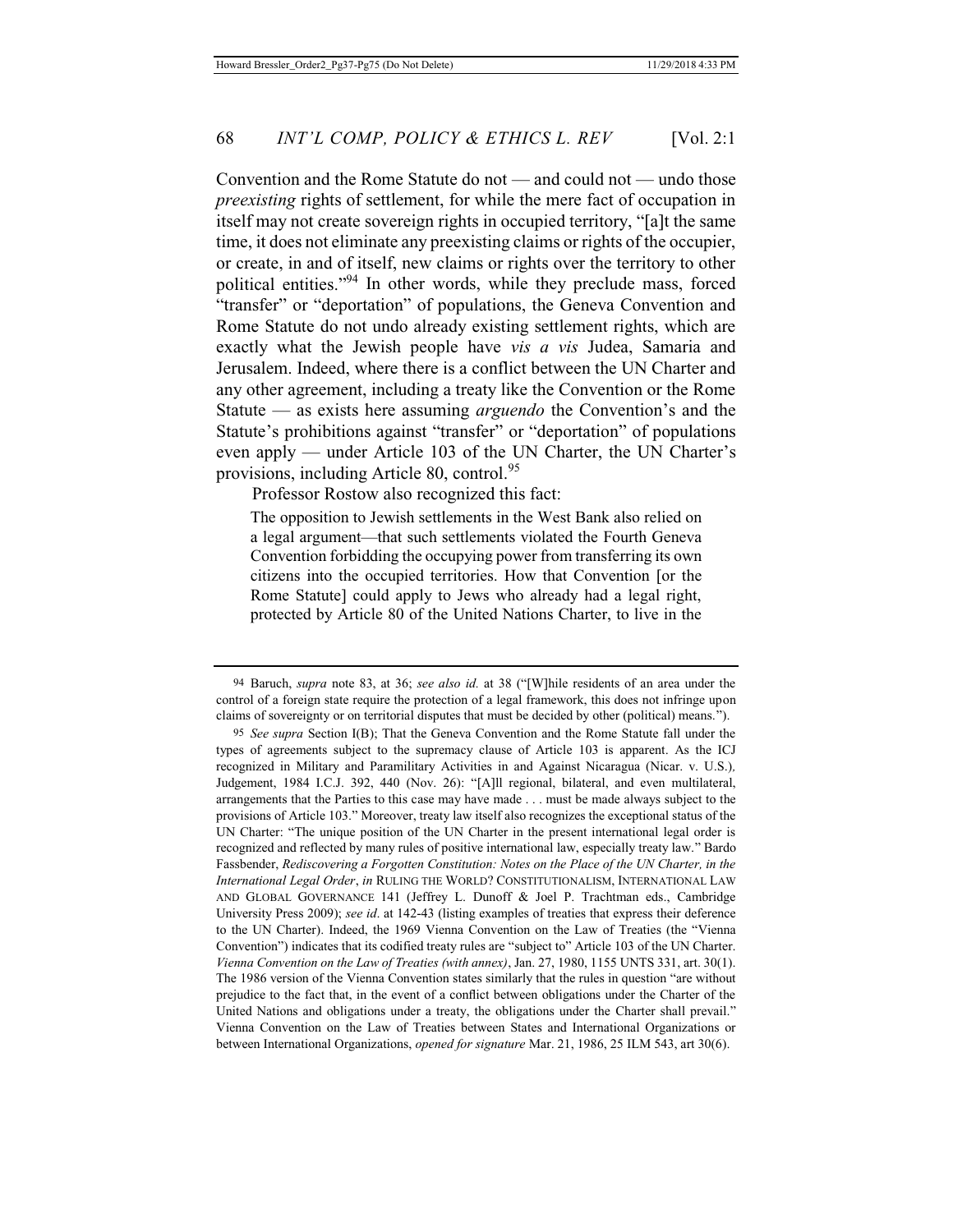Convention and the Rome Statute do not — and could not — undo those *preexisting* rights of settlement, for while the mere fact of occupation in itself may not create sovereign rights in occupied territory, "[a]t the same time, it does not eliminate any preexisting claims or rights of the occupier, or create, in and of itself, new claims or rights over the territory to other political entities."94 In other words, while they preclude mass, forced "transfer" or "deportation" of populations, the Geneva Convention and Rome Statute do not undo already existing settlement rights, which are exactly what the Jewish people have *vis a vis* Judea, Samaria and Jerusalem. Indeed, where there is a conflict between the UN Charter and any other agreement, including a treaty like the Convention or the Rome Statute — as exists here assuming *arguendo* the Convention's and the Statute's prohibitions against "transfer" or "deportation" of populations even apply — under Article 103 of the UN Charter, the UN Charter's provisions, including Article 80, control.<sup>95</sup>

Professor Rostow also recognized this fact:

The opposition to Jewish settlements in the West Bank also relied on a legal argument—that such settlements violated the Fourth Geneva Convention forbidding the occupying power from transferring its own citizens into the occupied territories. How that Convention [or the Rome Statute] could apply to Jews who already had a legal right, protected by Article 80 of the United Nations Charter, to live in the

<sup>94</sup> Baruch, *supra* note 83, at 36; *see also id.* at 38 ("[W]hile residents of an area under the control of a foreign state require the protection of a legal framework, this does not infringe upon claims of sovereignty or on territorial disputes that must be decided by other (political) means.").

<sup>95</sup> *See supra* Section I(B); That the Geneva Convention and the Rome Statute fall under the types of agreements subject to the supremacy clause of Article 103 is apparent. As the ICJ recognized in Military and Paramilitary Activities in and Against Nicaragua (Nicar. v. U.S.)*,*  Judgement, 1984 I.C.J. 392, 440 (Nov. 26): "[A]ll regional, bilateral, and even multilateral, arrangements that the Parties to this case may have made . . . must be made always subject to the provisions of Article 103." Moreover, treaty law itself also recognizes the exceptional status of the UN Charter: "The unique position of the UN Charter in the present international legal order is recognized and reflected by many rules of positive international law, especially treaty law." Bardo Fassbender, *Rediscovering a Forgotten Constitution: Notes on the Place of the UN Charter, in the International Legal Order*, *in* RULING THE WORLD? CONSTITUTIONALISM, INTERNATIONAL LAW AND GLOBAL GOVERNANCE 141 (Jeffrey L. Dunoff & Joel P. Trachtman eds., Cambridge University Press 2009); *see id*. at 142-43 (listing examples of treaties that express their deference to the UN Charter). Indeed, the 1969 Vienna Convention on the Law of Treaties (the "Vienna Convention") indicates that its codified treaty rules are "subject to" Article 103 of the UN Charter. *Vienna Convention on the Law of Treaties (with annex)*, Jan. 27, 1980, 1155 UNTS 331, art. 30(1). The 1986 version of the Vienna Convention states similarly that the rules in question "are without prejudice to the fact that, in the event of a conflict between obligations under the Charter of the United Nations and obligations under a treaty, the obligations under the Charter shall prevail." Vienna Convention on the Law of Treaties between States and International Organizations or between International Organizations, *opened for signature* Mar. 21, 1986, 25 ILM 543, art 30(6).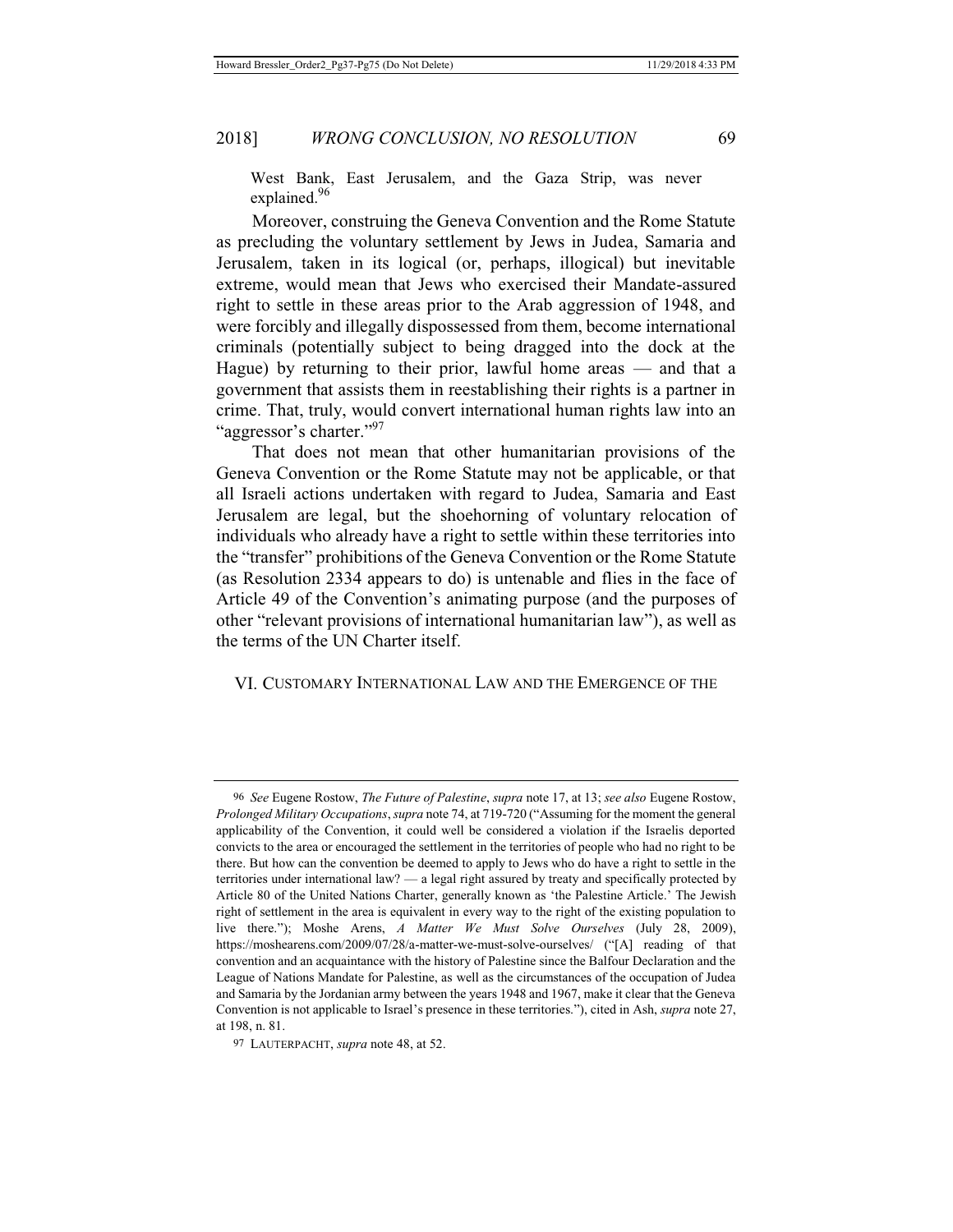West Bank, East Jerusalem, and the Gaza Strip, was never explained.<sup>96</sup>

Moreover, construing the Geneva Convention and the Rome Statute as precluding the voluntary settlement by Jews in Judea, Samaria and Jerusalem, taken in its logical (or, perhaps, illogical) but inevitable extreme, would mean that Jews who exercised their Mandate-assured right to settle in these areas prior to the Arab aggression of 1948, and were forcibly and illegally dispossessed from them, become international criminals (potentially subject to being dragged into the dock at the Hague) by returning to their prior, lawful home areas — and that a government that assists them in reestablishing their rights is a partner in crime. That, truly, would convert international human rights law into an "aggressor's charter."<sup>97</sup>

That does not mean that other humanitarian provisions of the Geneva Convention or the Rome Statute may not be applicable, or that all Israeli actions undertaken with regard to Judea, Samaria and East Jerusalem are legal, but the shoehorning of voluntary relocation of individuals who already have a right to settle within these territories into the "transfer" prohibitions of the Geneva Convention or the Rome Statute (as Resolution 2334 appears to do) is untenable and flies in the face of Article 49 of the Convention's animating purpose (and the purposes of other "relevant provisions of international humanitarian law"), as well as the terms of the UN Charter itself.

## VI. CUSTOMARY INTERNATIONAL LAW AND THE EMERGENCE OF THE

<sup>96</sup> *See* Eugene Rostow, *The Future of Palestine*, *supra* note 17, at 13; *see also* Eugene Rostow, *Prolonged Military Occupations*, *supra* note 74, at 719-720 ("Assuming for the moment the general applicability of the Convention, it could well be considered a violation if the Israelis deported convicts to the area or encouraged the settlement in the territories of people who had no right to be there. But how can the convention be deemed to apply to Jews who do have a right to settle in the territories under international law? — a legal right assured by treaty and specifically protected by Article 80 of the United Nations Charter, generally known as 'the Palestine Article.' The Jewish right of settlement in the area is equivalent in every way to the right of the existing population to live there."); Moshe Arens, *A Matter We Must Solve Ourselves* (July 28, 2009), https://moshearens.com/2009/07/28/a-matter-we-must-solve-ourselves/ ("[A] reading of that convention and an acquaintance with the history of Palestine since the Balfour Declaration and the League of Nations Mandate for Palestine, as well as the circumstances of the occupation of Judea and Samaria by the Jordanian army between the years 1948 and 1967, make it clear that the Geneva Convention is not applicable to Israel's presence in these territories."), cited in Ash, *supra* note 27, at 198, n. 81.

<sup>97</sup> LAUTERPACHT, *supra* note 48, at 52.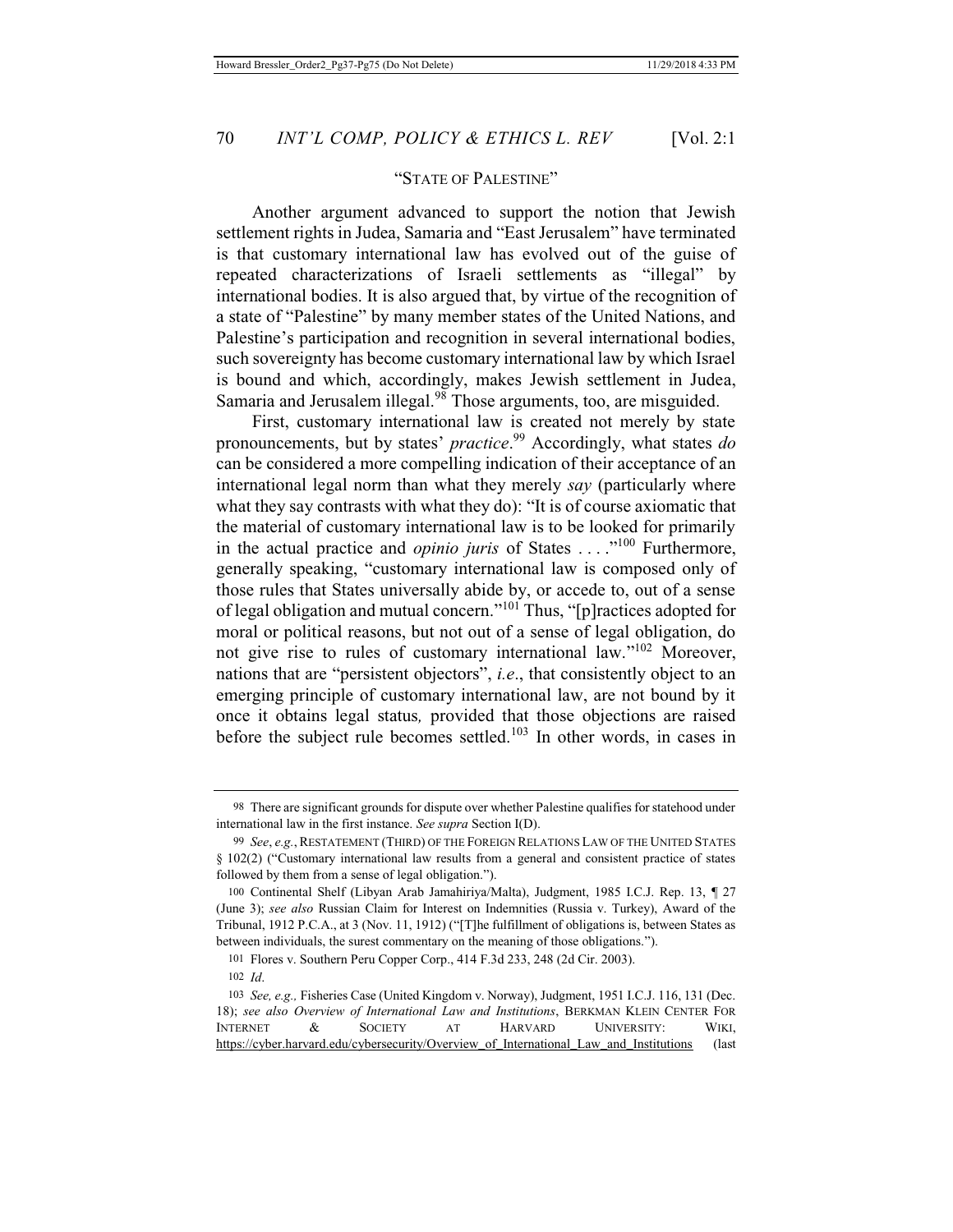## "STATE OF PALESTINE"

Another argument advanced to support the notion that Jewish settlement rights in Judea, Samaria and "East Jerusalem" have terminated is that customary international law has evolved out of the guise of repeated characterizations of Israeli settlements as "illegal" by international bodies. It is also argued that, by virtue of the recognition of a state of "Palestine" by many member states of the United Nations, and Palestine's participation and recognition in several international bodies, such sovereignty has become customary international law by which Israel is bound and which, accordingly, makes Jewish settlement in Judea, Samaria and Jerusalem illegal.<sup>98</sup> Those arguments, too, are misguided.

First, customary international law is created not merely by state pronouncements, but by states' *practice*. 99 Accordingly, what states *do* can be considered a more compelling indication of their acceptance of an international legal norm than what they merely *say* (particularly where what they say contrasts with what they do): "It is of course axiomatic that the material of customary international law is to be looked for primarily in the actual practice and *opinio juris* of States ...."<sup>100</sup> Furthermore, generally speaking, "customary international law is composed only of those rules that States universally abide by, or accede to, out of a sense of legal obligation and mutual concern."101 Thus, "[p]ractices adopted for moral or political reasons, but not out of a sense of legal obligation, do not give rise to rules of customary international law."102 Moreover, nations that are "persistent objectors", *i.e*., that consistently object to an emerging principle of customary international law, are not bound by it once it obtains legal status*,* provided that those objections are raised before the subject rule becomes settled.<sup>103</sup> In other words, in cases in

<sup>98</sup> There are significant grounds for dispute over whether Palestine qualifies for statehood under international law in the first instance. *See supra* Section I(D).

<sup>99</sup> *See*, *e.g.*,RESTATEMENT (THIRD) OF THE FOREIGN RELATIONS LAW OF THE UNITED STATES § 102(2) ("Customary international law results from a general and consistent practice of states followed by them from a sense of legal obligation.").

<sup>100</sup> Continental Shelf (Libyan Arab Jamahiriya/Malta), Judgment, 1985 I.C.J. Rep. 13, ¶ 27 (June 3); *see also* Russian Claim for Interest on Indemnities (Russia v. Turkey), Award of the Tribunal, 1912 P.C.A., at 3 (Nov. 11, 1912) ("[T]he fulfillment of obligations is, between States as between individuals, the surest commentary on the meaning of those obligations.").

<sup>101</sup> Flores v. Southern Peru Copper Corp., 414 F.3d 233, 248 (2d Cir. 2003).

<sup>102</sup> *Id*.

<sup>103</sup> *See, e.g.,* Fisheries Case (United Kingdom v. Norway), Judgment, 1951 I.C.J. 116, 131 (Dec. 18); *see also Overview of International Law and Institutions*, BERKMAN KLEIN CENTER FOR INTERNET & SOCIETY AT HARVARD UNIVERSITY: WIKI, https://cyber.harvard.edu/cybersecurity/Overview of International Law and Institutions (last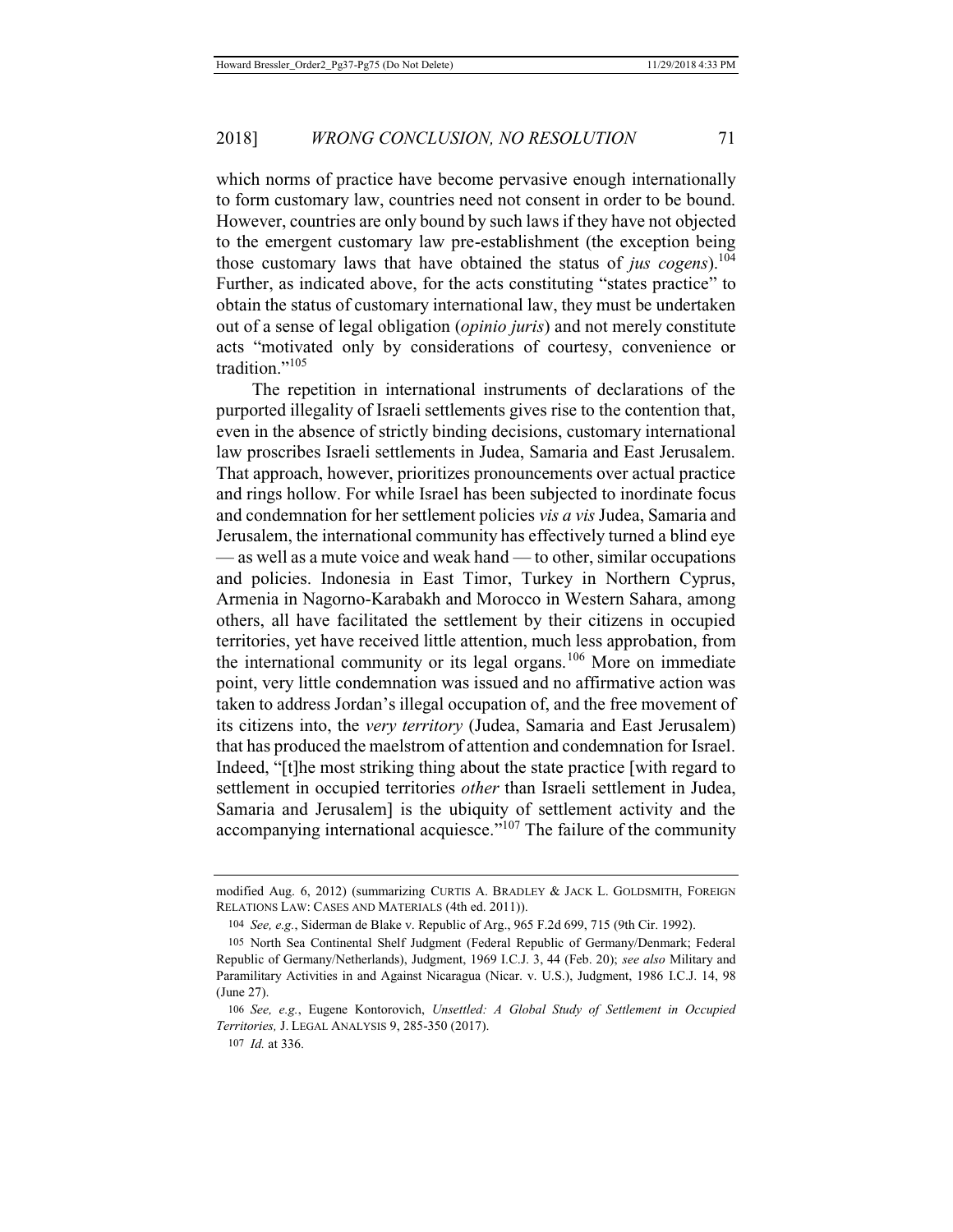which norms of practice have become pervasive enough internationally to form customary law, countries need not consent in order to be bound. However, countries are only bound by such laws if they have not objected to the emergent customary law pre-establishment (the exception being those customary laws that have obtained the status of *jus cogens*).104 Further, as indicated above, for the acts constituting "states practice" to obtain the status of customary international law, they must be undertaken out of a sense of legal obligation (*opinio juris*) and not merely constitute acts "motivated only by considerations of courtesy, convenience or tradition."<sup>105</sup>

The repetition in international instruments of declarations of the purported illegality of Israeli settlements gives rise to the contention that, even in the absence of strictly binding decisions, customary international law proscribes Israeli settlements in Judea, Samaria and East Jerusalem. That approach, however, prioritizes pronouncements over actual practice and rings hollow. For while Israel has been subjected to inordinate focus and condemnation for her settlement policies *vis a vis* Judea, Samaria and Jerusalem, the international community has effectively turned a blind eye — as well as a mute voice and weak hand — to other, similar occupations and policies. Indonesia in East Timor, Turkey in Northern Cyprus, Armenia in Nagorno-Karabakh and Morocco in Western Sahara, among others, all have facilitated the settlement by their citizens in occupied territories, yet have received little attention, much less approbation, from the international community or its legal organs.<sup>106</sup> More on immediate point, very little condemnation was issued and no affirmative action was taken to address Jordan's illegal occupation of, and the free movement of its citizens into, the *very territory* (Judea, Samaria and East Jerusalem) that has produced the maelstrom of attention and condemnation for Israel. Indeed, "[t]he most striking thing about the state practice [with regard to settlement in occupied territories *other* than Israeli settlement in Judea, Samaria and Jerusalem] is the ubiquity of settlement activity and the accompanying international acquiesce."<sup>107</sup> The failure of the community

modified Aug. 6, 2012) (summarizing CURTIS A. BRADLEY & JACK L. GOLDSMITH, FOREIGN RELATIONS LAW: CASES AND MATERIALS (4th ed. 2011)).

<sup>104</sup> *See, e.g.*, Siderman de Blake v. Republic of Arg., 965 F.2d 699, 715 (9th Cir. 1992).

<sup>105</sup> North Sea Continental Shelf Judgment (Federal Republic of Germany/Denmark; Federal Republic of Germany/Netherlands), Judgment, 1969 I.C.J. 3, 44 (Feb. 20); *see also* Military and Paramilitary Activities in and Against Nicaragua (Nicar. v. U.S.), Judgment, 1986 I.C.J. 14, 98 (June 27).

<sup>106</sup> *See, e.g.*, Eugene Kontorovich, *Unsettled: A Global Study of Settlement in Occupied Territories,* J. LEGAL ANALYSIS 9, 285-350 (2017).

<sup>107</sup> *Id.* at 336.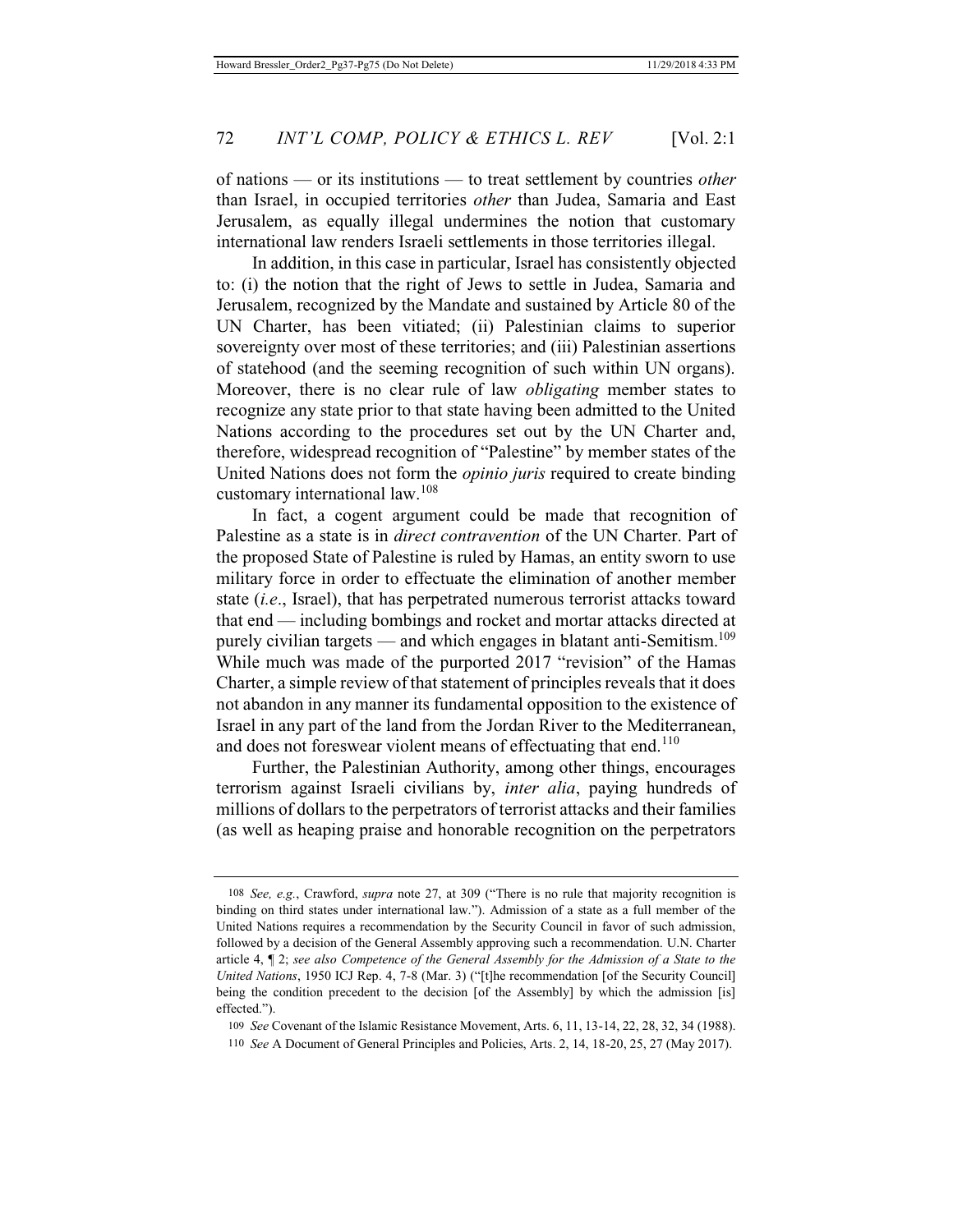of nations — or its institutions — to treat settlement by countries *other* than Israel, in occupied territories *other* than Judea, Samaria and East Jerusalem, as equally illegal undermines the notion that customary international law renders Israeli settlements in those territories illegal.

In addition, in this case in particular, Israel has consistently objected to: (i) the notion that the right of Jews to settle in Judea, Samaria and Jerusalem, recognized by the Mandate and sustained by Article 80 of the UN Charter, has been vitiated; (ii) Palestinian claims to superior sovereignty over most of these territories; and (iii) Palestinian assertions of statehood (and the seeming recognition of such within UN organs). Moreover, there is no clear rule of law *obligating* member states to recognize any state prior to that state having been admitted to the United Nations according to the procedures set out by the UN Charter and, therefore, widespread recognition of "Palestine" by member states of the United Nations does not form the *opinio juris* required to create binding customary international law.108

In fact, a cogent argument could be made that recognition of Palestine as a state is in *direct contravention* of the UN Charter. Part of the proposed State of Palestine is ruled by Hamas, an entity sworn to use military force in order to effectuate the elimination of another member state (*i.e*., Israel), that has perpetrated numerous terrorist attacks toward that end — including bombings and rocket and mortar attacks directed at purely civilian targets — and which engages in blatant anti-Semitism.<sup>109</sup> While much was made of the purported 2017 "revision" of the Hamas Charter, a simple review of that statement of principles reveals that it does not abandon in any manner its fundamental opposition to the existence of Israel in any part of the land from the Jordan River to the Mediterranean, and does not foreswear violent means of effectuating that end.<sup>110</sup>

Further, the Palestinian Authority, among other things, encourages terrorism against Israeli civilians by, *inter alia*, paying hundreds of millions of dollars to the perpetrators of terrorist attacks and their families (as well as heaping praise and honorable recognition on the perpetrators

<sup>108</sup> *See, e.g.*, Crawford, *supra* note 27, at 309 ("There is no rule that majority recognition is binding on third states under international law."). Admission of a state as a full member of the United Nations requires a recommendation by the Security Council in favor of such admission, followed by a decision of the General Assembly approving such a recommendation. U.N. Charter article 4, ¶ 2; *see also Competence of the General Assembly for the Admission of a State to the United Nations*, 1950 ICJ Rep. 4, 7-8 (Mar. 3) ("[t]he recommendation [of the Security Council] being the condition precedent to the decision [of the Assembly] by which the admission [is] effected.").

<sup>109</sup> *See* Covenant of the Islamic Resistance Movement, Arts. 6, 11, 13-14, 22, 28, 32, 34 (1988). 110 *See* A Document of General Principles and Policies, Arts. 2, 14, 18-20, 25, 27 (May 2017).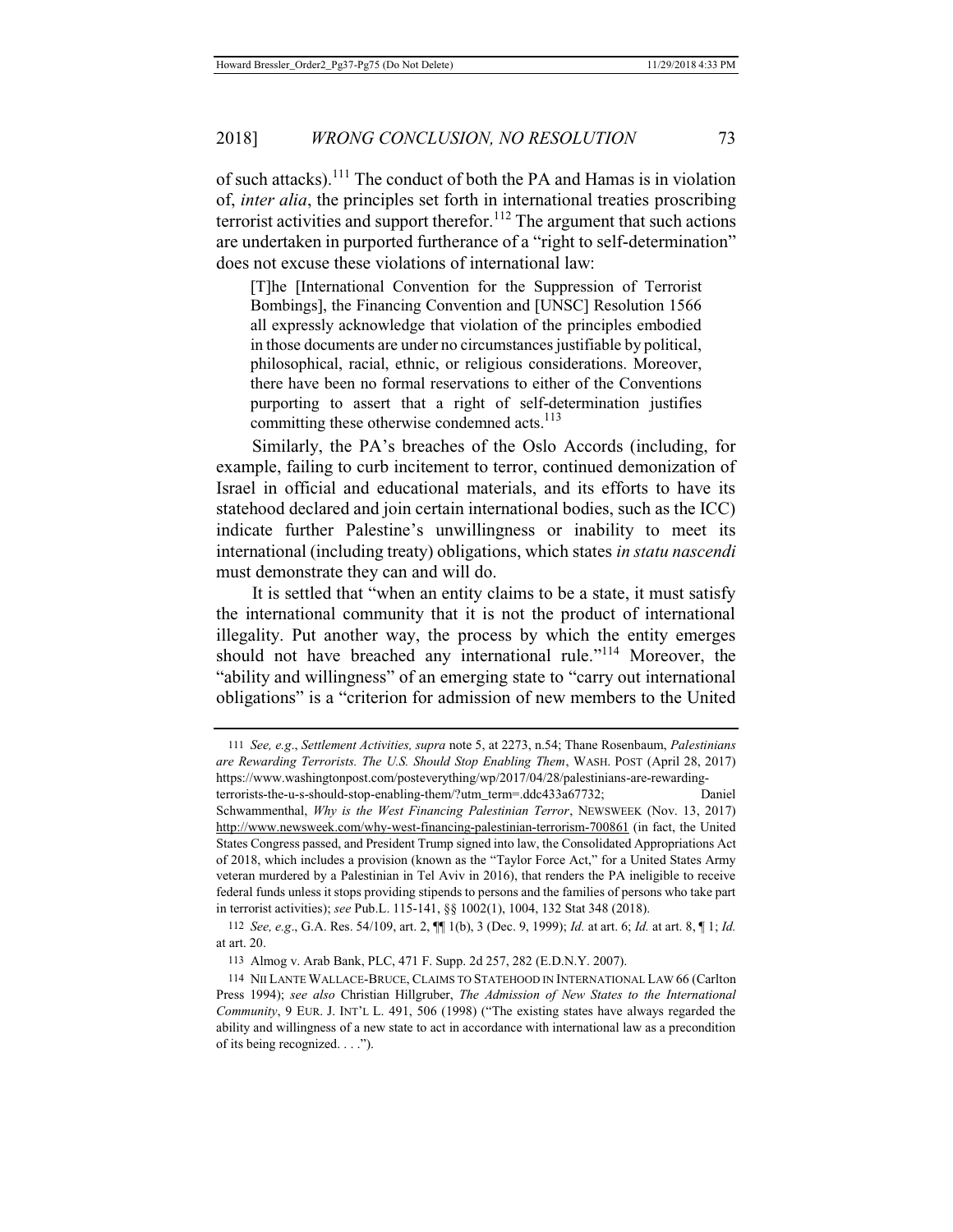of such attacks).111 The conduct of both the PA and Hamas is in violation of, *inter alia*, the principles set forth in international treaties proscribing terrorist activities and support therefor.<sup>112</sup> The argument that such actions are undertaken in purported furtherance of a "right to self-determination" does not excuse these violations of international law:

[T]he [International Convention for the Suppression of Terrorist Bombings], the Financing Convention and [UNSC] Resolution 1566 all expressly acknowledge that violation of the principles embodied in those documents are under no circumstances justifiable by political, philosophical, racial, ethnic, or religious considerations. Moreover, there have been no formal reservations to either of the Conventions purporting to assert that a right of self-determination justifies committing these otherwise condemned acts.<sup>113</sup>

Similarly, the PA's breaches of the Oslo Accords (including, for example, failing to curb incitement to terror, continued demonization of Israel in official and educational materials, and its efforts to have its statehood declared and join certain international bodies, such as the ICC) indicate further Palestine's unwillingness or inability to meet its international (including treaty) obligations, which states *in statu nascendi* must demonstrate they can and will do.

It is settled that "when an entity claims to be a state, it must satisfy the international community that it is not the product of international illegality. Put another way, the process by which the entity emerges should not have breached any international rule."<sup>114</sup> Moreover, the "ability and willingness" of an emerging state to "carry out international obligations" is a "criterion for admission of new members to the United

<sup>111</sup> *See, e.g*., *Settlement Activities, supra* note 5, at 2273, n.54; Thane Rosenbaum, *Palestinians are Rewarding Terrorists. The U.S. Should Stop Enabling Them*, WASH. POST (April 28, 2017) https://www.washingtonpost.com/posteverything/wp/2017/04/28/palestinians-are-rewarding-

terrorists-the-u-s-should-stop-enabling-them/?utm\_term=.ddc433a67732; Daniel Schwammenthal, *Why is the West Financing Palestinian Terror*, NEWSWEEK (Nov. 13, 2017) http://www.newsweek.com/why-west-financing-palestinian-terrorism-700861 (in fact, the United States Congress passed, and President Trump signed into law, the Consolidated Appropriations Act of 2018, which includes a provision (known as the "Taylor Force Act," for a United States Army veteran murdered by a Palestinian in Tel Aviv in 2016), that renders the PA ineligible to receive federal funds unless it stops providing stipends to persons and the families of persons who take part in terrorist activities); *see* Pub.L. 115-141, §§ 1002(1), 1004, 132 Stat 348 (2018).

<sup>112</sup> *See, e.g*., G.A. Res. 54/109, art. 2, ¶¶ 1(b), 3 (Dec. 9, 1999); *Id.* at art. 6; *Id.* at art. 8, ¶ 1; *Id.* at art. 20.

<sup>113</sup> Almog v. Arab Bank, PLC, 471 F. Supp. 2d 257, 282 (E.D.N.Y. 2007).

<sup>114</sup> NII LANTE WALLACE-BRUCE, CLAIMS TO STATEHOOD IN INTERNATIONAL LAW 66 (Carlton Press 1994); *see also* Christian Hillgruber, *The Admission of New States to the International Community*, 9 EUR. J. INT'L L. 491, 506 (1998) ("The existing states have always regarded the ability and willingness of a new state to act in accordance with international law as a precondition of its being recognized. . . .").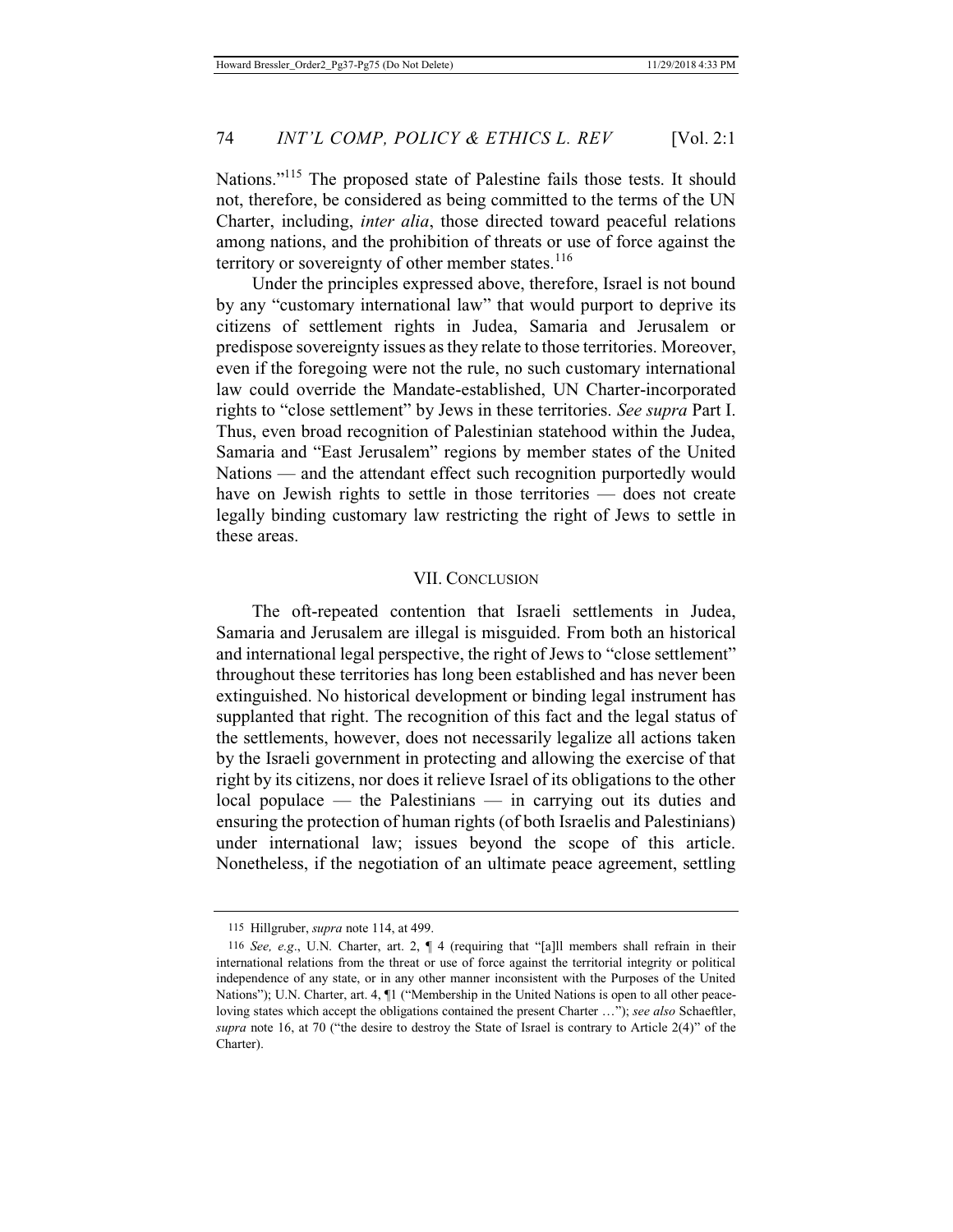Nations."115 The proposed state of Palestine fails those tests. It should not, therefore, be considered as being committed to the terms of the UN Charter, including, *inter alia*, those directed toward peaceful relations among nations, and the prohibition of threats or use of force against the territory or sovereignty of other member states. $116$ 

Under the principles expressed above, therefore, Israel is not bound by any "customary international law" that would purport to deprive its citizens of settlement rights in Judea, Samaria and Jerusalem or predispose sovereignty issues as they relate to those territories. Moreover, even if the foregoing were not the rule, no such customary international law could override the Mandate-established, UN Charter-incorporated rights to "close settlement" by Jews in these territories. *See supra* Part I. Thus, even broad recognition of Palestinian statehood within the Judea, Samaria and "East Jerusalem" regions by member states of the United Nations — and the attendant effect such recognition purportedly would have on Jewish rights to settle in those territories — does not create legally binding customary law restricting the right of Jews to settle in these areas.

#### VII. CONCLUSION

The oft-repeated contention that Israeli settlements in Judea, Samaria and Jerusalem are illegal is misguided. From both an historical and international legal perspective, the right of Jews to "close settlement" throughout these territories has long been established and has never been extinguished. No historical development or binding legal instrument has supplanted that right. The recognition of this fact and the legal status of the settlements, however, does not necessarily legalize all actions taken by the Israeli government in protecting and allowing the exercise of that right by its citizens, nor does it relieve Israel of its obligations to the other local populace — the Palestinians — in carrying out its duties and ensuring the protection of human rights (of both Israelis and Palestinians) under international law; issues beyond the scope of this article. Nonetheless, if the negotiation of an ultimate peace agreement, settling

<sup>115</sup> Hillgruber, *supra* note 114, at 499.

<sup>116</sup> *See, e.g*., U.N. Charter, art. 2, ¶ 4 (requiring that "[a]ll members shall refrain in their international relations from the threat or use of force against the territorial integrity or political independence of any state, or in any other manner inconsistent with the Purposes of the United Nations"); U.N. Charter, art. 4,  $\Pi$  ("Membership in the United Nations is open to all other peaceloving states which accept the obligations contained the present Charter …"); *see also* Schaeftler, *supra* note 16, at 70 ("the desire to destroy the State of Israel is contrary to Article 2(4)" of the Charter).